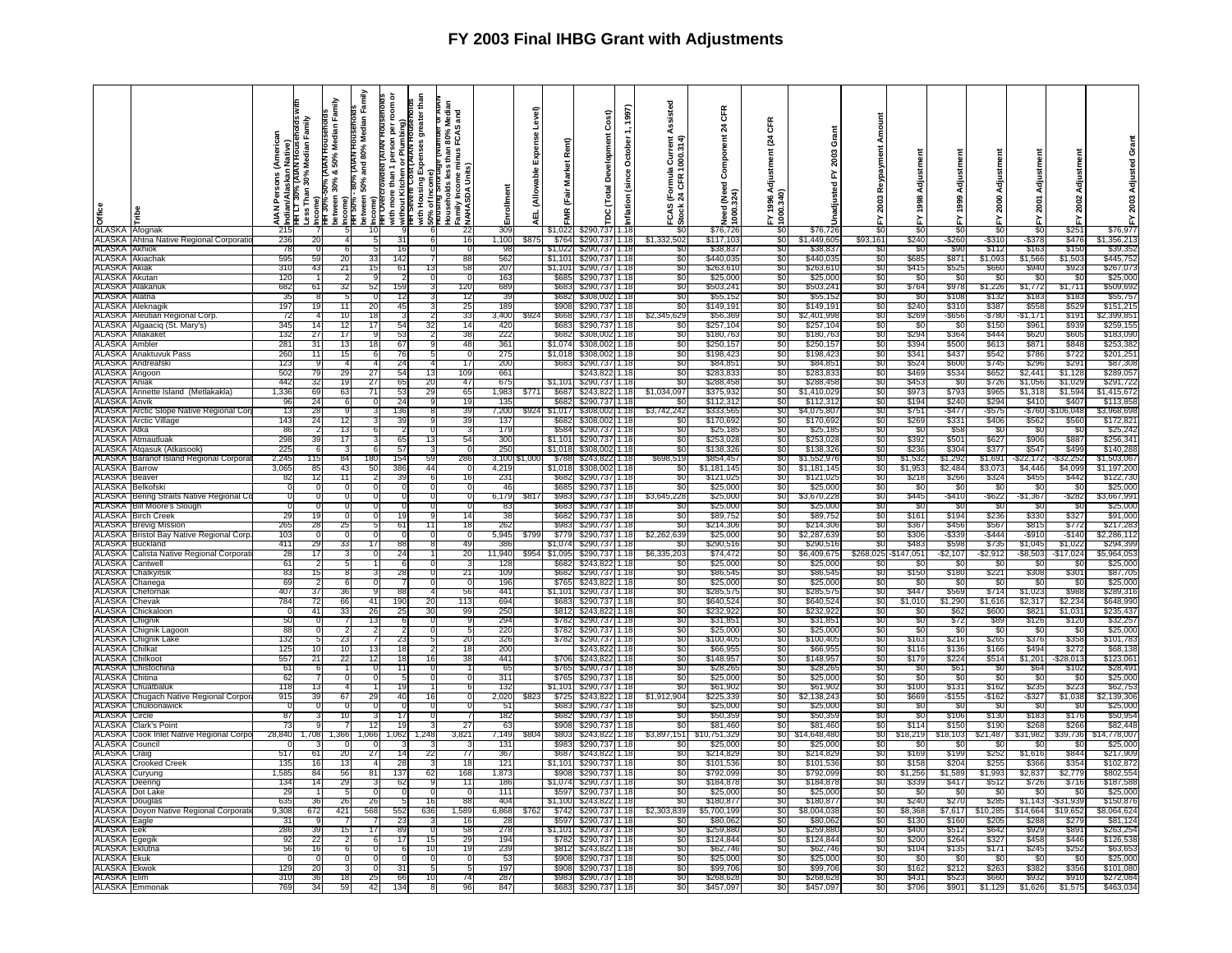| e<br><b>b</b><br>ALASKA Afognak              |                                                                      | ≤<br>ዸ፟፝<br>₹ |          | Family<br>, <mark>i</mark> nidian/Alaskan Native)<br>"RFT LT 30% (ΑΤΑΝ ROUSēholds w<br>Less Than 30% Median Family<br>"RFT 30%-50% (ΑΤΑΝ ROUSēholds<br>"RFT 30% & 50% Median Fan<br>berween 30% & 50% Median Fan | Family<br>- 80% (AIAN HOUSeholds<br>50% and 80% Median Fa<br>Income)<br>ITH 50%-<br>Detween :<br>Income)<br>ITH OVerC<br>10 | ā<br><b>AIA</b><br>$\mathbf{a}$<br>ă<br>crowaed<br>ore than T<br>Kitchen<br>with more than 1<br>without Kitchen<br>HH Severe Cost | greater than<br>Expenses<br>۵Ľ<br>with Housing E<br>50% of Income<br>Prousing Short | ់ខ្លួ<br>80% N<br>FCAS<br>Households less t<br>Family Income mi<br>XAHASDA Units) | ollment<br>$\frac{6}{309}$ | Level)<br>e<br>Ra<br>₹<br>画 | Rent)<br>ğ<br>Marl<br>j<br>Eair<br>£<br>\$1.022 | Cost)<br>Devel<br>$\overline{a}$<br>\$290.737 | 1997)<br>tober<br>ğ<br>ಕಿ<br>ŝ<br>nflation<br>1.18 | Assisted<br>la Currer<br>1000.31<br>∞<br>CFR<br>$\frac{5}{24}$<br><b>FCAS</b> | GFR<br>$\boldsymbol{z}$<br>Component<br>1 (Need)<br><b>Teed</b><br>$\frac{8}{2}$<br>\$76,726 | Œ<br>ड़<br>tmen<br>Adjust<br>0.340<br>g | Grant<br>2003<br>≿<br>g<br>nadjust<br>\$76.726 | SΩ.              | 1998<br>$\overline{s}$ | Adjust<br>1999<br>šτ | ई<br>2000<br>\$0 | Adjust<br>2001<br>র | Adjustmen<br>2002<br>$rac{2}{1}$ | 2003<br>ř<br>\$76.977  |
|----------------------------------------------|----------------------------------------------------------------------|---------------|----------|------------------------------------------------------------------------------------------------------------------------------------------------------------------------------------------------------------------|-----------------------------------------------------------------------------------------------------------------------------|-----------------------------------------------------------------------------------------------------------------------------------|-------------------------------------------------------------------------------------|-----------------------------------------------------------------------------------|----------------------------|-----------------------------|-------------------------------------------------|-----------------------------------------------|----------------------------------------------------|-------------------------------------------------------------------------------|----------------------------------------------------------------------------------------------|-----------------------------------------|------------------------------------------------|------------------|------------------------|----------------------|------------------|---------------------|----------------------------------|------------------------|
|                                              | ALASKA Ahtna Native Regional Corporati                               | 236           | 20       |                                                                                                                                                                                                                  |                                                                                                                             |                                                                                                                                   |                                                                                     | 16                                                                                | 1,100                      | \$875                       | - \$764                                         | \$290,737                                     | 1.18                                               | \$1,332,502                                                                   | \$117,103                                                                                    | -20                                     | \$1,449,605                                    | \$93,161         | \$240                  | \$260                | -\$310           | -\$37               | \$476                            | \$1,356,213            |
| ALASKA                                       | Akhiok                                                               | 78            |          | а                                                                                                                                                                                                                |                                                                                                                             | 16                                                                                                                                | $\Omega$                                                                            |                                                                                   | -98                        |                             | \$1.022                                         | \$290.737                                     | 1.18                                               | \$0                                                                           | \$38.83                                                                                      | -90                                     | \$38.83                                        | -SO              | -SO                    | \$90                 | \$112            | \$163               | \$150                            | \$39,352               |
| ALASKA<br><b>ALASKA</b> Akiak                | Akiachak                                                             | 595<br>310    | 59<br>43 | 20<br>21                                                                                                                                                                                                         | 33<br>15                                                                                                                    | 142<br>6                                                                                                                          |                                                                                     | 88<br>58                                                                          | 562<br>207                 |                             |                                                 | \$1,101 \$290,737                             | 1.18                                               | \$0<br>-90                                                                    | \$440,035<br>\$263.61                                                                        | \$0<br>- SO                             | \$440,03<br>\$263.61                           | \$0<br>SC.       | \$685<br>\$415         | \$871<br>\$52        | \$1,093<br>\$66  | \$1,566<br>\$94     | \$1,503<br>\$923                 | \$445,752<br>\$267.07  |
| ALASKA                                       | Akutan                                                               | 120           |          |                                                                                                                                                                                                                  |                                                                                                                             |                                                                                                                                   |                                                                                     |                                                                                   | 163                        |                             | \$1.101<br>\$685                                | \$290,737<br>\$290,737                        |                                                    | SO.                                                                           | \$25,00                                                                                      | \$0                                     | \$25,00                                        | SO.              | \$0                    | - \$0                | - \$0            | -\$0                | - \$0                            | \$25,00                |
| ALASKA                                       | Alakanuk                                                             | 682           | 61       | 32                                                                                                                                                                                                               | 52                                                                                                                          | 159                                                                                                                               |                                                                                     | 120                                                                               | 689                        |                             | \$683                                           | \$290,737                                     | 1.18                                               | \$0                                                                           | \$503,24                                                                                     | -SO                                     | \$503,24                                       | S0               | \$764                  | \$978                | \$1,226          | \$1,772             | \$1,711                          | \$509,69               |
| ALASKA                                       | Natna                                                                | -35           |          |                                                                                                                                                                                                                  |                                                                                                                             | -12                                                                                                                               |                                                                                     | 12                                                                                | -39                        |                             | \$682                                           | \$308,002                                     |                                                    | \$0                                                                           | \$55,15                                                                                      | -90                                     | \$55,15                                        | -90              | - 30                   | \$108                | \$132            | \$18                | \$18                             | \$55,75                |
| ALASKA Aleknagi                              |                                                                      | 197           |          | 11                                                                                                                                                                                                               | 20                                                                                                                          | $\mathbf{A}$                                                                                                                      |                                                                                     | 25                                                                                | 189                        |                             | \$908                                           | \$290,737                                     | 1 1 8                                              | SO.                                                                           | \$149,19                                                                                     | -90                                     | \$149,191                                      | -90              | \$240                  | \$31                 | \$38             | \$553               | \$529                            | \$151,21               |
|                                              | <b>ALASKA</b> Aleutian Regional Corp<br>ALASKA Algaaciq (St. Mary's) | 72<br>345     | 14       | 10<br>12                                                                                                                                                                                                         | 17                                                                                                                          | 18<br>-54                                                                                                                         | -32                                                                                 | 33<br>14                                                                          | 3,400<br>-420              | \$92                        | \$668<br>S683                                   | \$290,737<br>\$290.737                        | 1.18<br>1.18                                       | \$2,345,629<br>80                                                             | \$56,36<br>\$257,10                                                                          | \$0<br>- 30                             | \$2,401,998<br>\$257.104                       | \$0<br>- 30      | \$269<br>- SO          | -\$656<br>-30        | -\$780<br>\$150  | -\$1,171<br>-236    | \$191<br>\$939                   | \$2,399,85<br>\$259,15 |
|                                              | ALASKA Allakaket                                                     | 132           | 27       | 17                                                                                                                                                                                                               |                                                                                                                             | 53                                                                                                                                |                                                                                     | 38                                                                                | 222                        |                             | \$682                                           | \$308,002                                     | 1.18                                               | \$0                                                                           | \$180,76                                                                                     | \$0                                     | \$180,763                                      | \$0              | \$294                  | \$364                | \$444            | \$620               | \$605                            | \$183,090              |
| <b>ALASKA</b> Ambler                         |                                                                      | 281           | 31       | 13                                                                                                                                                                                                               | 18                                                                                                                          | ъ.                                                                                                                                |                                                                                     | 48                                                                                | 361                        |                             | \$1.074                                         | \$308,002                                     |                                                    | SO.                                                                           | \$250,15                                                                                     | \$0                                     | \$250,15                                       | \$0              | \$394                  | \$500                | \$61             | \$871               | \$848                            | \$253,382              |
| ALASKA                                       | Anaktuvuk Pass                                                       | 260           | 11       | 15                                                                                                                                                                                                               |                                                                                                                             | 76                                                                                                                                |                                                                                     |                                                                                   | 275                        |                             | \$1,018                                         | \$308,002                                     | 1.18                                               | \$0                                                                           | \$198,42                                                                                     | \$0                                     | \$198,42                                       | \$0              | \$341                  | \$437                | \$542            | \$786               | \$722                            | \$201,25               |
|                                              | ALASKA Andreafski                                                    | 123           |          | $\mathbf{A}$                                                                                                                                                                                                     |                                                                                                                             | 24                                                                                                                                |                                                                                     | 17                                                                                | 200                        |                             | \$683                                           | \$290,737                                     | 1 1 8                                              | SO.                                                                           | \$84,85                                                                                      | -90                                     | \$84.85                                        | -90              | \$524                  | \$600                | \$745            | \$296               | \$291                            | \$87,308               |
| ALASKA Angoon<br>ALASKA Anjak                |                                                                      | 502<br>442    | 79<br>32 | 29<br>19                                                                                                                                                                                                         | 27<br>27                                                                                                                    | 54<br>65                                                                                                                          | 13<br>20                                                                            | 109<br>47                                                                         | 661<br>675                 |                             |                                                 | \$243,822<br>\$1,101 \$290,737                | 1.18<br>1 1 8                                      | \$0<br>SO.                                                                    | \$283,83<br>\$288,45                                                                         | \$0<br>-90                              | \$283,83<br>\$288,458                          | \$0<br>S0        | \$469<br>\$453         | \$534<br>-90         | \$652<br>\$726   | \$2,441<br>\$1,056  | \$1,128<br>\$1,029               | \$289,057<br>\$291,722 |
|                                              | ALASKA Annette Island (Metlakakla)                                   | ,336          | 69       | 63                                                                                                                                                                                                               | 71                                                                                                                          | 53                                                                                                                                | 29                                                                                  | 65                                                                                | 1,983                      |                             | \$687                                           | \$243.822                                     | 1.18                                               | \$1,034,097                                                                   | \$375,93                                                                                     | -90                                     | \$1,410,02                                     | -50              | \$973                  | \$793                | \$965            | \$1,31              | \$1,594                          | \$1,415,67             |
| ALASKA Anvik                                 |                                                                      | ٩F            | 24       | -6                                                                                                                                                                                                               |                                                                                                                             | -24<br>$\Omega$                                                                                                                   | - q                                                                                 | 19                                                                                | 135                        |                             |                                                 | \$682 \$290,737 1.18                          |                                                    | -SO                                                                           | \$112.31                                                                                     | -90                                     | \$112.312                                      | -90              | \$194                  | \$240                | \$294            | \$410               | \$407                            | \$113,858              |
|                                              | ALASKA Arctic Slope Native Regional Co                               | 13            | 28       | 9                                                                                                                                                                                                                |                                                                                                                             | 136                                                                                                                               | -8                                                                                  | 39                                                                                | 7,200                      | \$924                       | \$1,017                                         | \$308,002                                     | 1.18                                               | \$3,742,242                                                                   | \$333,56                                                                                     | \$0                                     | \$4,075,807                                    | \$0              | \$75'                  | -\$477               | $-$ \$575        | -\$760              | 106,048                          | \$3,968,698            |
| ALASKA Atka                                  | <b>ALASKA</b> Arctic Village                                         | 143<br>86     | 24       | 12<br>13                                                                                                                                                                                                         |                                                                                                                             | -39                                                                                                                               |                                                                                     | 39                                                                                | 13<br>179                  |                             | \$682<br>\$584                                  | \$308,002<br>\$290,737                        | 1.18                                               | 80<br>\$0                                                                     | \$170,69<br>\$25,18                                                                          | -90<br>\$0                              | \$170,692<br>\$25,18                           | -90<br>S0        | \$269<br>\$0           | \$33<br>S5€          | \$406<br>- \$0   | \$562<br>- \$0      | \$560<br>-\$0                    | \$172,82<br>\$25,242   |
|                                              | <b>ALASKA</b> Atmautluak                                             | 298           | 39       | 17                                                                                                                                                                                                               |                                                                                                                             | 65                                                                                                                                | 13                                                                                  | 54                                                                                | 300                        |                             |                                                 | \$1,101 \$290,737 1.18                        |                                                    | SO.                                                                           | \$253,02                                                                                     | -90                                     | \$253,028                                      | -90              | \$392                  | \$50'                | \$627            | \$90                | \$887                            | \$256,34               |
|                                              | ALASKA Atqasuk (Atkasook)                                            | 225           | 6        |                                                                                                                                                                                                                  |                                                                                                                             | -57                                                                                                                               |                                                                                     | O                                                                                 | 250                        |                             | \$1,018                                         | \$308,002                                     | 1.18                                               | \$0                                                                           | \$138,32                                                                                     | -90                                     | \$138,326                                      | \$0              | \$236                  | \$304                | \$377            | \$547               | \$499                            | \$140,28               |
|                                              | <b>ALASKA</b> Baranof Island Regional Corpora                        | 2,245         | 115      | 84                                                                                                                                                                                                               | 180                                                                                                                         | 154                                                                                                                               | 59                                                                                  | 286                                                                               | 3,100                      | \$1,000                     |                                                 | \$788 \$243,822 1.18                          |                                                    | \$698,519                                                                     | \$854,45                                                                                     | -90                                     | \$1,552,976                                    | <b>SO</b>        | \$1,532                | \$1,292              | \$1,691          | -\$22,172           | \$32,252                         | \$1,503,06             |
| <b>ALASKA Barrow</b><br><b>ALASKA</b> Beaver |                                                                      | 3,065<br>-82  | 85<br>12 | 43<br>11                                                                                                                                                                                                         | 50                                                                                                                          | 386<br>-39                                                                                                                        | 44<br>- 6                                                                           | C                                                                                 | 4,219                      |                             | \$1,018<br>\$682                                | \$308,002 1.18                                |                                                    | S0.                                                                           | \$1,181,145                                                                                  | -SO<br>-50                              | \$1,181,145                                    | <b>SO</b><br>-80 | \$1,953                | \$2,484              | \$3,073          | \$4,446             | \$4,099<br>\$442                 | \$1,197,200            |
|                                              | ALASKA Belkofski                                                     |               | $\Omega$ | $\mathbf 0$                                                                                                                                                                                                      |                                                                                                                             |                                                                                                                                   | 0                                                                                   | 16<br>0                                                                           | 231<br>46                  |                             | \$685                                           | \$290,737 1.18<br>\$290,737 1.18              |                                                    | \$0<br>\$0                                                                    | \$121,02<br>\$25,00                                                                          | \$0                                     | \$121,025<br>\$25,000                          | \$0              | \$218<br>\$0           | \$266<br>-\$0        | \$324<br>- \$0   | \$455<br>-SC        | - \$0                            | \$122,730<br>\$25,000  |
|                                              | ALASKA Bering Straits Native Regional C                              |               |          |                                                                                                                                                                                                                  |                                                                                                                             |                                                                                                                                   |                                                                                     |                                                                                   | 6,179                      | \$817                       | \$983                                           | \$290,737                                     | 1.18                                               | \$3,645,228                                                                   | \$25,00                                                                                      | -90                                     | \$3,670,228                                    | \$0              | \$445                  | -S41                 | -\$622           | -\$1,367            | -\$282                           | \$3,667,991            |
|                                              | <b>ALASKA Bill Moore's Slough</b>                                    |               |          |                                                                                                                                                                                                                  |                                                                                                                             |                                                                                                                                   |                                                                                     |                                                                                   | -83                        |                             | \$683                                           | \$290,737 1.18                                |                                                    | \$0                                                                           | \$25,00                                                                                      | -50                                     | \$25,000                                       | \$0              | -96                    | -360                 | - \$0            | - 50                | - 20                             | \$25.00                |
| <b>ALASKA</b>                                | <b>ALASKA</b> Birch Creek<br><b>Brevig Mission</b>                   | 29<br>265     | 19<br>28 | $\Omega$<br>25                                                                                                                                                                                                   |                                                                                                                             | 10<br>61                                                                                                                          | 11                                                                                  | 14<br>18                                                                          | -38<br>262                 |                             | \$682<br>\$983                                  | \$290,737 1.18<br>\$290,737                   | 1.18                                               | \$0<br>\$0                                                                    | \$89,75<br>\$214,30                                                                          | -90<br>\$0                              | \$89,752<br>\$214,306                          | SO.<br>\$0       | \$161<br>\$367         | \$194<br>\$456       | \$236<br>\$567   | \$330<br>\$815      | \$327<br>\$772                   | \$91,000<br>\$217,283  |
|                                              | ALASKA Bristol Bay Native Regional Corp                              | 103           |          |                                                                                                                                                                                                                  |                                                                                                                             |                                                                                                                                   |                                                                                     |                                                                                   | 5,945                      |                             | \$779                                           | \$290,737                                     | 1.18                                               | \$2,262,639                                                                   | \$25,00                                                                                      | -90                                     | \$2,287,63                                     | -20              | \$306                  | -\$339               | -\$444           | -\$91               | $-$ \$140                        | \$2,286,11             |
|                                              | <b>ALASKA</b> Buckland                                               | 411           | 29       | 33                                                                                                                                                                                                               | 17                                                                                                                          | 88                                                                                                                                |                                                                                     | 49                                                                                | 386                        |                             |                                                 | \$1,074 \$290,737 1.18                        |                                                    | \$0                                                                           | \$290,51                                                                                     | \$0                                     | \$290,516                                      | \$0              | \$483                  | \$598                | \$735            | \$1,045             | \$1,022                          | \$294,39               |
|                                              | ALASKA Calista Native Regional Corpora                               | 28            | 17       | 3                                                                                                                                                                                                                |                                                                                                                             | -24                                                                                                                               |                                                                                     | 20                                                                                | 11,940                     | \$954                       | \$1,095                                         | \$290,737                                     | 1.18                                               | \$6,335,203                                                                   | \$74,47                                                                                      | <b>SO</b>                               | \$6,409,675                                    | \$268,025        | 147,051                | -\$2,107             | -\$2,912         | $-$ \$8,503         | -\$17,024                        | \$5,964,053            |
| ALASKA                                       | Cantwell                                                             | 61            |          |                                                                                                                                                                                                                  |                                                                                                                             |                                                                                                                                   |                                                                                     |                                                                                   | 128                        |                             | \$682                                           | \$243,822                                     | 1.18                                               | 80                                                                            | \$25,00                                                                                      | -90                                     | \$25,000                                       | -20              | -50                    | - 351                | - 30             | - 350               | - 30                             | \$25,000               |
| ALASKA                                       | Chalkyitsik<br>ALASKA Chanega                                        | 83<br>69      |          |                                                                                                                                                                                                                  | 6                                                                                                                           | 28                                                                                                                                |                                                                                     | 21<br>$\Omega$                                                                    | 109<br>196                 |                             | \$682                                           | \$290,737<br>\$765 \$243,822 1.18             | 1.18                                               | \$0<br>\$0                                                                    | \$86,54<br>\$25,00                                                                           | -\$0<br>\$0                             | \$86,545<br>\$25,000                           | \$0<br>\$0       | \$150<br>\$0           | \$180<br>୍ଲ          | \$221<br>\$0     | \$308<br>-SC        | \$301<br>\$0                     | \$87,705<br>\$25,000   |
|                                              | <b>ALASKA</b> Chefornak                                              | 407           | 37       | 36                                                                                                                                                                                                               |                                                                                                                             | 88                                                                                                                                |                                                                                     | 56                                                                                | 441                        |                             | \$1,101                                         | \$290,737                                     | 1.18                                               | \$0                                                                           | \$285,57                                                                                     | -90                                     | \$285,57                                       | SO.              | \$447                  | \$569                | \$714            | \$1,023             | \$988                            | \$289,31               |
| ALASKA                                       | Chevak                                                               | 784           | 72       | 66                                                                                                                                                                                                               | 41                                                                                                                          | 190                                                                                                                               | 20                                                                                  | 113                                                                               | 694                        |                             | \$683                                           | \$290.737                                     | 1.18                                               | \$0                                                                           | \$640.52                                                                                     | -SO                                     | \$640.524                                      | SO.              | \$1,010                | \$1,290              | \$1.616          | \$2.31              | \$2.234                          | \$648.99               |
|                                              | <b>ALASKA</b> Chickaloon                                             |               | 41       | 33                                                                                                                                                                                                               | 26                                                                                                                          | 25                                                                                                                                | 30                                                                                  | 99                                                                                | 250                        |                             | \$812                                           | \$243,822                                     | 1.18                                               | \$0                                                                           | \$232,92                                                                                     | -\$0                                    | \$232,92                                       | \$0              | \$0                    | \$62                 | \$600            | \$82                | \$1,031                          | \$235,43               |
| <b>ALASKA</b> Chignik                        | <b>ALASKA</b> Chignik Lagoor                                         | 50<br>88      |          |                                                                                                                                                                                                                  | 13                                                                                                                          |                                                                                                                                   |                                                                                     |                                                                                   | 294<br>220                 |                             | \$782<br>\$782                                  | \$290,737<br>\$290,737                        | 1.18<br>1.18                                       | \$0<br>80                                                                     | \$31,85<br>\$25,000                                                                          | -SC<br>-90                              | \$31,85<br>\$25,000                            | \$0<br>-50       | \$0<br>-90             | \$72<br>- 30         | \$89<br>- 30     | \$126<br>- \$0      | \$120<br>- 30                    | \$32,25<br>\$25,00     |
| <b>ALASKA</b>                                | Chignik Lake                                                         | 132           |          | 23                                                                                                                                                                                                               |                                                                                                                             | 23                                                                                                                                |                                                                                     | 20                                                                                | 326                        |                             | \$782                                           | \$290.737                                     | 1.18                                               | \$0                                                                           | \$100,40                                                                                     | \$0                                     | \$100.40                                       | \$0              | \$163                  | \$216                | \$265            | \$376               | \$358                            | \$101.783              |
| ALASKA Chilkat                               |                                                                      | 125           | 10       | 10                                                                                                                                                                                                               | 13                                                                                                                          | 1٤                                                                                                                                |                                                                                     | 18                                                                                | 200                        |                             |                                                 | \$243,822                                     | 1.18                                               | \$0                                                                           | \$66,95                                                                                      | -\$0                                    | \$66,95                                        | \$0              | \$116                  | \$136                | \$166            | \$494               | \$272                            | \$68,13                |
| ALASKA                                       | Chilkoot                                                             | 557           |          | 22                                                                                                                                                                                                               |                                                                                                                             |                                                                                                                                   |                                                                                     |                                                                                   | 441                        |                             | \$706                                           | \$243.82                                      |                                                    | \$0                                                                           | \$148,95                                                                                     | 3C                                      | \$148,95                                       | 30               | \$179                  | \$22                 | \$51             | \$1,20 <sup>.</sup> | 28.013                           | \$123.06               |
| ALASKA<br>ALASKA                             | Chistochina<br>Chitina                                               | 61<br>62      |          |                                                                                                                                                                                                                  |                                                                                                                             | -11                                                                                                                               |                                                                                     |                                                                                   | 65<br>311                  |                             | \$765<br>\$765                                  | \$290,737<br>\$290.737                        | 1.18<br>1.18                                       | \$0<br>\$0                                                                    | \$28,26<br>\$25.00                                                                           | \$0<br>\$0                              | \$28,26<br>\$25.00                             | \$0<br>\$0       | \$0<br>\$0             | \$61<br>-90          | - \$0<br>\$0     | \$64<br>-SC         | \$102<br>- \$0                   | \$28,49<br>\$25.00     |
| ALASKA                                       | Chuatbalu                                                            | 118           |          |                                                                                                                                                                                                                  |                                                                                                                             |                                                                                                                                   |                                                                                     |                                                                                   | 13.                        |                             | \$1,10                                          | \$290,737                                     |                                                    | \$0                                                                           | \$61,90                                                                                      | -SC                                     | \$61,90                                        | \$0              | \$100                  | \$131                | \$162            | \$235               | \$223                            | \$62,75                |
| ALASKA                                       | Chugach Native Regional Corpo                                        | 915           |          | 67                                                                                                                                                                                                               |                                                                                                                             | 4(                                                                                                                                |                                                                                     |                                                                                   | 2,020                      |                             | \$725                                           | \$243.822                                     | 1.18                                               | \$1,912,904                                                                   | \$225.33                                                                                     | -SO                                     | \$2.138.24                                     | \$0              | \$669                  | $-$155$              | $-$ \$162        | -\$32               | \$1,038                          | 2,139,306              |
| ALASKA                                       | Chuloonawick                                                         |               |          |                                                                                                                                                                                                                  |                                                                                                                             |                                                                                                                                   |                                                                                     |                                                                                   | -51                        |                             | \$683                                           | \$290,737                                     | 1.18                                               | \$0                                                                           | \$25,000                                                                                     | -\$0                                    | \$25,000                                       | \$0              | \$0                    | -\$0                 | - \$0            | -96                 | - \$0                            | \$25,000               |
| ALASKA<br><b>ALASKA</b>                      | Circle<br>Clark's Point                                              | 87<br>73      |          | 10                                                                                                                                                                                                               | 12                                                                                                                          | 19                                                                                                                                |                                                                                     | 27                                                                                | 182<br>63                  |                             | \$68<br>\$908                                   | \$290.737<br>\$290,737                        | 1 1 የ<br>1.18                                      | -90<br>\$0                                                                    | \$50.35<br>\$81,46                                                                           | - SO<br>\$0                             | \$50,35<br>\$81,460                            | -50<br>\$0       | - SO<br>\$114          | \$106<br>\$150       | \$130<br>\$190   | \$183<br>\$26       | \$176<br>\$266                   | \$50,954<br>\$82,448   |
|                                              | ALASKA Cook Inlet Native Regional Corpo                              | 28,840        |          | 1.366                                                                                                                                                                                                            | 1.066                                                                                                                       | 1.062                                                                                                                             | 1.248                                                                               | 3,821                                                                             | 7,149                      | \$80                        | \$803                                           | \$243,822                                     | 1.18                                               | \$3,897,151                                                                   | 0,751,32                                                                                     | -90                                     | \$14,648,480                                   | \$0              | \$18,219               | \$18,103             | \$21,487         | \$31,982            | \$39,736                         | 4,778,00               |
| <b>ALASKA</b>                                | Counci                                                               |               |          |                                                                                                                                                                                                                  |                                                                                                                             |                                                                                                                                   |                                                                                     |                                                                                   | 13 <sup>°</sup>            |                             | \$98                                            | \$290,737                                     | 1.18                                               | 80                                                                            | \$25,00                                                                                      | -SC                                     | \$25,00                                        | \$0              | -50                    | -33                  | - 36             | - 51                | -SC                              | \$25,00                |
| ALASKA                                       | Craig                                                                | 517           | 61       | 20                                                                                                                                                                                                               | 27                                                                                                                          |                                                                                                                                   | 22                                                                                  |                                                                                   | 36                         |                             | \$68                                            | \$243.822                                     | 1.18                                               | S0.                                                                           | \$214.82                                                                                     | -90                                     | \$214.82                                       | -90              | \$169                  | \$19                 | \$252            | \$1,616             | \$844                            | \$217,909              |
| ALASKA<br>ALASKA Curyung                     | Crooked Creek                                                        | 135<br>1,585  | 84       | 13<br>56                                                                                                                                                                                                         | 81                                                                                                                          | 28<br>137                                                                                                                         | -62                                                                                 | 18<br>168                                                                         | 12 <sup>°</sup><br>1.87    |                             | \$1,101<br>-8908                                | \$290.737<br>\$290.737                        | 1.18<br>1 1 የ                                      | SO.<br>-80                                                                    | \$101.53<br>\$792.09                                                                         | -SC<br>-50                              | \$101.53<br>\$792.09                           | SO.<br>-50       | \$158<br>\$1,256       | \$20<br>\$1.58       | \$25<br>\$1.99   | \$36<br>\$2.83      | \$354<br>\$2,779                 | \$102.87<br>\$802,55   |
| ALASKA                                       | Deerina                                                              | 134           | 14       | 29                                                                                                                                                                                                               |                                                                                                                             | 62                                                                                                                                |                                                                                     | 11                                                                                | 186                        |                             | \$1,074                                         | \$290,737                                     | 1.18                                               | SO.                                                                           | \$184,87                                                                                     | \$0                                     | \$184,87                                       | SO.              | \$339                  | \$417                | \$512            | \$726               | \$716                            | \$187,58               |
| ALASKA                                       | Dot Lake                                                             | 29            |          | 5                                                                                                                                                                                                                |                                                                                                                             | $\Omega$                                                                                                                          | $\Omega$                                                                            |                                                                                   | 111                        |                             | \$597                                           | \$290,737                                     | 1.18                                               | SO.                                                                           | \$25,000                                                                                     | -90                                     | \$25,000                                       | -90              | -SO                    | - \$0                | - \$0            | -96                 | - \$0                            | \$25,000               |
| <b>ALASKA</b>                                | Jouglas                                                              | 635           | 36       | 26                                                                                                                                                                                                               | 26                                                                                                                          |                                                                                                                                   |                                                                                     | 88                                                                                | 40                         |                             | \$1,100                                         | \$243.822                                     |                                                    | 80                                                                            | \$180,87                                                                                     | -90                                     | \$180,87                                       | -50              | \$240                  | \$27                 | \$285            | \$1,143             | \$31,939                         | \$150,87               |
| ALASKA<br>ALASKA Eagle                       | Doyon Native Regional Corporat                                       | 9,308<br>31   | 672      | 421                                                                                                                                                                                                              | 568                                                                                                                         | 552<br>23                                                                                                                         | 636                                                                                 | ,589<br>16                                                                        | 6,868<br>-28               | \$762                       | S742<br>\$597                                   | \$290,737<br>\$290,737                        | 1 1 8<br>1.18                                      | \$2,303,839<br>SO.                                                            | \$5,700,19<br>\$80,06                                                                        | \$0<br>SO.                              | \$8,004,038<br>\$80,06                         | SO.<br>SO.       | \$8,368<br>\$130       | \$7,617<br>\$160     | 10,285<br>\$205  | \$14,664<br>\$28    | \$19,652<br>\$279                | \$8,064,62<br>\$81,12  |
| ALASKA                                       | Eek                                                                  | 286           | 39       | 15                                                                                                                                                                                                               | 17                                                                                                                          | 89                                                                                                                                | $\Omega$                                                                            | 58                                                                                | 278                        |                             | \$1,101                                         | \$290,737                                     | 1.18                                               | \$0                                                                           | \$259,88                                                                                     | -90                                     | \$259,880                                      | -90              | \$400                  | \$512                | \$642            | \$929               | \$891                            | \$263,25               |
| ALASKA                                       | Eaeaik                                                               | 92            | 22       |                                                                                                                                                                                                                  |                                                                                                                             | -17<br>-6                                                                                                                         | 15                                                                                  | 29                                                                                | 194                        |                             | \$782                                           | \$290,737                                     | 1.18                                               | \$0                                                                           | \$124,84                                                                                     | -90                                     | \$124,84                                       | \$0              | \$200                  | \$264                | \$327            | \$45                | \$446                            | \$126,53               |
| ALASKA                                       | Eklutna                                                              | 56            | 16       |                                                                                                                                                                                                                  |                                                                                                                             |                                                                                                                                   |                                                                                     | 19                                                                                | 239                        |                             | \$812                                           | \$243,822                                     | 118                                                | SO.                                                                           | \$62,74                                                                                      | -90                                     | \$62.74                                        | SO.              | \$104                  | \$13                 | \$171            | \$24                | \$252                            | \$63.65                |
| ALASKA<br>ALASKA                             | Ekuk                                                                 | 129           | 0        |                                                                                                                                                                                                                  |                                                                                                                             |                                                                                                                                   |                                                                                     |                                                                                   | 53<br>197                  |                             | \$908<br>\$908                                  | \$290,737 1.18<br>\$290,737                   | 1.18                                               | SO.                                                                           | \$25,000<br>\$99,70                                                                          | -90                                     | \$25,000<br>\$99,706                           | \$0              | \$0<br>\$162           | -\$0                 | - SC<br>\$263    | - \$0<br>\$382      | - \$0<br>\$356                   | \$25,000<br>\$101,080  |
| ALASKA                                       | Ekwok<br>Elim                                                        | 310           | 20<br>36 | 18                                                                                                                                                                                                               | 25                                                                                                                          | -31<br>-0<br>66                                                                                                                   | -5<br>10                                                                            | 74                                                                                | 287                        |                             |                                                 | \$983 \$290,737 1.18                          |                                                    | 80<br>\$0                                                                     | \$268,62                                                                                     | - 30<br>\$0                             | \$268,628                                      | - 30<br>\$0      | \$431                  | \$212<br>\$523       | \$660            | \$932               | \$910                            | \$272,08               |
|                                              | ALASKA Emmonak                                                       | 769           | 34       | 59                                                                                                                                                                                                               | 42                                                                                                                          | 134                                                                                                                               |                                                                                     | 96                                                                                | 847                        |                             |                                                 | \$683 \$290,737 1.18                          |                                                    | \$0                                                                           | \$457,097                                                                                    | \$0                                     | \$457,097                                      | \$0              | \$706                  | \$901                | \$1,129          | \$1,626             | \$1,575                          | \$463,034              |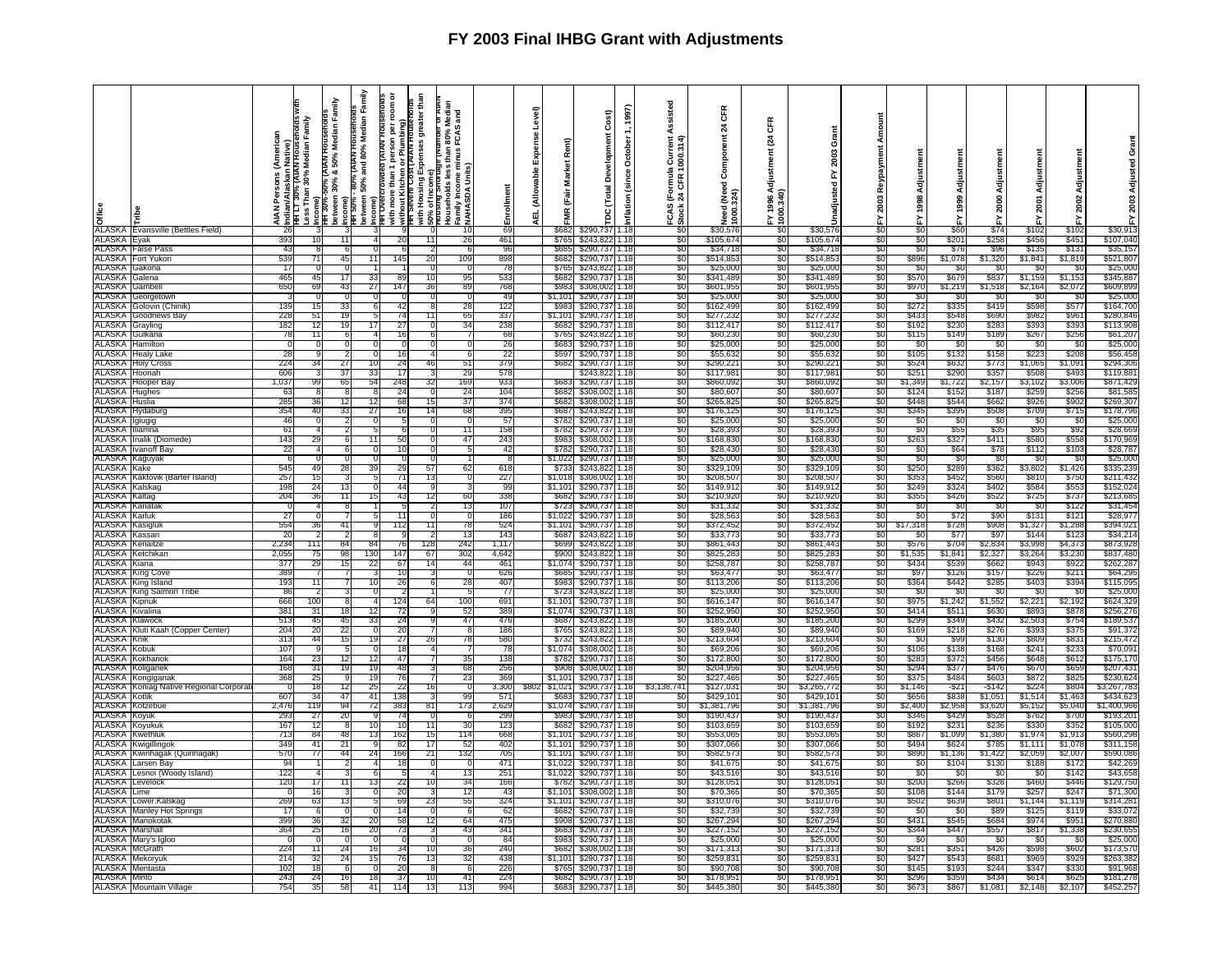|                                       | <b>a</b><br><b>E</b><br>ALASKA Evansville (Bettles Field) |            |           | Family    | Family<br>80% (AIAN Households<br>AIAN Persons (American<br>Similan/Alaskam Native)<br>Less Than 30% Median Family<br>American Similan Marchieles Windows<br>Detween 30% & 50% Median Family<br>Detween 50% and 80% Median Family<br>Detween 50% and 80% Median Family<br>PittTUVeTcr | ă<br>ing)<br>Plumbi<br>ă<br>with more than 1<br>without Kitchen<br>HH Severe Cost | greater than<br>់ខ្លួ<br>80% N<br>FCAS<br>Expenses<br>ēΕ<br>Households less tl<br>Family Income mir<br>;}NAHASDA Units)<br>with Housing E<br>50% of Income<br>Prousing Short | nemlio                 | Level)<br>pense<br>ŭ,<br>able<br>(Allow<br>ᇳ | Rent)<br>Market<br>(Fair<br>¥ | Cost)<br>Ē<br>Developm<br>(Total<br>ă | 1997)<br>October<br>(since<br>nflation | Assisted<br>la Current<br>1000.314)<br>rmula<br>CFR<br>$E_{\alpha}$<br>CAS | CFR<br>$\boldsymbol{z}$<br>Component<br>1(Need)<br>iooc<br>1 | Œ<br>t(24<br>tment<br>Adjust<br>1996<br>0.340)<br>8 | Grant<br>2003<br>놊<br>hadjusted | 2003           | Adjustmen<br>1998       | Adjustmen<br>1999   | Adjustmen<br>2000 | ន្ត              | Adjustmen<br>2002 | 2003                    |
|---------------------------------------|-----------------------------------------------------------|------------|-----------|-----------|---------------------------------------------------------------------------------------------------------------------------------------------------------------------------------------------------------------------------------------------------------------------------------------|-----------------------------------------------------------------------------------|------------------------------------------------------------------------------------------------------------------------------------------------------------------------------|------------------------|----------------------------------------------|-------------------------------|---------------------------------------|----------------------------------------|----------------------------------------------------------------------------|--------------------------------------------------------------|-----------------------------------------------------|---------------------------------|----------------|-------------------------|---------------------|-------------------|------------------|-------------------|-------------------------|
|                                       |                                                           |            |           |           |                                                                                                                                                                                                                                                                                       |                                                                                   |                                                                                                                                                                              |                        |                                              |                               |                                       |                                        | ö                                                                          |                                                              |                                                     |                                 | $\frac{5}{30}$ | $rac{1}{30}$            |                     |                   |                  | ř                 |                         |
|                                       |                                                           |            |           |           |                                                                                                                                                                                                                                                                                       |                                                                                   |                                                                                                                                                                              | 10<br>-69              |                                              | \$682                         | \$290.737                             | 1.18                                   | SO.                                                                        | \$30,576                                                     |                                                     | \$30.57                         |                |                         | \$60                | $\overline{$}74$  | \$102            | \$102             | \$30.913                |
| ALASKA                                | Eyak                                                      | 393        | 10        | 11        |                                                                                                                                                                                                                                                                                       | 20                                                                                | 11<br>26                                                                                                                                                                     | 461                    |                                              | \$765                         | \$243,822                             | 1.18                                   | \$0                                                                        | \$105,674                                                    | -90                                                 | \$105,674                       | \$0            | \$0                     | \$201               | \$258             | \$456            | \$45              | \$107,040               |
| ALASKA                                | False Pass                                                | 43         |           | - 6       | n                                                                                                                                                                                                                                                                                     |                                                                                   |                                                                                                                                                                              | 96<br>-6               |                                              | \$685                         | \$290.737                             | 1.18                                   | \$0                                                                        | \$34,718                                                     | -90                                                 | \$34,718                        | S0             | -SC                     | <b>S76</b>          | S96               | \$135            | \$131             | \$35,157                |
| ALASKA                                | Fort Yukon                                                | 539        | 71        | 45        | 11                                                                                                                                                                                                                                                                                    | 145                                                                               | 109<br>20                                                                                                                                                                    | 898                    |                                              | \$682                         | \$290,737                             | 1.18                                   | \$0                                                                        | \$514,853                                                    | \$0                                                 | \$514,85                        | \$0            | \$896                   | \$1,078             | \$1,320           | \$1,841          | \$1,819           | \$521,807               |
| ALASKA Gakona                         |                                                           | 17         |           |           |                                                                                                                                                                                                                                                                                       |                                                                                   |                                                                                                                                                                              | -78                    |                                              | \$765                         | \$243,822                             | 1.18                                   | 80                                                                         | \$25,000                                                     | -50                                                 | \$25,00                         | -80            | -80                     | -80                 | -50               | - SI             | -30               | \$25,000                |
| ALASKA                                | Galena                                                    | 465        | 45        | 17        | 33                                                                                                                                                                                                                                                                                    | <b>RC</b>                                                                         |                                                                                                                                                                              | 95<br>533              |                                              | \$68                          | \$290,73                              | 1.18                                   | \$0                                                                        | \$341,489                                                    | \$0                                                 | \$341,48                        | SO.            | \$570                   | \$679               | \$837             | \$1,159          | \$1,153           | \$345,88                |
| ALASKA                                | Gambell                                                   | 650        | 69        | 43        | 27                                                                                                                                                                                                                                                                                    | 147                                                                               | 36                                                                                                                                                                           | 768<br>89              |                                              | \$983                         | \$308,002                             | 1.18                                   | \$0                                                                        | \$601,95                                                     | -SO                                                 | \$601,95                        | S0             | \$970                   | \$1,219             | \$1,518           | \$2,164          | \$2,072           | \$609,899               |
| ALASKA                                | Georgetown                                                | 139        |           | 33        |                                                                                                                                                                                                                                                                                       | 42                                                                                |                                                                                                                                                                              | -49<br>28              |                                              | \$1.101<br>\$983              | \$290,73                              | 1.18                                   | 80                                                                         | \$25.00<br>\$162,499                                         | -80<br>S0.                                          | \$25.00<br>\$162,49             | 80<br>S0       | 50                      | \$335               | -SC<br>\$419      | \$598            | - 30<br>\$577     | \$25,00                 |
| ALASKA                                | <b>ALASKA Golovin (Chinik)</b><br>Goodnews Bav            | 228        | 51        | 19        |                                                                                                                                                                                                                                                                                       | 74                                                                                | 11                                                                                                                                                                           | 12:<br>65<br>337       |                                              | \$1,101                       | \$290,73<br>\$290,737                 | 1.18<br>1.18                           | \$0<br>\$0                                                                 | \$277,23                                                     | \$0                                                 | \$277,23                        | \$0            | \$272<br>\$433          | \$548               | \$690             | \$982            | \$961             | \$164,700<br>\$280,846  |
| <b>ALASKA</b>                         | Gravling                                                  | 182        | 12        | 19        | 17                                                                                                                                                                                                                                                                                    | -27                                                                               | 34<br>- 0                                                                                                                                                                    | 238                    |                                              | S682                          | \$290,737                             | 1.18                                   | 80                                                                         | \$112,417                                                    | - 30                                                | \$112.41                        | -50            | \$192                   | \$230               | \$283             | \$393            | \$393             | \$113,908               |
| ALASKA                                | Gulkana                                                   | 78         | 11        | 6         |                                                                                                                                                                                                                                                                                       | 16                                                                                | -61                                                                                                                                                                          | 68<br>7                |                                              | \$765                         | \$243,82                              | 1.18                                   | \$0                                                                        | \$60,23                                                      | \$0                                                 | \$60,23                         | \$0            | \$115                   | \$149               | \$189             | \$267            | \$256             | \$61,207                |
| <b>ALASKA</b>                         | Hamilton                                                  | $\Omega$   |           |           |                                                                                                                                                                                                                                                                                       |                                                                                   |                                                                                                                                                                              | 0<br>-26               |                                              | \$683                         | \$290,737                             | 1.18                                   | SO.                                                                        | \$25,000                                                     | SO.                                                 | \$25,00                         | SO.            | -90                     | -80                 | -90               | - SG             | -90               | \$25,000                |
| ALASKA                                | Healv Lake                                                | 28         |           | 2         |                                                                                                                                                                                                                                                                                       | 16                                                                                |                                                                                                                                                                              | 6<br>22                |                                              | \$597                         | \$290,737                             | 1.18                                   | \$0                                                                        | \$55,632                                                     | \$0                                                 | \$55,63                         | \$0            | \$105                   | \$132               | \$158             | \$22             | \$208             | \$56,458                |
|                                       | <b>ALASKA</b> Holy Cross                                  | 224        | 34        | 27        | 10 <sup>1</sup>                                                                                                                                                                                                                                                                       | 24                                                                                | 46                                                                                                                                                                           | 379<br>51              |                                              | \$682                         | \$290,737                             | 1.18                                   | \$0                                                                        | \$290,22                                                     | - \$0                                               | \$290.22                        | SO.            | \$524                   | \$632               | \$773             | \$1,065          | \$1,091           | \$294.306               |
| <b>ALASKA</b>                         | Hoonah                                                    | 606        |           | 37        | 33                                                                                                                                                                                                                                                                                    | 17                                                                                |                                                                                                                                                                              | 29<br>578              |                                              |                               | \$243,822                             | 1.18                                   | \$0                                                                        | \$117,98                                                     | \$0                                                 | \$117,98                        | \$0            | \$251                   | \$290               | \$357             | \$508            | \$493             | \$119,881               |
|                                       | ALASKA Hooper Bay                                         | 1,037      | qc        | 65        | 54                                                                                                                                                                                                                                                                                    | 248                                                                               | 169<br>32                                                                                                                                                                    | 93.                    |                                              | S68                           | \$290,737                             | 1.18                                   | \$0                                                                        | \$860,09                                                     | SO.                                                 | \$860.09                        | SO.            | \$1,349                 | \$1,722             | \$2,15            | \$3,102          | \$3,006           | \$871,429               |
| ALASKA Hughes                         |                                                           | 63         |           |           |                                                                                                                                                                                                                                                                                       | 24                                                                                | 24                                                                                                                                                                           | 104                    |                                              | \$682                         | \$308,002                             | 1.18                                   | \$0                                                                        | \$80,60                                                      | \$0                                                 | \$80,60                         | \$0            | \$124                   | \$15.               | \$18              | \$25             | \$256             | \$81,585                |
| <b>ALASKA</b>                         | Huslia                                                    | 285        | 36        | 12        | 12                                                                                                                                                                                                                                                                                    | -68                                                                               | 15<br>37                                                                                                                                                                     | 374                    |                                              | \$682                         | \$308,002                             | 1.18                                   | \$0                                                                        | \$265,82                                                     | -90                                                 | \$265.82                        | SO.            | \$448                   | \$544               | \$662             | \$926            | \$902             | \$269,307               |
| ALASKA                                | lydaburg                                                  | 354<br>46  | 40        | 33        | 27<br>$\Omega$                                                                                                                                                                                                                                                                        | 16                                                                                | 14                                                                                                                                                                           | 395<br>68<br>Ō.<br>-57 |                                              | \$687<br>\$782                | \$243,822                             | 1.18<br>1.18                           | \$0<br>\$0                                                                 | \$176,12                                                     | \$0<br>-80                                          | \$176,12<br>\$25,00             | \$0<br>80      | \$345<br>-90            | \$395<br>- \$0      | \$508<br>- 30     | \$709<br>- SO    | \$715<br>- 30     | \$178,796<br>\$25,00    |
| ALASKA Igiugig<br>ALASKA Illiamna     |                                                           | 61         |           |           | 5                                                                                                                                                                                                                                                                                     |                                                                                   |                                                                                                                                                                              | 158<br>11              |                                              | \$782                         | \$290,737<br>\$290,737                | 1.18                                   | \$0                                                                        | \$25,000<br>\$28,39                                          | \$0                                                 | \$28,39                         | \$0            | \$0                     | \$55                | \$35              | S95              | \$92              | \$28,66                 |
|                                       | ALASKA Inalik (Diomede)                                   | 143        | 29        | -6        | 11                                                                                                                                                                                                                                                                                    | 50                                                                                | 47<br>$\Omega$                                                                                                                                                               | 243                    |                                              | \$983                         | \$308,002                             | 1.18                                   | SO.                                                                        | \$168,830                                                    | -SO                                                 | \$168,83                        | SO.            | \$263                   | \$327               | \$411             | \$580            | \$558             | \$170,969               |
| <b>ALASKA</b>                         | Ivanoff Bay                                               | 22         |           |           |                                                                                                                                                                                                                                                                                       | 10                                                                                |                                                                                                                                                                              | -42<br>5               |                                              | S782                          | \$290,737                             | 1.18                                   | \$0                                                                        | \$28,430                                                     | \$0                                                 | \$28,43                         | \$0            | -80                     | \$64                | \$78              | \$112            | \$103             | \$28,787                |
|                                       | ALASKA Kaguyak                                            | 6          |           |           |                                                                                                                                                                                                                                                                                       |                                                                                   |                                                                                                                                                                              |                        |                                              | \$1,022                       | \$290,737                             | 1.18                                   | \$0                                                                        | \$25,000                                                     | \$0                                                 | \$25,000                        | SO.            | \$0                     | \$0                 | -90               | - \$0            | - SC              | \$25,000                |
| ALASKA                                | Kake                                                      | 545        | 49        | 28        | 39                                                                                                                                                                                                                                                                                    | 29                                                                                | 57<br>62                                                                                                                                                                     | 618                    |                                              | \$733                         | \$243,822                             | 1.18                                   | \$0                                                                        | \$329,109                                                    | -SO                                                 | \$329,10                        | S0             | \$250                   | \$289               | \$362             | \$3,802          | \$1,426           | \$335,239               |
|                                       | ALASKA Kaktovik (Barter Island)                           | 257        | 15        |           |                                                                                                                                                                                                                                                                                       | -71                                                                               | 13                                                                                                                                                                           | 227<br>$^{\circ}$      |                                              | \$1,018                       | \$308.002                             | 1.18                                   | \$0                                                                        | \$208.50                                                     | - 30                                                | \$208,50                        | -90            | \$353                   | \$452               | \$560             | \$810            | \$750             | \$211,432               |
| <b>ALASKA</b>                         | Kalskag                                                   | 198        | 24        | 13        | $\Omega$                                                                                                                                                                                                                                                                              | 44                                                                                | 9                                                                                                                                                                            | 99<br>3                |                                              | \$1,101                       | \$290,737                             | 1.18                                   | \$0                                                                        | \$149,912                                                    | \$0                                                 | \$149,912                       | \$0            | \$249                   | \$324               | \$402             | \$584            | \$553             | \$152,024               |
| ALASKA Kaltag<br>ALASKA               |                                                           | 204        | 36        | 11        | 15                                                                                                                                                                                                                                                                                    | 43                                                                                | 12                                                                                                                                                                           | 338<br>60              |                                              | \$682                         | \$290,737                             | 1.18                                   | \$0                                                                        | \$210,920                                                    | \$0                                                 | \$210,92                        | SO.<br>\$0     | \$355                   | <b>\$426</b><br>-96 | \$522<br>-80      | \$725            | \$737             | \$213,685               |
| ALASKA                                | Kanatak<br>Karluk                                         |            |           |           |                                                                                                                                                                                                                                                                                       | -11                                                                               |                                                                                                                                                                              | 13<br>107<br>186<br>0  |                                              | \$723<br>\$1,022              | \$290,737<br>\$290,737                | 1.18<br>1.18                           | \$0                                                                        | \$31,33<br>\$28,563                                          | \$0                                                 | \$31,33<br>\$28,563             | S0             | \$0<br>\$0              |                     | \$90              | - 33<br>\$131    | \$122<br>\$121    | \$31,454<br>\$28,977    |
| ALASKA                                | (asigluk                                                  | 27<br>554  | 36        | 41        |                                                                                                                                                                                                                                                                                       | 112                                                                               | 11                                                                                                                                                                           | 524<br>78              |                                              | \$1,101                       | \$290,737                             | 1.18                                   | \$0<br>\$0                                                                 | \$372,452                                                    | \$0<br>\$0                                          | \$372,45                        | \$0            | \$17,318                | \$72<br>\$728       | \$908             | \$1,32           | \$1,288           | \$394,021               |
| ALASKA                                | Kassan                                                    | 20         |           |           |                                                                                                                                                                                                                                                                                       |                                                                                   |                                                                                                                                                                              | 13<br>143              |                                              | \$687                         | \$243,822                             | 1.18                                   | \$0                                                                        | \$33,773                                                     | -90                                                 | \$33,773                        | -50            | -50                     | \$77                | -997              | - S14            | \$123             | \$34,214                |
|                                       | <b>ALASKA</b> Kenaitze                                    | 2,234      | 111       | 84        | 84                                                                                                                                                                                                                                                                                    | 76                                                                                | 128<br>242                                                                                                                                                                   | 1,117                  |                                              | \$699                         | \$243,822                             | 1.18                                   | \$0                                                                        | \$861,443                                                    | \$0                                                 | \$861,443                       | \$0            | \$576                   | \$704               | \$2,834           | \$3,998          | \$4,373           | \$873,928               |
|                                       | <b>ALASKA</b> Ketchikan                                   | 2.055      | 75        | 98        | 130                                                                                                                                                                                                                                                                                   | 147                                                                               | 67<br>302                                                                                                                                                                    | 4,642                  |                                              | \$900                         | \$243,822                             | 1.18                                   | SO.                                                                        | \$825,283                                                    | -90                                                 | \$825,283                       | SO.            | \$1,535                 | \$1.841             | \$2,327           | \$3,264          | \$3,230           | \$837,480               |
| ALASKA                                | Kiana                                                     | 377        | 29        | 15        | -22                                                                                                                                                                                                                                                                                   | 67                                                                                | 14<br>44                                                                                                                                                                     | 461                    |                                              | \$1,074                       | \$290,737                             | 1.18                                   | \$0                                                                        | \$258,78                                                     | \$0                                                 | \$258,78                        | 80             | \$434                   | \$539               | \$662             | \$94             | \$922             | \$262,287               |
|                                       | <b>ALASKA King Cove</b>                                   | 389        |           |           |                                                                                                                                                                                                                                                                                       | -10                                                                               |                                                                                                                                                                              | 626                    |                                              | \$685                         | \$290,737                             | 1.18                                   | \$0                                                                        | \$63,47                                                      | \$0                                                 | \$63,47                         | \$0            | \$97                    | \$126               | \$157             | \$226            | \$211             | \$64,295                |
|                                       | <b>ALASKA</b> King Island                                 | 193        | 11        |           | 10                                                                                                                                                                                                                                                                                    | 26                                                                                | ĥ                                                                                                                                                                            | 28<br>407              |                                              | \$983                         | \$290,737                             | 1.18                                   | \$0                                                                        | \$113,206                                                    | \$0                                                 | \$113,206                       | \$0            | \$364                   | \$442               | \$285             | \$403            | \$394             | \$115,095               |
|                                       | <b>ALASKA</b> King Salmon Tribe                           | 86         |           |           |                                                                                                                                                                                                                                                                                       |                                                                                   |                                                                                                                                                                              | - 77<br>5              |                                              | \$723                         | \$243,822                             | 1.18                                   | \$0                                                                        | \$25,000                                                     | \$0                                                 | \$25,00                         | S0             | -SC                     | -SC                 | - \$0             | - \$0            | -SC               | \$25,000                |
| ALASKA                                | Kinnuk                                                    | 666        | 100<br>31 | -81       |                                                                                                                                                                                                                                                                                       | 124                                                                               | 100<br>64                                                                                                                                                                    | 691                    |                                              | \$1,101                       | \$290.737                             | 1.18                                   | \$0                                                                        | \$616.14                                                     | <b>SO</b>                                           | \$616.147                       | S0<br>S0       | \$975                   | \$1.242             | \$1.552           | \$2.22           | \$2,192           | \$624.329               |
| <b>ALASKA</b><br><b>ALASKA</b>        | Kivalina<br>Klawock                                       | 381<br>513 | 45        | 18<br>45  | 33                                                                                                                                                                                                                                                                                    | -72<br>24                                                                         | 52                                                                                                                                                                           | 389<br>47<br>476       |                                              | \$1,074<br>\$687              | \$290,737<br>\$243,822                | 1.18<br>1.18                           | \$0<br>\$0                                                                 | \$252,950<br>\$185,200                                       | \$0<br>\$0                                          | \$252,95<br>\$185,20            | \$0            | \$414<br>\$299          | \$511<br>\$349      | \$630<br>\$432    | \$893<br>\$2,503 | \$878<br>\$754    | \$256,276<br>\$189,53   |
|                                       | ALASKA Kluti Kaah (Copper Center)                         | 204        | 20        | 22        |                                                                                                                                                                                                                                                                                       | 20                                                                                |                                                                                                                                                                              | 186<br>8               |                                              | \$765                         | \$243.82                              | 1.18                                   | \$0                                                                        | \$89.94                                                      | - 30                                                | \$89,940                        | \$0            | \$169                   | \$218               | \$276             | \$393            | \$375             | \$91,372                |
| ALASKA                                | Knik                                                      | 313        | 44        | 15        | 19                                                                                                                                                                                                                                                                                    | 27                                                                                | 26                                                                                                                                                                           | 580<br>78              |                                              | \$732                         | \$243.822                             | 1.18                                   | \$0                                                                        | \$213.604                                                    | \$0                                                 | \$213,604                       | S0             | -SC                     | S99                 | \$130             | \$809            | \$831             | \$215,472               |
| ALASKA <sup>1</sup>                   | Kobuk                                                     | 107        |           |           |                                                                                                                                                                                                                                                                                       | 18                                                                                |                                                                                                                                                                              | -78                    |                                              | \$1,07                        | \$308,00                              | 1.18                                   | \$0                                                                        | \$69,20                                                      | \$0                                                 | \$69,20                         | \$0            | \$106                   | \$138               | \$168             | \$24'            | \$233             | \$70,091                |
| ALASKA                                | Kokhano                                                   | 164        |           | 12        | 12                                                                                                                                                                                                                                                                                    | 47                                                                                |                                                                                                                                                                              | 35<br>138              |                                              | \$782                         | \$290.73                              | 1.18                                   | \$0                                                                        | \$172,80                                                     | 50                                                  | \$172,80                        | \$0            | \$283                   | \$372               | \$456             | \$648            | \$612             | \$175,170               |
| <b>ALASKA</b>                         | Koliganek                                                 | 168        | 31        | 19        | 19                                                                                                                                                                                                                                                                                    | 48                                                                                |                                                                                                                                                                              | 68<br>256              |                                              | \$908                         | \$308,002                             | 1.18                                   | \$0                                                                        | \$204,95                                                     | \$0                                                 | \$204,95                        | \$0            | \$294                   | \$377               | \$476             | \$670            | \$659             | \$207,431               |
| ALASKA                                | Kongiganak                                                | 368        | 25        |           | 19                                                                                                                                                                                                                                                                                    | 76                                                                                |                                                                                                                                                                              | 23<br>369              |                                              | \$1.101                       | \$290.737                             | 1.18                                   | \$0                                                                        | \$227,46                                                     | \$0                                                 | \$227.46                        | S0             | \$375                   | \$484               | \$603             | \$872            | \$825             | \$230.624               |
| <b>ALASKA</b><br><b>ALASKA Kotlik</b> | Koniag Native Regional Corpora                            | 607        | 34        | 12<br>47  | 25<br>41                                                                                                                                                                                                                                                                              | 22<br>138                                                                         | qq                                                                                                                                                                           | 3,300<br>57            |                                              | \$1,02<br>\$68                | \$290,73<br>\$290.737                 | 1.18<br>1.18                           | \$3,138,741<br>S0                                                          | \$127,03<br>\$429.10                                         | \$0<br>\$0                                          | \$3,265,77<br>\$429.10          | -90<br>S0      | \$1,146<br><b>\$656</b> | $-$ \$21<br>\$838   | -\$142<br>\$1.05  | \$22<br>\$1.51   | \$804<br>\$1.463  | \$3,267,783<br>\$434.62 |
|                                       | <b>ALASKA Kotzebue</b>                                    | 2,476      | 119       | 94        | 72                                                                                                                                                                                                                                                                                    | 383                                                                               | 81<br>173                                                                                                                                                                    | 2,629                  |                                              | \$1,074                       | \$290,737                             | 1.18                                   | \$0                                                                        | \$1,381,796                                                  | \$0                                                 | \$1,381,796                     | \$0            | \$2,400                 | \$2,958             | \$3,620           | \$5,152          | \$5,040           | \$1,400,966             |
| ALASKA                                | Koyuk                                                     | -293       | -27       | 20        | <b>q</b>                                                                                                                                                                                                                                                                              | -74                                                                               |                                                                                                                                                                              | -299<br>ĥ              |                                              | S98.                          | \$290,737                             | 1.18                                   | -90                                                                        | \$190.43                                                     | -90                                                 | \$190.43                        | -80            | \$34                    | \$429               | \$528             | \$762            | \$700             | \$193,20                |
| ALASKA                                | .<br>oyukuk                                               | 167        | 12        | 8         | 10                                                                                                                                                                                                                                                                                    | 10                                                                                | 11<br>30                                                                                                                                                                     | 123                    |                                              | \$68                          | \$290,737                             | 1.18                                   | \$0                                                                        | \$103,65                                                     | \$0                                                 | \$103,65                        | \$0            | \$192                   | \$23                | \$236             | \$33             | \$35              | \$105,000               |
| <b>ALASKA</b>                         | Kwethluk                                                  | 71:        | 84        | 48        | 13                                                                                                                                                                                                                                                                                    | 162                                                                               | 114<br>15                                                                                                                                                                    | 668                    |                                              | \$1,101                       | \$290,737                             | 1.18                                   | \$0                                                                        | \$553,065                                                    | \$0                                                 | \$553,06                        | S0             | \$867                   | \$1,099             | \$1,380           | \$1,97           | \$1,913           | \$560,29                |
| ALASKA                                | (wigillingo                                               | 349        | 41        | 21        |                                                                                                                                                                                                                                                                                       | 82                                                                                | 52<br>17                                                                                                                                                                     | 402                    |                                              | \$1.10                        | \$290,73                              | . 18                                   | \$0                                                                        | \$307,06                                                     | \$0                                                 | \$307,06                        | \$0            | \$494                   | \$62                | \$785             | \$1,11'          | \$1,078           | \$311,158               |
| ALASKA                                | Kwinhagak (Quinhagak)                                     | 570        | 77        | 44        | 24                                                                                                                                                                                                                                                                                    | 166                                                                               | 21<br>132                                                                                                                                                                    | 705                    |                                              | \$1.101                       | \$290,73                              | 1.18                                   | SO.                                                                        | \$582,57                                                     | SO.                                                 | \$582.57                        | SO.            | \$890                   | \$1,136             | \$1,422           | \$2,059          | \$2,007           | \$590,086               |
| ALASKA                                | arsen Bav                                                 | 94         |           |           |                                                                                                                                                                                                                                                                                       | 18                                                                                |                                                                                                                                                                              | 471                    |                                              | \$1.02                        | \$290,73                              | 1.18                                   | \$0                                                                        | \$41,67                                                      | \$0                                                 | \$41,67                         | SO.            | - \$0                   | \$10                | \$130             | \$188            | \$172             | \$42,26                 |
| <b>ALASKA</b>                         | ALASKA Lesnoi (Woody Island)                              | 122<br>120 | 17        | 11        | 13                                                                                                                                                                                                                                                                                    | 22                                                                                | 10                                                                                                                                                                           | 251<br>13<br>34<br>166 |                                              | \$1.022<br>\$782              | \$290.73<br>\$290,737                 | 1.18<br>1.18                           | 80<br>SO.                                                                  | \$43.51<br>\$128,05                                          | -50<br>\$0                                          | \$43,51<br>\$128,05             | -80<br>SO.     | -80<br>\$200            | - SC<br>\$266       | - 30<br>\$328     | - Si<br>\$460    | \$142<br>\$44     | \$43,658<br>\$129,75    |
| <b>ALASKA</b>                         | _evelock<br>Lime                                          |            | 16        |           | -0                                                                                                                                                                                                                                                                                    | 20                                                                                | -3                                                                                                                                                                           | 43<br>12               |                                              |                               | \$1,101 \$308,002                     | 1.18                                   | SO.                                                                        | \$70,365                                                     | \$0                                                 | \$70,36                         | S0             | \$108                   | \$144               | \$179             | \$25             | \$247             | \$71,30                 |
| <b>ALASKA</b>                         | Lower.Kalskag                                             | 269        | 63        | 13        |                                                                                                                                                                                                                                                                                       | 69                                                                                | 23                                                                                                                                                                           | 55<br>324              |                                              | \$1,101                       | \$290,737                             | 1.18                                   | 80                                                                         | \$310,07                                                     | -50                                                 | \$310,07                        | 80             | \$502                   | \$639               | \$801             | \$1,144          | \$1,11            | \$314,28                |
| <b>ALASKA</b>                         | <b>Manley Hot Springs</b>                                 | 17         | -6        | $\Omega$  |                                                                                                                                                                                                                                                                                       | 14                                                                                |                                                                                                                                                                              | 6<br>-62               |                                              | \$682                         | \$290,737                             | 1.18                                   | \$0                                                                        | \$32,739                                                     | \$0                                                 | \$32,73                         | SO.            | -SC                     | -SC                 | \$89              | \$12             | \$119             | \$33,07                 |
| ALASKA                                | Manokotak                                                 | 399        | 36        | 32        | 20                                                                                                                                                                                                                                                                                    | 58                                                                                | 12                                                                                                                                                                           | 64<br>475              |                                              | \$908                         | \$290,737                             | 1.18                                   | \$0                                                                        | \$267,29                                                     | SO.                                                 | \$267,29                        | S0             | \$431                   | \$545               | \$684             | \$974            | \$951             | \$270,88                |
| ALASKA                                | Marshall                                                  | 364        | 25        | 16        | 20                                                                                                                                                                                                                                                                                    | 73                                                                                |                                                                                                                                                                              | 341<br>43              |                                              | \$683                         | \$290,737                             | 1.18                                   | \$0                                                                        | \$227,152                                                    | -SO                                                 | \$227,152                       | S0             | \$344                   | <b>\$447</b>        | \$557             | \$817            | \$1,338           | \$230,655               |
| <b>ALASKA</b>                         | Mary's Igloo                                              |            |           | $\Omega$  |                                                                                                                                                                                                                                                                                       |                                                                                   | $\Omega$                                                                                                                                                                     | -84<br>0               |                                              | \$983                         | \$290,73                              | 1.18                                   | \$0                                                                        | \$25,000                                                     | \$0                                                 | \$25,00                         | \$0            | -30                     | \$0                 | \$0               | - \$0            | -\$0              | \$25,000                |
| ALASKA                                | McGrath                                                   | 224        |           | 24        | 16                                                                                                                                                                                                                                                                                    |                                                                                   |                                                                                                                                                                              | 240<br>36              |                                              | \$682                         | \$308.00                              | 1.18                                   | SO.                                                                        | \$171,313                                                    | .SO                                                 | \$171,313                       | .SO            | \$281                   | \$351               | \$426             | \$59             | \$602             | \$173,570               |
| ALASKA                                | Mekoryul<br>ALASKA Mentasta                               | 214<br>102 | 32<br>18  | 24<br>- 6 | 15<br>5                                                                                                                                                                                                                                                                               | 76<br>20                                                                          | 13<br>-8                                                                                                                                                                     | 32<br>438<br>226<br>-6 |                                              | \$1,101<br>- \$765            | \$290,737<br>\$290,737                | 1.18<br>1.18                           | SO.<br>80                                                                  | \$259,83<br>\$90.70                                          | \$0<br>-90                                          | \$259,83<br>\$90.70             | \$0<br>-80     | \$427<br>\$145          | \$543<br>\$193      | \$681<br>\$244    | \$969<br>\$34    | \$929<br>\$330    | \$263,382<br>\$91,968   |
| ALASKA Minto                          |                                                           | 243        | 24        | 16        | 18                                                                                                                                                                                                                                                                                    | -37                                                                               | $10^{-}$                                                                                                                                                                     | 41<br>224              |                                              |                               | \$682 \$290,737                       | 1.18                                   | \$0                                                                        | \$178,95                                                     | \$0                                                 | \$178,951                       | \$0            | \$296                   | \$359               | \$434             | \$614            | \$625             | \$181,278               |
|                                       | ALASKA Mountain Village                                   | 754        | 35        | 58        | 41                                                                                                                                                                                                                                                                                    | 114                                                                               | 13<br>113                                                                                                                                                                    | 994                    |                                              |                               | \$683 \$290,737 1.18                  |                                        | \$0                                                                        | \$445,380                                                    | \$0                                                 | \$445,380                       | SO.            | \$673                   | \$867               | \$1,081           | \$2,148          | \$2,107           | \$452,257               |
|                                       |                                                           |            |           |           |                                                                                                                                                                                                                                                                                       |                                                                                   |                                                                                                                                                                              |                        |                                              |                               |                                       |                                        |                                                                            |                                                              |                                                     |                                 |                |                         |                     |                   |                  |                   |                         |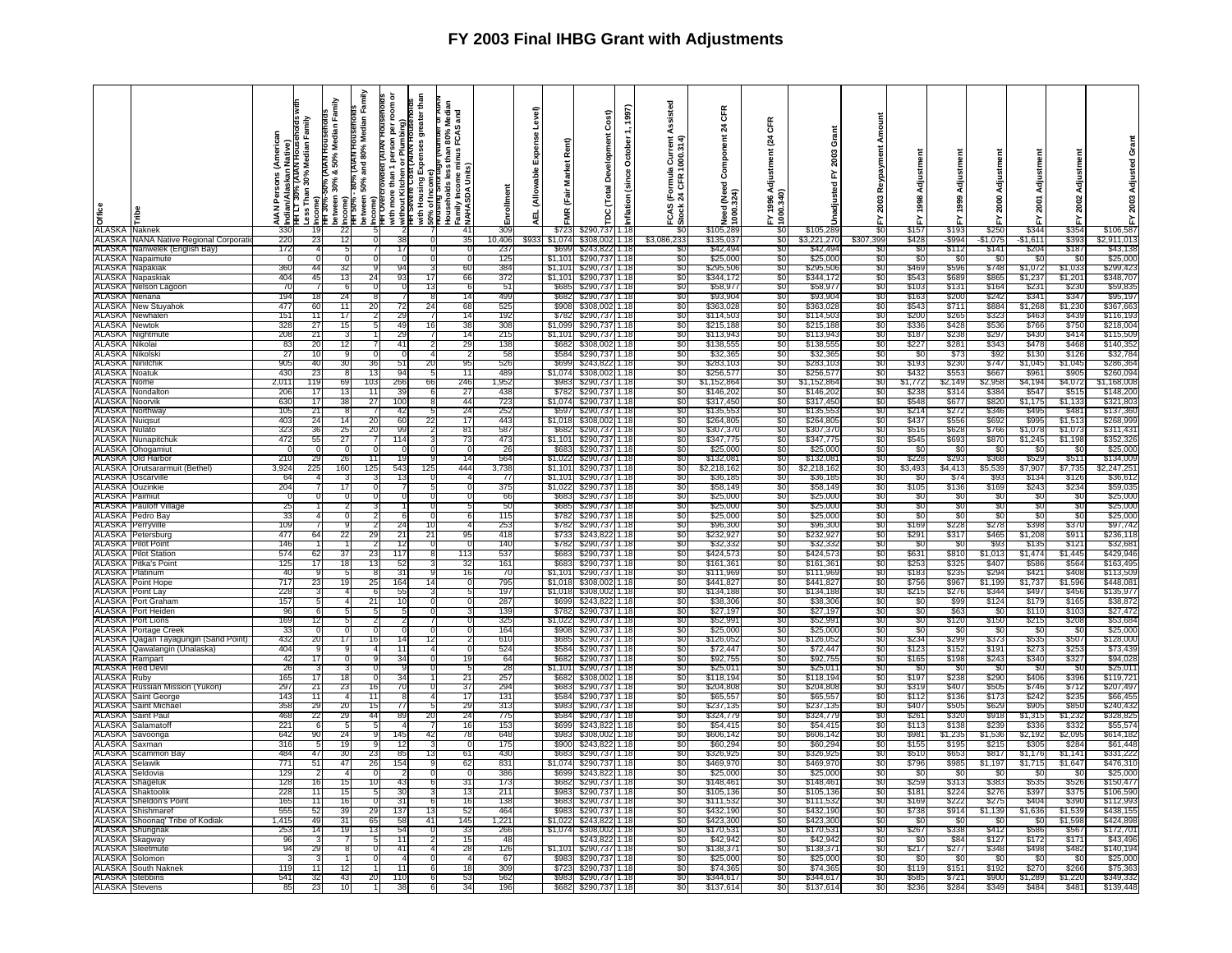| <b>e</b><br><b>G</b><br><b>ALASKA</b><br><b>Naknek</b> |                                                          | <b>American</b><br>ዺ፟<br>℥<br>330 | ∮Indian/Alaskan Native)<br>THT L⊺ 30% (ATAN Housenoids w<br>Less Than 30% Median Family<br>;Income) | Family<br>Hit 30%-30% (AIAN Housenoids<br>between 30% & 50% Median Fam<br>খুhcome)<br>Hit 50% - 80% (AIAN Housenoids<br>$\bar{22}$ | Family<br><b>AIAN HOUSENOIDS</b><br>Median<br>80%<br>htt 50% - 80% (АГАN HG<br>between 50% and 80% I<br>Income)<br>HH Overcrowded (АГАМ | ă<br>ing)<br>Plumbi<br>ă<br>৯ E<br>with more than 1<br>without Kitchen<br>IHT Severe Cost | greater than<br>and<br>80% N<br>FCAS<br>Expenses<br>Households less tl<br>Family Income mir<br>≿NAHASDA Units)<br>with Housing E<br>50% of Income<br>Prousing Short<br>41 | ollment<br>309 | Level)<br>pense<br>ŭ,<br>able<br>₹<br>ᇳ | Rent)<br>Market<br>j<br>Eair<br>¥ | Cost)<br>Ē<br>Developm<br>(Total<br>ă<br>\$290.737 | 1997)<br>October<br>(since<br>nflation<br>1.18 | Assisted<br>1000.314<br>ō<br>rmula<br>CFR<br>$E_{\alpha}$<br>CAS<br>ö<br>SO. | <b>CFR</b><br>$\boldsymbol{z}$<br>Component<br>1(Need)<br>Jeed<br>000<br>\$105,289 | Œ<br>1(24)<br>tment<br>Adjust<br>1996<br>0.340)<br>8 | Grant<br>2003<br>놊<br>ह<br>hadjust<br>\$105,289 | $\overline{50}$ | Adjustmen<br>1998<br>\$157 | Adjustmen<br>1999<br>\$193 | Adjustmen<br>2000<br>\$250 | ន្ត<br>\$344      | Adjustmen<br>2002<br>\$354 | 2003<br>$\frac{1}{2}$<br>\$106,587 |
|--------------------------------------------------------|----------------------------------------------------------|-----------------------------------|-----------------------------------------------------------------------------------------------------|------------------------------------------------------------------------------------------------------------------------------------|-----------------------------------------------------------------------------------------------------------------------------------------|-------------------------------------------------------------------------------------------|---------------------------------------------------------------------------------------------------------------------------------------------------------------------------|----------------|-----------------------------------------|-----------------------------------|----------------------------------------------------|------------------------------------------------|------------------------------------------------------------------------------|------------------------------------------------------------------------------------|------------------------------------------------------|-------------------------------------------------|-----------------|----------------------------|----------------------------|----------------------------|-------------------|----------------------------|------------------------------------|
| ALASKA                                                 | <b>NANA Native Regional Corporati</b>                    | 220                               | 23                                                                                                  | 12                                                                                                                                 |                                                                                                                                         | -38                                                                                       | 35                                                                                                                                                                        | 10,406         | \$933                                   | \$1,07                            | \$308,002                                          | 1.18                                           | \$3,086,233                                                                  | \$135,037                                                                          | -50                                                  | \$3,221,270                                     | \$307,399       | \$428                      | -\$994                     | \$1,075                    | -\$1,611          | \$393                      | \$2,911,013                        |
| ALASKA                                                 | Nanwelek (English Bay)                                   | 172                               |                                                                                                     | -5                                                                                                                                 |                                                                                                                                         | 17                                                                                        | $\Omega$<br>n                                                                                                                                                             | 237            |                                         | \$699                             | \$243.822                                          | 1.18                                           | \$0                                                                          | \$42,494                                                                           | \$0                                                  | \$42,494                                        | S0              | -SC                        | \$11                       | \$141                      | \$204             | \$187                      | \$43,138                           |
| ALASKA                                                 | Napaimute                                                |                                   |                                                                                                     |                                                                                                                                    |                                                                                                                                         |                                                                                           | 0                                                                                                                                                                         | 125            |                                         | \$1,101                           | \$290,737                                          | 1.18                                           | \$0                                                                          | \$25,000                                                                           | \$0                                                  | \$25,000                                        | \$0             | \$0                        | - \$0                      | -SC                        | -S                | - \$0                      | \$25,000                           |
| ALASKA                                                 | ALASKA Napakiak                                          | 360<br>404                        | 44<br>45                                                                                            | 32<br>13                                                                                                                           | 24                                                                                                                                      | -q<br>93                                                                                  | 60<br>17<br>66                                                                                                                                                            | 384<br>372     |                                         | \$1.101                           | \$290,737<br>\$290,737                             | 1.18<br>1.18                                   | 80<br>\$0                                                                    | \$295,50<br>\$344,17                                                               | -80<br>\$0                                           | \$295,50<br>\$344,17                            | -80<br>SO.      | \$469<br>\$543             | \$596<br>\$689             | \$748<br>\$86              | \$1.072<br>\$1,23 | \$1.033<br>\$1,201         | \$299,423<br>\$348,707             |
| ALASKA                                                 | Napaskiak<br>Nelson Lagoon                               | 70                                |                                                                                                     | -6                                                                                                                                 |                                                                                                                                         |                                                                                           | 13<br>6                                                                                                                                                                   | 51             |                                         | \$1,101<br><b>S685</b>            | \$290,737                                          | 1.18                                           | \$0                                                                          | \$58,97                                                                            | \$0                                                  | \$58,97                                         | S0              | \$103                      | \$131                      | \$164                      | \$23'             | \$230                      | \$59,83                            |
| ALASKA                                                 | Nenana                                                   | 9٤                                |                                                                                                     | 24                                                                                                                                 |                                                                                                                                         |                                                                                           | 14                                                                                                                                                                        | 499            |                                         | \$68                              | \$290.73                                           | 1.18                                           | 80                                                                           | \$93,90                                                                            | -90                                                  | \$93,90                                         | 80              | \$16                       | \$200                      | \$242                      | \$34              | \$34                       | \$95,19                            |
|                                                        | <b>ALASKA</b> New Stuyahok                               | 477                               | 6ſ                                                                                                  | 11                                                                                                                                 | 20                                                                                                                                      |                                                                                           | 24<br>68                                                                                                                                                                  | 525            |                                         | \$908                             | \$308.00                                           | 1.18                                           | SO.                                                                          | \$363,028                                                                          | SO.                                                  | \$363,02                                        | .SO             | \$543                      | \$711                      | \$884                      | \$1,268           | \$1,230                    | \$367,663                          |
| <b>ALASKA</b>                                          | Newhalen                                                 | 151                               | 11                                                                                                  | 17                                                                                                                                 |                                                                                                                                         | 29                                                                                        | 14                                                                                                                                                                        | 192            |                                         | \$782                             | \$290,737                                          | 1.18                                           | \$0                                                                          | \$114,503                                                                          | \$0                                                  | \$114,503                                       | SO.             | \$200                      | \$26                       | \$323                      | \$463             | \$439                      | \$116,193                          |
| <b>ALASKA</b> Newtok                                   |                                                          | -328                              | 27                                                                                                  | 15                                                                                                                                 |                                                                                                                                         | -49                                                                                       | 38<br>16                                                                                                                                                                  | 308            |                                         | \$1,099                           | \$290,737                                          | 1.18                                           | 80                                                                           | \$215,188                                                                          | - 30                                                 | \$215.18                                        | -50             | \$336                      | \$428                      | \$536                      | \$766             | \$750                      | \$218,004                          |
| <b>ALASKA</b><br><b>ALASKA Nikolai</b>                 | lightmute                                                | 208<br>83                         | 21<br>20                                                                                            | -3<br>12                                                                                                                           |                                                                                                                                         | 29<br>41                                                                                  | 14<br>29                                                                                                                                                                  | 215<br>13      |                                         | \$1,101<br>\$682                  | \$290,737<br>\$308,002                             | 1.18<br>1.18                                   | \$0<br>SO.                                                                   | \$113,94<br>\$138,55                                                               | \$0<br>SO.                                           | \$113,94<br>\$138.55                            | \$0<br>.SO      | \$187<br>\$227             | \$238<br>\$281             | \$297<br>\$343             | \$430<br>\$478    | \$414<br>\$468             | \$115,50<br>\$140,352              |
| ALASKA                                                 | Nikolsk                                                  | 27                                | 10                                                                                                  | 9                                                                                                                                  |                                                                                                                                         |                                                                                           | 2                                                                                                                                                                         | 58             |                                         | \$584                             | \$290,737                                          | 1.18                                           | \$0                                                                          | \$32,36                                                                            | \$0                                                  | \$32,36                                         | \$0             | \$0                        | \$73                       | \$92                       | \$130             | \$126                      | \$32,784                           |
| ALASKA                                                 | Ninilchil                                                | 905                               | 40                                                                                                  | 30                                                                                                                                 | 36                                                                                                                                      | 51                                                                                        | 20<br>95                                                                                                                                                                  | 526            |                                         | \$699                             | \$243.822                                          | 1.18                                           | \$0                                                                          | \$283,103                                                                          | -90                                                  | \$283,10                                        | SO.             | \$193                      | \$230                      | \$747                      | \$1,045           | \$1,045                    | \$286,364                          |
| ALASKA                                                 | Voatuk                                                   | 430                               | 23                                                                                                  | -8                                                                                                                                 | 13                                                                                                                                      | 94                                                                                        | 11<br>$\cdot$                                                                                                                                                             | 489            |                                         | \$1,074                           | \$308,002                                          | 1.18                                           | \$0                                                                          | \$256,57                                                                           | \$0                                                  | \$256,57                                        | \$0             | \$432                      | \$553                      | \$667                      | \$96              | \$905                      | \$260,094                          |
| ALASKA <sup>1</sup>                                    | Nome                                                     | 2,01'                             | 119                                                                                                 | 69                                                                                                                                 | 103                                                                                                                                     | 266                                                                                       | 246<br>66                                                                                                                                                                 | 1,952          |                                         | \$983                             | \$290,737                                          | 1.18                                           | \$0                                                                          | \$1,152,86                                                                         | SO.                                                  | \$1,152,86                                      | SO.             | \$1,772                    | \$2,149                    | \$2,958                    | \$4,194           | \$4,072                    | \$1,168,008                        |
| <b>ALASKA</b><br><b>ALASKA</b>                         | Nondalto<br>Noorvik                                      | -206<br>630                       | 17<br>17                                                                                            | 13<br>38                                                                                                                           | 11                                                                                                                                      | 39<br>100                                                                                 | 27<br>44<br>-8                                                                                                                                                            | 438            |                                         | \$782                             | \$290,737<br>\$290,737                             | 1.18                                           | \$0                                                                          | \$146,202                                                                          | \$0<br>-90                                           | \$146,20<br>\$317.45                            | \$0<br>SO.      | \$238<br>\$548             | \$31<br>\$677              | \$384<br>\$820             | \$54<br>\$1,175   | \$51.<br>\$1,133           | \$148,20<br>\$321,803              |
| ALASKA                                                 | Vorthway                                                 | 10 <sup>5</sup>                   | 21                                                                                                  | 8                                                                                                                                  | 27                                                                                                                                      | 42                                                                                        | 24<br>-5                                                                                                                                                                  | 723<br>252     |                                         | \$1,074<br>\$597                  | \$290,737                                          | 1.18<br>1.18                                   | \$0<br>\$0                                                                   | \$317,450<br>\$135,553                                                             | \$0                                                  | \$135.55                                        | \$0             | \$214                      | \$272                      | \$346                      | \$49              | \$481                      | \$137,360                          |
| <b>ALASKA Nuiqsut</b>                                  |                                                          | 403                               | 24                                                                                                  | 14                                                                                                                                 | 20                                                                                                                                      | 60                                                                                        | 22<br>17                                                                                                                                                                  | 443            |                                         | \$1,018                           | \$308,002                                          | 1.18                                           | \$0                                                                          | \$264,80                                                                           | -90                                                  | \$264,80                                        | 80              | \$437                      | \$556                      | \$692                      | <b>\$995</b>      | \$1,513                    | \$268,999                          |
| ALASKA Nulato                                          |                                                          | 323                               | 36                                                                                                  | 25                                                                                                                                 | 20                                                                                                                                      | 99                                                                                        | 81                                                                                                                                                                        | 587            |                                         | \$682                             | \$290,737                                          | 1.18                                           | \$0                                                                          | \$307,37                                                                           | -SO                                                  | \$307,37                                        | S0              | \$516                      | \$628                      | \$766                      | \$1,078           | \$1,073                    | \$311,431                          |
| AI ASKA                                                | Nunapitchuk                                              | 472                               | 55                                                                                                  | 27                                                                                                                                 |                                                                                                                                         | 114                                                                                       | 73                                                                                                                                                                        | 473            |                                         | \$1.101                           | \$290,737                                          | 1.18                                           | SO.                                                                          | \$347.77                                                                           | -SO                                                  | \$347,775                                       | SO.             | \$545                      | \$693                      | \$870                      | \$1,245           | \$1,198                    | \$352,326                          |
| <b>ALASKA</b>                                          | Ohogamiut                                                |                                   |                                                                                                     |                                                                                                                                    |                                                                                                                                         |                                                                                           |                                                                                                                                                                           | -26            |                                         | S68.                              | \$290,737                                          | 1.18                                           | \$0                                                                          | \$25,000                                                                           | \$0                                                  | \$25,00                                         | \$0             | -90                        | -\$0                       | -30                        | -31               | -SC                        | \$25,000                           |
|                                                        | ALASKA Old Harbor<br>ALASKA   Orutsararmuit (Bethel)     | 210<br>3,924                      | 29<br>225                                                                                           | 26<br>160                                                                                                                          | 11<br>125                                                                                                                               | 543                                                                                       | 14<br>444<br>125                                                                                                                                                          | 564<br>3,738   |                                         | \$1,022                           | \$290,737<br>\$1,101 \$290,737                     | 1.18<br>1.18                                   | \$0<br>\$0                                                                   | \$132,08<br>\$2,218,162                                                            | \$0<br>-SO                                           | \$132,081<br>\$2,218,162                        | SO.<br>\$0      | \$228<br>\$3,493           | \$293<br>\$4,413           | \$368<br>\$5,539           | \$529<br>\$7,907  | \$511<br>\$7,735           | \$134,009<br>\$2,247,25            |
|                                                        | <b>ALASKA</b> Oscarville                                 | -64                               |                                                                                                     |                                                                                                                                    |                                                                                                                                         | -13                                                                                       |                                                                                                                                                                           | -77            |                                         |                                   | \$1,101 \$290,737                                  | 1.18                                           | \$0                                                                          | \$36,18                                                                            | - 30                                                 | \$36,18                                         | -90             | -50                        | \$74                       | \$93                       | \$134             | \$126                      | \$36,612                           |
| <b>ALASKA</b> Ouzinkie                                 |                                                          | 204                               |                                                                                                     | 17                                                                                                                                 |                                                                                                                                         |                                                                                           | 5<br>0                                                                                                                                                                    | 375            |                                         | \$1,022                           | \$290,737                                          | 1.18                                           | \$0                                                                          | \$58,149                                                                           | \$0                                                  | \$58,149                                        | \$0             | \$105                      | \$136                      | \$169                      | \$243             | \$234                      | \$59,035                           |
| ALASKA Paimiut                                         |                                                          | $\Omega$                          |                                                                                                     | $\Omega$                                                                                                                           |                                                                                                                                         |                                                                                           | 0                                                                                                                                                                         | 66             |                                         | \$683                             | \$290,737                                          | 1.18                                           | \$0                                                                          | \$25,000                                                                           | \$0                                                  | \$25,000                                        | SO.             | -\$0                       | \$0                        | -90                        | - \$0             | \$0                        | \$25,000                           |
|                                                        | <b>ALASKA</b> Pauloff Village<br><b>ALASKA</b> Pedro Bay | 25<br>33                          |                                                                                                     |                                                                                                                                    |                                                                                                                                         |                                                                                           | 5                                                                                                                                                                         | -50<br>115     |                                         | \$685<br>\$782                    | \$290,737<br>\$290,737                             | 1.18<br>1.18                                   | \$0                                                                          | \$25,00                                                                            | \$0<br>-90                                           | \$25,00<br>\$25,000                             | \$0<br>S0       | \$0<br>\$0                 | \$0                        | -960<br>\$0                | - SO<br>-80       | \$0<br>\$0                 | \$25,000<br>\$25,000               |
| <b>ALASKA</b>                                          | Perrvville                                               | 109                               |                                                                                                     |                                                                                                                                    |                                                                                                                                         | 24                                                                                        | 6                                                                                                                                                                         | 253            |                                         | \$782                             | \$290,737                                          | 1.18                                           | \$0<br>\$0                                                                   | \$25,000<br>\$96,300                                                               | \$0                                                  | \$96,30                                         | \$0             | \$169                      | \$0<br>\$228               | \$278                      | \$398             | \$370                      | \$97,742                           |
| <b>ALASKA</b>                                          | Petersburg                                               | 477                               | 64                                                                                                  | 22                                                                                                                                 | 29                                                                                                                                      | 21                                                                                        | -21<br>95                                                                                                                                                                 | 418            |                                         | \$733                             | \$243.82                                           | 1.18                                           | \$0                                                                          | \$232.92                                                                           | -90                                                  | \$232.92                                        | 80              | \$291                      | \$317                      | \$465                      | \$1,208           | \$911                      | \$236,118                          |
| <b>ALASKA</b> IF                                       | Pilot Point                                              | 146                               |                                                                                                     |                                                                                                                                    |                                                                                                                                         | 12                                                                                        | $\Omega$<br>$\Omega$                                                                                                                                                      | 140            |                                         | \$782                             | \$290,737                                          | 1.18                                           | \$0                                                                          | \$32,332                                                                           | \$0                                                  | \$32,33                                         | \$0             | \$0                        | \$C                        | \$93                       | \$135             | \$121                      | \$32,68                            |
|                                                        | <b>ALASKA</b> Pilot Station                              | 574                               | 62                                                                                                  | 37                                                                                                                                 | 23                                                                                                                                      | 117                                                                                       | 113                                                                                                                                                                       | 537            |                                         | \$683                             | \$290,737                                          | 1.18                                           | SO.                                                                          | \$424,573                                                                          | -90                                                  | \$424,57                                        | S0              | \$631                      | \$810                      | \$1,013                    | \$1,474           | \$1,445                    | \$429,946                          |
| <b>ALASKA</b>                                          | <sup>9</sup> itka's Point                                | 125                               | 17                                                                                                  | 18                                                                                                                                 | 13                                                                                                                                      | -52                                                                                       | 32                                                                                                                                                                        | 161            |                                         | \$68.                             | \$290,737                                          | 1.18                                           | \$0                                                                          | \$161,36                                                                           | \$0                                                  | \$161,36                                        | 80              | \$253                      | \$325                      | \$407                      | \$58              | \$564                      | \$163,495                          |
|                                                        | <b>ALASKA Platinum</b><br><b>ALASKA</b> Point Hope       | 40<br>717                         | 23                                                                                                  | 19                                                                                                                                 | 25                                                                                                                                      | 31<br>164                                                                                 | 16<br>0                                                                                                                                                                   | -70<br>795     |                                         | \$1,101<br>\$1,018                | \$290,737<br>\$308,002                             | 1.18<br>1.18                                   | \$0<br>\$0                                                                   | \$111,969<br>\$441,827                                                             | \$0<br>\$0                                           | \$111,969<br>\$441,82                           | \$0<br>\$0      | \$183<br>\$756             | \$235<br>\$967             | \$294<br>\$1,199           | \$42<br>\$1,737   | \$408<br>\$1,596           | \$113,509<br>\$448,081             |
| ALASKA                                                 | Point Lay                                                | 228                               |                                                                                                     |                                                                                                                                    |                                                                                                                                         | 55                                                                                        |                                                                                                                                                                           | 197            |                                         | \$1,018                           | \$308,002                                          | 1.18                                           | \$0                                                                          | \$134,188                                                                          | \$0                                                  | \$134,18                                        | S0              | \$215                      | \$27                       | \$344                      | \$49              | \$456                      | \$135,977                          |
| ALASKA                                                 | Port Graham                                              | 157                               |                                                                                                     |                                                                                                                                    | 21                                                                                                                                      | 10                                                                                        | $\Omega$                                                                                                                                                                  | 287            |                                         | <b>\$699</b>                      | \$243.822                                          | 1.18                                           | \$0                                                                          | \$38,306                                                                           | \$0                                                  | \$38.30                                         | S0              | -90                        | S99                        | \$124                      | \$179             | \$165                      | \$38,872                           |
| ALASKA                                                 | ort Heiden                                               | 96                                |                                                                                                     |                                                                                                                                    |                                                                                                                                         |                                                                                           |                                                                                                                                                                           | 139            |                                         | \$782                             | \$290,737                                          | 1.18                                           | \$0                                                                          | \$27,19                                                                            | \$0                                                  | \$27,19                                         | S0              | -\$C                       | \$63                       | \$0                        | \$110             | \$103                      | \$27,472                           |
| ALASKA                                                 | <b>ALASKA</b> Port Lions                                 | 169<br>33                         | 12                                                                                                  |                                                                                                                                    |                                                                                                                                         |                                                                                           |                                                                                                                                                                           | 325<br>164     |                                         | \$1,022<br>-908                   | \$290,737                                          | 1.18<br>1.18                                   | \$0                                                                          | \$52,99                                                                            | \$0<br>-50                                           | \$52,99                                         | \$0<br>\$0      | \$0<br>-90                 | \$120<br>-30               | \$150<br>- 30              | \$215<br>- \$0    | \$208<br>- 30              | \$53,684                           |
| ALASKA                                                 | Portage Creek<br>Qagan Tayagungin (Sand Point)           | 432                               | 20                                                                                                  | 17                                                                                                                                 | $\Omega$<br>16                                                                                                                          | 14                                                                                        | 12<br>$\mathcal{P}$                                                                                                                                                       | 610            |                                         | \$685                             | \$290,737<br>\$290.737                             | 1.18                                           | \$0<br>\$0                                                                   | \$25,000<br>\$126,052                                                              | \$0                                                  | \$25,000<br>\$126,052                           | \$0             | \$234                      | \$299                      | \$373                      | \$535             | \$507                      | \$25,000<br>\$128,000              |
| ALASKA                                                 | Qawalangin (Unalaska)                                    | 404                               |                                                                                                     |                                                                                                                                    |                                                                                                                                         | -11                                                                                       | 0                                                                                                                                                                         | 524            |                                         | \$584                             | \$290,737                                          | 1.18                                           | \$0                                                                          | \$72,44                                                                            | \$0                                                  | \$72,44                                         | \$0             | \$123                      | \$152                      | \$19'                      | \$27              | \$253                      | \$73,439                           |
| ALASKA                                                 | Rampart                                                  | 42                                |                                                                                                     |                                                                                                                                    |                                                                                                                                         | 34                                                                                        | 19                                                                                                                                                                        | 64             |                                         | \$68.                             | \$290,737                                          | 1.18                                           | \$0                                                                          | \$92,75                                                                            | S0                                                   | \$92,75                                         | \$0             | \$165                      | \$198                      | \$243                      | \$34              | \$327                      | \$94,02                            |
| ALASKA                                                 | <b>Red Devi</b>                                          | 26                                |                                                                                                     |                                                                                                                                    |                                                                                                                                         |                                                                                           | 5                                                                                                                                                                         | 28             |                                         | \$1,101                           | \$290,737                                          | 1.18                                           | \$0                                                                          | \$25,01                                                                            | \$0                                                  | \$25,01                                         | \$0             | -30                        | -\$0                       | -\$0                       | - \$0             | - \$0                      | \$25,011                           |
| ALASKA<br>ALASKA                                       | Ruby<br>Russian Mission (Yukon)                          | 165<br>297                        | 17                                                                                                  | 18<br>23                                                                                                                           | $\Omega$<br>16                                                                                                                          | 34<br>70                                                                                  | 21<br>37                                                                                                                                                                  | 257<br>29      |                                         | \$68<br>\$68                      | \$308,002<br>\$290,73                              | 1.18<br>∏.18                                   | \$0<br>\$0                                                                   | \$118.194<br>\$204,80                                                              | \$0<br>-90                                           | \$118.194<br>\$204,80                           | \$0<br>30       | \$197<br>\$31!             | \$238<br>\$407             | \$290                      | \$406<br>\$746    | \$396<br>\$712             | \$119.72<br>\$207,497              |
| <b>ALASKA</b>                                          | Saint George                                             | 143                               | 11                                                                                                  |                                                                                                                                    | 11                                                                                                                                      |                                                                                           | 17                                                                                                                                                                        | $13^{\circ}$   |                                         | \$58                              | \$290.737                                          | 1.18                                           | \$0                                                                          | \$65.55                                                                            | \$0                                                  | \$65.55                                         | \$0             | \$112                      | \$136                      | \$505<br>\$173             | \$24              | \$23                       | \$66.45                            |
|                                                        | <b>ALASKA Saint Michae</b>                               | 358                               | 29                                                                                                  | 20                                                                                                                                 | 15                                                                                                                                      | 77                                                                                        | 29                                                                                                                                                                        | 313            |                                         | \$983                             | \$290,737                                          | 1.18                                           | \$0                                                                          | \$237,13                                                                           | \$0                                                  | \$237,13                                        | S0              | \$407                      | \$505                      | \$629                      | \$905             | \$850                      | \$240,432                          |
| ALASKA                                                 | Saint Paul                                               | 468                               | 22                                                                                                  | 29                                                                                                                                 | 44                                                                                                                                      | -89                                                                                       | -20<br>24                                                                                                                                                                 | 775            |                                         | \$58                              | \$290,737                                          | 1.18                                           | -90                                                                          | \$324.77                                                                           | -90                                                  | \$324,77                                        | -80             | \$26                       | \$320                      | \$918                      | \$1,315           | \$1,232                    | \$328,825                          |
| ALASKA                                                 | Salamatof                                                | 221                               |                                                                                                     |                                                                                                                                    |                                                                                                                                         |                                                                                           | 16                                                                                                                                                                        | 153            |                                         | \$699                             | \$243,82                                           | 1.18                                           | \$0                                                                          | \$54,41                                                                            | \$0                                                  | \$54,41                                         | \$0             | \$113                      | \$138                      | \$239                      | \$33              | \$33                       | \$55,57                            |
| ALASKA<br>ALASKA                                       | Savoonga<br>Saxman                                       | 642<br>316                        | 90                                                                                                  | 24<br>19                                                                                                                           |                                                                                                                                         | 145<br>12                                                                                 | 78<br>42                                                                                                                                                                  | 648<br>175     |                                         | S98.<br>\$90                      | \$308,002<br>\$243,82                              | 1.18<br>. 18                                   | \$0<br>\$0                                                                   | \$606,14<br>\$60,29                                                                | \$0<br>\$0                                           | \$606,14<br>\$60,29                             | S0<br>\$0       | \$981<br>\$155             | \$1,235<br>\$19            | \$1,536<br>\$21            | \$2,192<br>\$30   | \$2,09<br>\$28             | \$614,182<br>\$61,448              |
| ALASKA                                                 | Scammon Bay                                              | 484                               | 47                                                                                                  | 30                                                                                                                                 | 23                                                                                                                                      | -85                                                                                       | 13<br>61                                                                                                                                                                  | 430            |                                         | S68.                              | \$290.73                                           | 1.18                                           | SO.                                                                          | \$326.92                                                                           | -SO                                                  | \$326.92                                        | SO.             | \$510                      | \$65                       | \$817                      | \$1,176           | \$1,141                    | \$331.222                          |
| ALASKA                                                 | selawik                                                  | 77'                               | 51                                                                                                  | 47                                                                                                                                 | 26                                                                                                                                      | 154                                                                                       | 62                                                                                                                                                                        | 831            |                                         | \$1,07                            | \$290,737                                          | 1.18                                           | \$0                                                                          | \$469,97                                                                           | \$0                                                  | \$469,97                                        | \$0             | \$796                      | \$98                       | \$1,197                    | \$1,71            | \$1,647                    | \$476,310                          |
| <b>ALASKA</b> Seldovia                                 |                                                          | 129                               |                                                                                                     |                                                                                                                                    | - 0                                                                                                                                     |                                                                                           | $\Omega$                                                                                                                                                                  | 386            |                                         | -8699                             | \$243.82                                           | 1.18                                           | -50                                                                          | \$25.00                                                                            | -50                                                  | \$25,00                                         | -80             | - SC                       | - 31                       | -930                       | - 53              | - SC                       | \$25,000                           |
| <b>ALASKA</b>                                          | Shageluk                                                 | 128                               | 16                                                                                                  | 15                                                                                                                                 | 10                                                                                                                                      | 43                                                                                        | 31                                                                                                                                                                        | 173            |                                         | \$68                              | \$290,737                                          | 1.18                                           | SO.                                                                          | \$148,46                                                                           | \$0                                                  | \$148,46                                        | SO.             | \$259                      | \$31                       | \$383                      | \$535             | \$526                      | \$150,47                           |
| ALASKA<br><b>ALASKA</b>                                | Shaktoolil<br>Sheldon's Poin                             | 228<br>165                        | 11                                                                                                  | 15<br>16                                                                                                                           | 5                                                                                                                                       | 30<br>-31                                                                                 | 13<br>з                                                                                                                                                                   | 211<br>13      |                                         | \$983<br>\$68                     | \$290,737                                          | 1.18<br>1.18                                   | SO.<br>80                                                                    | \$105,136                                                                          | -SO                                                  | \$105,136<br>\$111.53                           | S0<br>80        | \$181<br>\$169             | \$224<br>\$22              | \$276<br>\$275             | \$397<br>\$404    | \$375<br>\$39              | \$106,59<br>\$112,99               |
|                                                        | <b>ALASKA</b> Shishmaref                                 | 555                               | 52                                                                                                  | 39                                                                                                                                 | 29                                                                                                                                      | 137                                                                                       | 16<br>52<br>13                                                                                                                                                            | 464            |                                         | \$983                             | \$290,73<br>\$290,737                              | 1.18                                           | \$0                                                                          | \$111,53<br>\$432,190                                                              | -50<br>\$0                                           | \$432,19                                        | SO.             | \$738                      | \$914                      | \$1,139                    | \$1,636           | \$1,539                    | \$438,155                          |
|                                                        | ALASKA Shoonaq' Tribe of Kodiak                          | 1,415                             | 49                                                                                                  | 31                                                                                                                                 | 65                                                                                                                                      | 58                                                                                        | 145<br>41                                                                                                                                                                 | 1,221          |                                         | \$1.022                           | \$243,82                                           | 1.18                                           | \$0                                                                          | \$423,30                                                                           | \$0                                                  | \$423,30                                        | S0              | -90                        | -SC                        | \$0                        | - \$0             | \$1,598                    | \$424,89                           |
| ALASKA                                                 | Shungnak                                                 | 253                               | 14                                                                                                  | 19                                                                                                                                 | 13                                                                                                                                      | 54                                                                                        | 33                                                                                                                                                                        | 266            |                                         | \$1,074                           | \$308,002                                          | 1.18                                           | \$0                                                                          | \$170,53                                                                           | -SO                                                  | \$170,53                                        | S0              | \$267                      | \$338                      | \$412                      | \$586             | \$567                      | \$172,70                           |
| ALASKA                                                 | Skagwav                                                  | 96                                |                                                                                                     |                                                                                                                                    |                                                                                                                                         | 11                                                                                        | 15                                                                                                                                                                        | -48            |                                         |                                   | \$243,82                                           | 1.18                                           | \$0                                                                          | \$42,94                                                                            | \$0                                                  | \$42,94                                         | \$0             | -30                        | \$84                       | \$127                      | \$172             | \$171                      | \$43,49                            |
| ALASKA<br>ALASKA                                       | Sleetmute<br>Solomon                                     | 94                                |                                                                                                     |                                                                                                                                    |                                                                                                                                         | $\mathbf{A}$                                                                              | 28                                                                                                                                                                        | 12<br>67       |                                         | \$983                             | \$290,73<br>\$290,737                              | 1.18<br>1.18                                   | SO.<br>SO.                                                                   | \$138,37<br>\$25,000                                                               | .SO<br>\$0                                           | \$138.37<br>\$25,000                            | .SO<br>S0       | \$217<br>-SC               | \$277<br>-SC               | \$348<br>-\$0              | \$49<br>- \$0     | \$482<br>- SC              | \$140,19<br>\$25,00                |
|                                                        | <b>ALASKA</b> South Naknek                               | 119                               | 11                                                                                                  | 12                                                                                                                                 |                                                                                                                                         | 11                                                                                        | 18<br>6                                                                                                                                                                   | 309            |                                         | \$723                             | \$290,737                                          | 1.18                                           | 80                                                                           | \$74.36                                                                            | - 30                                                 | \$74.36                                         | -80             | \$119                      | \$151                      | \$192                      | \$270             | \$266                      | \$75,363                           |
|                                                        | <b>ALASKA Stebbins</b>                                   | 541                               | 32                                                                                                  | 43                                                                                                                                 | 20                                                                                                                                      | 110                                                                                       | 53                                                                                                                                                                        | 562            |                                         | \$983                             | \$290,737                                          | 1.18                                           | \$0                                                                          | \$344,617                                                                          | \$0                                                  | \$344,617                                       | \$0             | \$585                      | \$721                      | \$900                      | \$1,289           | \$1,220                    | \$349,332                          |
| <b>ALASKA</b> Stevens                                  |                                                          | 85                                | 23                                                                                                  | 10                                                                                                                                 |                                                                                                                                         | 38                                                                                        | 34                                                                                                                                                                        | 196            |                                         |                                   | \$682 \$290,737 1.18                               |                                                | \$0                                                                          | \$137,614                                                                          | \$0                                                  | \$137,614                                       | SO.             | \$236                      | \$284                      | \$349                      | \$484             | \$481                      | \$139,448                          |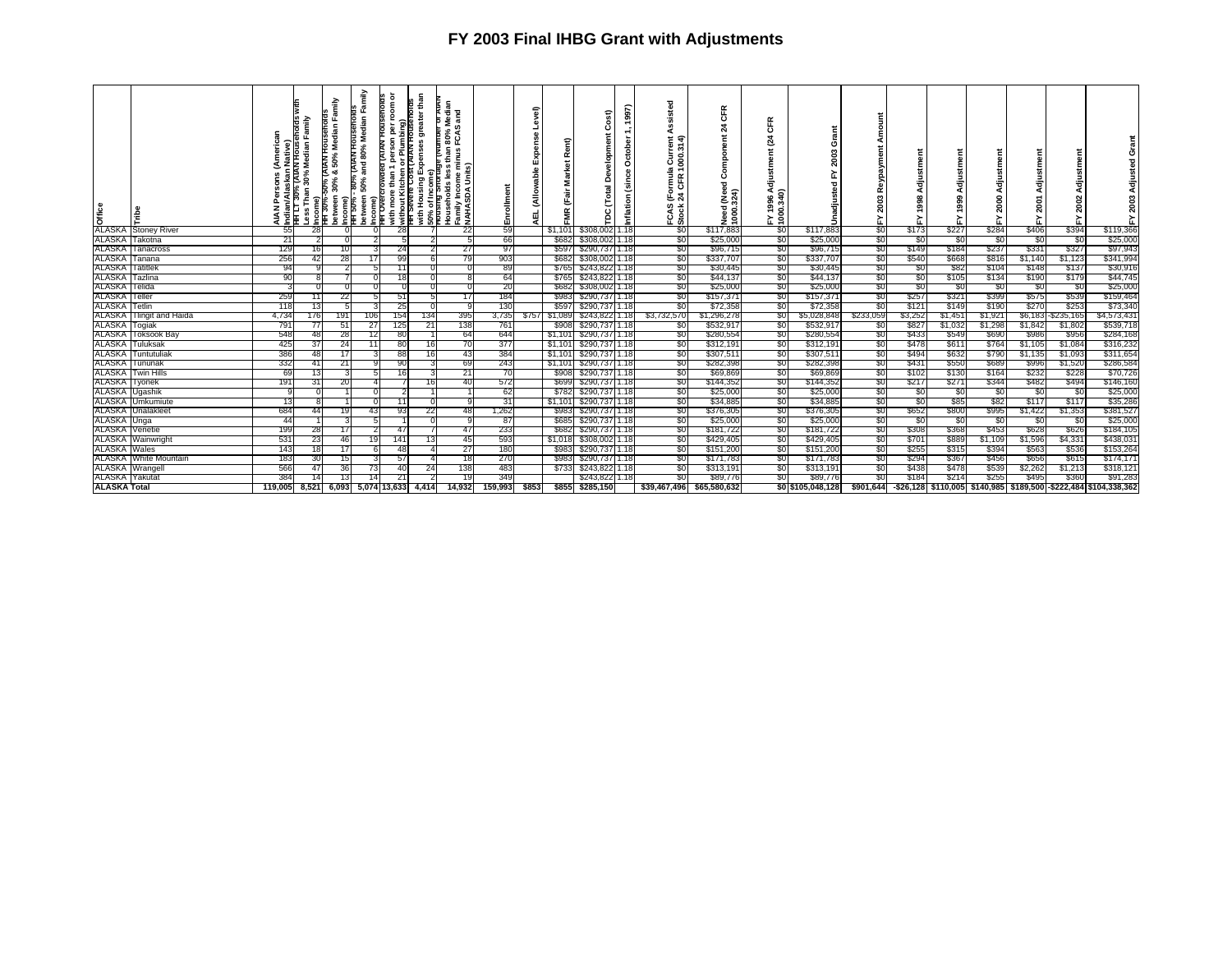| Office                 |                              | <b>AIAN</b>                            | indian/Alaskan Native)<br>HH LT 30% (AIAN Housenoids<br>Less Than 30% Median Family<br>$\widehat{\bullet}$ | Family<br><b>DIOUSSNOH NATK</b><br>Median<br>50%<br>- ಂಶ<br>petween 30%<br>%Dc<br>Income)<br>HH 30% | Family<br>(AIAN HOUSENOIDS<br>and 80% Median<br>Income)<br>HH Overcrowded<br>Income)<br>1HH 50% - 80% I<br>between 50% a | ৯<br><b>AIAN HOUSENOIDS</b><br>room<br>iviti more than 1 person per ro<br>∛without Kitchen or Plumbing)<br>THT Severe Cost (AIAN Housein | fousenoids<br>greater than<br>anore<br>Housing Expenses<br>৳<br>जान<br>बाह्य<br>बाह्य | Median<br>្តូ<br>Households less than 80% N<br>Family Income minus FCAS<br>NAHASDA Units)<br>В | Enrollment | 富<br>ă<br>面  | Rent)<br>ğ<br>s.<br>늚<br>FMR | £,<br>velopm<br>å<br>Total<br>$\mathbf{c}$<br>ĕ | 1997)<br>$\ddotmark$<br>October<br>(since<br>Inflation | ᇴ<br>(Formula Current<br>24 CFR 1000.314)<br>FCAS<br>Stock | CFR<br>24<br>යි<br>P.<br>$rac{6}{23}$<br>Need<br>1000. | 뚠<br>ō<br>હ<br>ti<br>B<br>FY 1996 Av<br>1000.340) | Grant<br>2003<br>≿<br>Unadjusted |           | 등<br>ë<br>> | 름<br>8<br>ల్ల<br>≿ | 듬       | 2001<br>> | Adjustment<br>2002<br>ፚ | 놊                                                                 |
|------------------------|------------------------------|----------------------------------------|------------------------------------------------------------------------------------------------------------|-----------------------------------------------------------------------------------------------------|--------------------------------------------------------------------------------------------------------------------------|------------------------------------------------------------------------------------------------------------------------------------------|---------------------------------------------------------------------------------------|------------------------------------------------------------------------------------------------|------------|--------------|------------------------------|-------------------------------------------------|--------------------------------------------------------|------------------------------------------------------------|--------------------------------------------------------|---------------------------------------------------|----------------------------------|-----------|-------------|--------------------|---------|-----------|-------------------------|-------------------------------------------------------------------|
|                        | <b>ALASKA Stoney River</b>   | 55                                     | 28                                                                                                         |                                                                                                     |                                                                                                                          | 28                                                                                                                                       |                                                                                       | 22                                                                                             | 59         |              | \$1,101                      | \$308,002                                       | 1.18                                                   | \$0                                                        | \$117,883                                              | -90                                               | \$117,883                        | \$0       | \$173       | \$227              | \$284   | \$406     | \$394                   | \$119,366                                                         |
|                        | ALASKA Takotna               | 211                                    |                                                                                                            |                                                                                                     |                                                                                                                          |                                                                                                                                          |                                                                                       |                                                                                                | 66         |              | \$682                        | \$308,002 1.18                                  |                                                        | \$0                                                        | \$25,000                                               | \$0                                               | \$25,000                         | \$0       | \$0         | \$0                | -90     | -30       | -80                     | \$25,000                                                          |
|                        | <b>ALASKA Tanacross</b>      | 129                                    |                                                                                                            | 10                                                                                                  |                                                                                                                          | 24                                                                                                                                       |                                                                                       | 27                                                                                             | 97         |              | \$597                        | \$290,737 1.18                                  |                                                        | \$0                                                        | \$96,715                                               | -90                                               | \$96,715                         | \$0       | \$149       | \$184              | \$237   | \$331     | \$327                   | \$97,943                                                          |
| ALASKA Tanana          |                              | 256                                    | 42                                                                                                         | 28                                                                                                  | 17 <sup>1</sup>                                                                                                          | 99                                                                                                                                       |                                                                                       | 79                                                                                             | 903        |              | \$682                        | \$308,002 1.18                                  |                                                        | \$0                                                        | \$337,707                                              | \$0                                               | \$337,707                        | \$0       | \$540       | \$668              | \$816   | \$1,140   | \$1,123                 | \$341,994                                                         |
| <b>ALASKA</b> Tatitlek |                              | 94                                     |                                                                                                            |                                                                                                     |                                                                                                                          | 11                                                                                                                                       |                                                                                       |                                                                                                | 89         |              | \$765                        | \$243,822 1.18                                  |                                                        | \$0                                                        | \$30,445                                               | -80                                               | \$30,445                         | \$0       | -90         | \$82               | \$104   | \$148     | \$137                   | \$30,916                                                          |
| ALASKA Tazlina         |                              | 90                                     |                                                                                                            |                                                                                                     |                                                                                                                          | 18                                                                                                                                       |                                                                                       |                                                                                                | 64         |              | \$765                        | \$243,822 1.18                                  |                                                        | \$0                                                        | \$44,137                                               | -90                                               | \$44,137                         | <b>SO</b> | \$0         | \$105              | \$134   | \$190     | \$179                   | \$44,745                                                          |
| <b>ALASKA</b> Telida   |                              |                                        |                                                                                                            |                                                                                                     |                                                                                                                          |                                                                                                                                          |                                                                                       |                                                                                                | 20         |              | \$682                        | \$308,002 1.18                                  |                                                        | \$0                                                        | \$25,000                                               | -90                                               | \$25,000                         | \$0       | \$0         | \$0                | \$0     | -SC       | -\$0                    | \$25,000                                                          |
| <b>ALASKA</b> Teller   |                              | 259                                    | 11                                                                                                         | 22                                                                                                  | 5                                                                                                                        | 51                                                                                                                                       |                                                                                       | 171                                                                                            | 184        |              | \$983                        | \$290,737 1.18                                  |                                                        | \$0                                                        | \$157,37                                               | -80                                               | \$157,371                        | -80       | \$257       | \$321              | \$399   | \$575     | \$539                   | \$159,464                                                         |
| ALASKA Tetlin          |                              | 118                                    |                                                                                                            |                                                                                                     |                                                                                                                          | 25                                                                                                                                       |                                                                                       |                                                                                                | 130        |              | \$597                        | \$290,737 1.18                                  |                                                        | \$0                                                        | \$72,358                                               | \$0                                               | \$72,358                         | \$0       | \$121       | \$149              | \$190   | \$270     | \$253                   | \$73,340                                                          |
|                        | ALASKA Tlingit and Haida     | 4,734                                  | 176                                                                                                        | 191                                                                                                 | 106                                                                                                                      | 154                                                                                                                                      | 134                                                                                   | 395                                                                                            | 3,735      | \$757        | \$1,089                      | \$243,822 1.18                                  |                                                        | \$3,732,570                                                | \$1,296,278                                            | \$0                                               | \$5,028,848                      | \$233,059 | \$3,252     | \$1,451            | \$1,921 |           | \$6,183 - \$235,165     | \$4,573,431                                                       |
| ALASKA Togiak          |                              | 791                                    | $\prime\prime$                                                                                             | 51                                                                                                  | 27                                                                                                                       | 125                                                                                                                                      | 21                                                                                    | 138                                                                                            | 761        |              | \$908                        | \$290,737 1.18                                  |                                                        | \$0                                                        | \$532,91                                               | -80                                               | \$532,917                        | -50       | \$827       | \$1,032            | \$1,298 | \$1,842   | \$1,802                 | \$539,718                                                         |
| ALASKA                 | Toksook Bay                  | 548                                    | 48                                                                                                         | 28                                                                                                  | 12                                                                                                                       | 80                                                                                                                                       |                                                                                       | 64                                                                                             | 644        |              | \$1,101                      | \$290,737 1.18                                  |                                                        | \$0                                                        | \$280,554                                              | -90                                               | \$280,554                        | \$0       | \$433       | \$549              | \$690   | \$986     | \$956                   | \$284,168                                                         |
|                        | <b>ALASKA</b> Tuluksak       | 425                                    | 37                                                                                                         | 24                                                                                                  | 111                                                                                                                      | 80                                                                                                                                       | 16                                                                                    | 70                                                                                             | 377        |              | \$1,101                      | \$290,737 1.18                                  |                                                        | \$0                                                        | \$312,191                                              | -90                                               | \$312,191                        | \$0       | \$478       | \$611              | \$764   | \$1,105   | \$1,084                 | \$316,232                                                         |
| ALASKA T               | Tuntutuliak                  | 386                                    |                                                                                                            | 17                                                                                                  |                                                                                                                          | 88                                                                                                                                       | 16                                                                                    | 431                                                                                            | 384        |              | \$1,101                      | \$290,737 1.18                                  |                                                        | \$0                                                        | \$307,51                                               | -90                                               | \$307,511                        | \$0       | \$494       | \$632              | \$790   | \$1,135   | \$1,093                 | \$311,654                                                         |
|                        | ALASKA Tununak               | 332                                    | 41                                                                                                         | 21                                                                                                  |                                                                                                                          | 90                                                                                                                                       |                                                                                       | 69                                                                                             | 243        |              |                              | \$1,101 \$290,737 1.18                          |                                                        | \$0                                                        | \$282,398                                              | \$0                                               | \$282,398                        | \$0       | \$431       | \$550              | \$689   | \$996     | \$1,520                 | \$286,584                                                         |
| ALASKA                 | Twin Hills                   | 69                                     |                                                                                                            |                                                                                                     |                                                                                                                          | 16                                                                                                                                       |                                                                                       | 21                                                                                             | 70         |              | \$908                        | \$290,737 1.18                                  |                                                        | \$0                                                        | \$69,869                                               | -90                                               | \$69,869                         | \$0       | \$102       | \$130              | \$164   | \$232     | \$228                   | \$70,726                                                          |
| <b>ALASKA</b> Tyonek   |                              | 191                                    | 31                                                                                                         | 20                                                                                                  |                                                                                                                          |                                                                                                                                          | 16                                                                                    | 40                                                                                             | 572        |              | \$699                        | \$290,737 1.18                                  |                                                        | \$0                                                        | \$144,352                                              | \$0                                               | \$144,352                        | \$0       | \$217       | \$271              | \$344   | \$482     | \$494                   | \$146,160                                                         |
| ALASKA                 | Ugashik                      |                                        |                                                                                                            |                                                                                                     |                                                                                                                          |                                                                                                                                          |                                                                                       |                                                                                                | -62        |              | \$782                        | \$290,737 1.18                                  |                                                        | \$0                                                        | \$25,000                                               | -80                                               | \$25,000                         | -80       | \$0         | \$0                | -90     | - 30      | -80                     | \$25,000                                                          |
| <b>ALASKA</b>          | Jmkumiute                    | 13                                     |                                                                                                            |                                                                                                     |                                                                                                                          | 11                                                                                                                                       |                                                                                       |                                                                                                | 31         |              | \$1,101                      | \$290,737 1.18                                  |                                                        | \$0                                                        | \$34,885                                               | -90                                               | \$34,885                         | \$0       | \$0         | \$85               | \$82    | \$117     | \$117                   | \$35,286                                                          |
| ALASKA                 | Unalakleet                   | 684                                    | 44                                                                                                         | 19                                                                                                  | 43                                                                                                                       | 93                                                                                                                                       | 22                                                                                    | 481                                                                                            | 1,262      |              | \$983                        | \$290,737 1.18                                  |                                                        | \$0                                                        | \$376,305                                              | \$0                                               | \$376,305                        | \$0       | \$652       | \$800              | \$995   | \$1,422   | \$1,353                 | \$381,527                                                         |
| ALASKA Unga            |                              | 44                                     |                                                                                                            |                                                                                                     | 5                                                                                                                        |                                                                                                                                          |                                                                                       |                                                                                                | -87        |              | \$685                        | \$290,737 1.18                                  |                                                        | \$0                                                        | \$25,000                                               | -80                                               | \$25,000                         | \$0       | \$0         | \$0                | 80      | -SC       | -50                     | \$25,000                                                          |
| <b>ALASKA</b> Venetie  |                              | 199                                    | 28                                                                                                         | 17                                                                                                  |                                                                                                                          | 47                                                                                                                                       |                                                                                       | 47                                                                                             | 233        |              | \$682                        | \$290,737 1.18                                  |                                                        | \$0                                                        | \$181,722                                              | -90                                               | \$181,722                        | \$0       | \$308       | \$368              | \$453   | \$628     | \$626                   | \$184,105                                                         |
| <b>ALASKA</b>          | Wainwright                   | 531                                    | 23                                                                                                         | 46                                                                                                  | 19                                                                                                                       | 141                                                                                                                                      | 13 <sup>l</sup>                                                                       | 45                                                                                             | 593        |              | \$1,018                      | \$308,002 1.18                                  |                                                        | \$0                                                        | \$429,405                                              | \$0                                               | \$429,405                        | \$0       | \$701       | \$889              | \$1,109 | \$1,596   | \$4,331                 | \$438,031                                                         |
| <b>ALASKA Wales</b>    |                              | 143                                    |                                                                                                            | 17                                                                                                  |                                                                                                                          | 48                                                                                                                                       |                                                                                       | 27                                                                                             | 180        |              | \$9831                       | \$290,737 1.18                                  |                                                        | \$0                                                        | \$151,200                                              | -80                                               | \$151,200                        | \$0       | \$255       | \$315              | \$394   | \$563     | \$536                   | \$153,264                                                         |
|                        | <b>ALASKA White Mountain</b> | 183                                    | 30                                                                                                         | 15                                                                                                  |                                                                                                                          | 57                                                                                                                                       |                                                                                       | 18                                                                                             | 270        |              | \$983                        | \$290,737 1.18                                  |                                                        | \$0                                                        | \$171,783                                              | \$0                                               | \$171,783                        | \$0       | \$294       | \$367              | \$456   | \$656     | \$615                   | \$174,171                                                         |
| ALASKA Wrange          |                              | 566                                    | 47                                                                                                         | 36                                                                                                  | 731                                                                                                                      | 40                                                                                                                                       | 24                                                                                    | 138                                                                                            | 483        |              |                              | \$733 \$243,822 1.18                            |                                                        | \$0                                                        | \$313,191                                              | -90                                               | \$313,191                        | \$0       | \$438       | \$478              | \$539   | \$2,262   | \$1,213                 | \$318,121                                                         |
| <b>ALASKA</b> Yakutat  |                              | 384                                    |                                                                                                            | 13                                                                                                  |                                                                                                                          | 21                                                                                                                                       |                                                                                       |                                                                                                | 349        |              |                              | \$243,822 1.18                                  |                                                        | \$0                                                        | \$89,776                                               | <b>SO</b>                                         | \$89,776                         | \$0       | \$184       | \$214              | \$255   | \$495     | \$360                   | \$91,283                                                          |
| <b>ALASKA Total</b>    |                              | 119,005 8,521 6,093 5,074 13,633 4,414 |                                                                                                            |                                                                                                     |                                                                                                                          |                                                                                                                                          |                                                                                       | 14.932                                                                                         | 159,993    | <b>S8531</b> |                              | \$855 \$285,150                                 |                                                        |                                                            | \$39,467,496 \$65,580,632                              |                                                   | \$0 \$105,048,128                | \$901,644 |             |                    |         |           |                         | -\$26,128 \$110,005 \$140,985 \$189,500 - \$222,484 \$104,338,362 |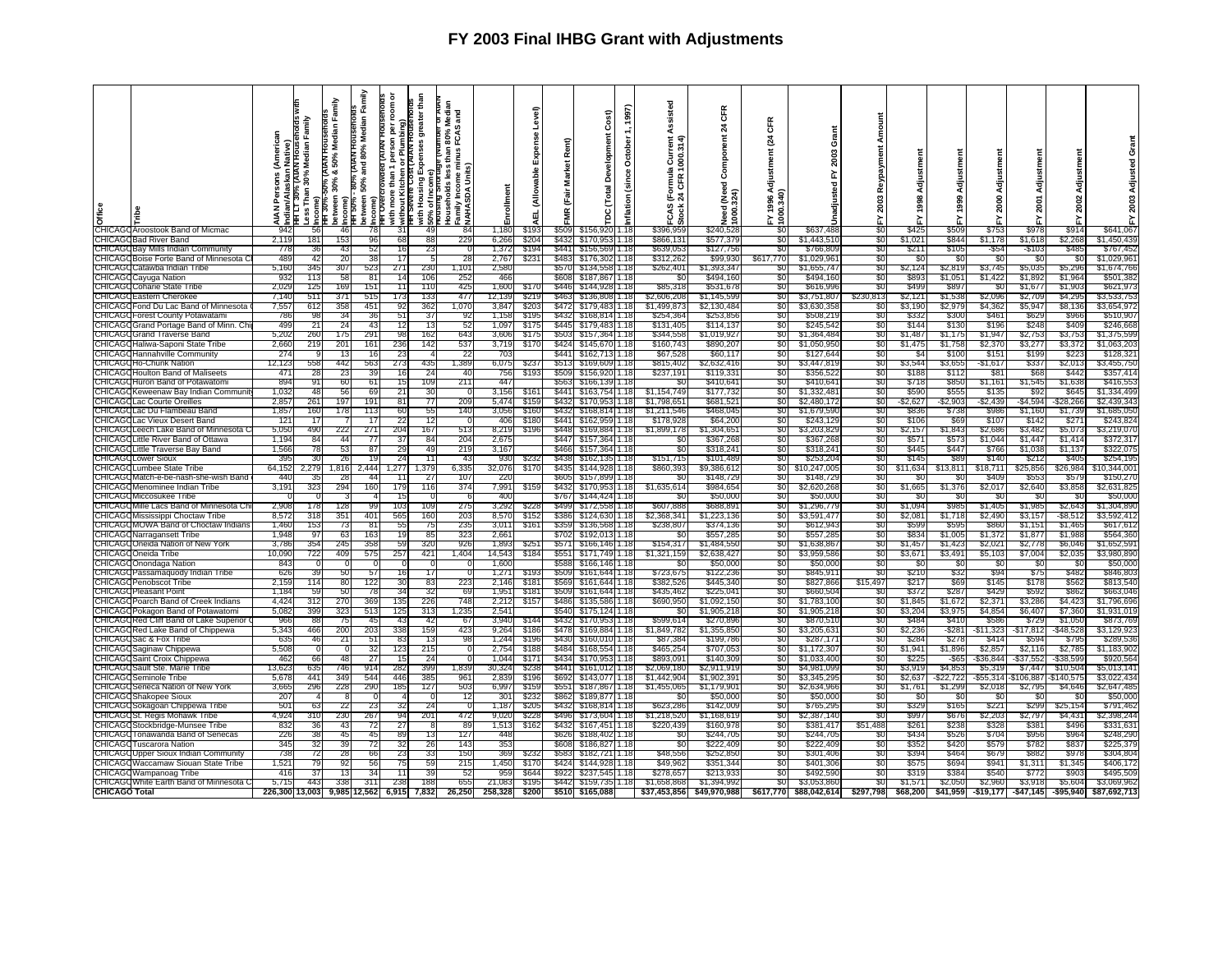| Office                   |                                                                    | rican<br>≤<br>å<br>₹<br>ď | ו <del>ד</del> בד 3ט% (אוימי ה-----<br>ess Than 30% Median Family<br>ian/Ala<br>⊏T30° | Family<br>Median<br>50%<br><b>DU% (AIAN</b><br>య<br>etween 30% | Family<br>80% (AIAN HOUSENOIDS<br>Median<br>80%<br>and<br>50%<br>oetween!<br>ncome)<br><b>HTH 50%</b> | ō<br>Ĕ<br>ō<br>ă<br>with more than<br>without Kitchen | than<br>greater<br>Expenses<br>with Housing E<br>50% of Income<br>Prousing Short | and<br>FCAS<br>nus<br>្ល ∈ <u>ទ</u><br>Income<br>₾<br>g<br>amily Inco<br>IAHASDA | ollmen         | evel)<br>ň,<br>ื<br>듟<br>₹ | Rent)<br>ğ<br>Mar<br>(Fair<br>Ĕ | ost)<br>Devel<br>(Total                | 1997)<br>October<br>8<br>Š<br>nflation | Assisted<br>ت<br>으<br>CFR<br>亡き<br>FCAS<br>Stock | <b>CFR</b><br>$\overline{a}$<br>Ĕ<br>ēa<br>රි<br>(Need<br>324)<br><b>Teed</b><br>$\frac{8}{2}$ | Œ<br>24<br>4 1996<br>0.340<br>gi | O<br>2003<br>≿<br>sted<br>Jnadju | 2003       | 1998             | Adjust<br>1999       | Adjust<br>2000   | 2001                | Adjustmen<br>2002<br>놊 | r.                         |
|--------------------------|--------------------------------------------------------------------|---------------------------|---------------------------------------------------------------------------------------|----------------------------------------------------------------|-------------------------------------------------------------------------------------------------------|-------------------------------------------------------|----------------------------------------------------------------------------------|----------------------------------------------------------------------------------|----------------|----------------------------|---------------------------------|----------------------------------------|----------------------------------------|--------------------------------------------------|------------------------------------------------------------------------------------------------|----------------------------------|----------------------------------|------------|------------------|----------------------|------------------|---------------------|------------------------|----------------------------|
|                          | CHICAGO Aroostook Band of Micmac                                   | 942                       | 56                                                                                    | 46                                                             | 78                                                                                                    | 31                                                    | 49                                                                               | 84                                                                               | 1,180          | \$193                      | \$509                           | \$156,920                              | 1.18                                   | \$396,959                                        | \$240,528                                                                                      | \$ſ.                             | \$637,488                        | SO.        | \$425            | \$509                | \$753            | \$978               | \$914                  | \$641,067                  |
|                          | <b>CHICAGOBad River Band</b><br>CHICAGO Bay Mills Indian Community | 2.11<br>778               | 181                                                                                   | 153                                                            | 96<br>52<br>43                                                                                        | -68<br>16                                             | -88<br>23                                                                        | 229                                                                              | 6,266          | \$204<br>\$194             | \$432                           | \$170,953 1.18                         |                                        | \$866,131<br>\$639,053                           | \$577,379                                                                                      | -50<br>-90                       | \$1,443,510                      | -80<br>S0  | \$1,021          | \$844<br>\$105       | \$1,178          | \$1,618             | \$2,268<br>\$485       | \$1,450,439                |
|                          | CHICAGO Boise Forte Band of Minnesota (                            | 489                       |                                                                                       | 36<br>42                                                       | 38<br>20                                                                                              | 17                                                    | -5                                                                               | 28                                                                               | 1,372<br>2,767 | \$23                       | \$483                           | \$441 \$156,569 1.18<br>\$176,302 1.18 |                                        | \$312,262                                        | \$127,756<br>\$99,930                                                                          | \$617,770                        | \$766,80<br>\$1,029,96           | \$0        | \$211<br>-\$0    | -96                  | $-$ \$54<br>-SO  | $-$103$<br>- \$0    | -SC                    | \$767,452<br>\$1,029,961   |
|                          | CHICAGO Catawba Indian Tribe                                       | 5,160                     | 345                                                                                   | 307                                                            | 523                                                                                                   | 271                                                   | 230                                                                              | 1,101                                                                            | 2,580          |                            | \$57                            | \$134,558                              | 1.18                                   | \$262,401                                        | 51,393,34                                                                                      | -50                              | \$1,655,74                       | -80        | \$2,124          | \$2.819              | \$3,745          | \$5,035             | \$5,296                | \$1,674,766                |
|                          | CHICAGO Cayuga Nation                                              | 932                       | 113                                                                                   |                                                                | 58<br>81                                                                                              | 14                                                    | 106                                                                              | 252                                                                              | 466            |                            | \$608                           | \$187,867                              | 1.18                                   | -SO                                              | \$494.16                                                                                       | -90                              | \$494.160                        | S0         | \$893            | \$1,051              | \$1,422          | \$1,892             | \$1,964                | \$501,382                  |
| CHICAGO                  | I Coharie State Tribe                                              | 2,029                     | 125                                                                                   | 169                                                            | 151                                                                                                   | 11                                                    | 110                                                                              | 425                                                                              | 1,600          | \$17                       | <b>\$446</b>                    | \$144,928                              | 1.18                                   | \$85,318                                         | \$531,67                                                                                       | \$0                              | \$616,996                        | S0         | \$499            | \$897                | -SO              | \$1,67              | \$1,90                 | \$621,973                  |
| CHICAG(                  | Eastern Cherokee                                                   | 7.14                      | 511                                                                                   | 371                                                            | 515                                                                                                   | 173                                                   | 133                                                                              | 477                                                                              | 12,139         | \$21                       | \$463                           | \$136,808                              | 1.18                                   | \$2,606,208                                      | \$1,145,59                                                                                     | -90                              | \$3,751,807                      | \$230,813  | \$2,121          | \$1,53               | \$2,096          | \$2,70              | \$4,295                | \$3,533,753                |
| CHICAGO                  | Fond Du Lac Band of Minnesota                                      | 7,557                     | 612                                                                                   | 358                                                            | 451                                                                                                   | 92                                                    | 362                                                                              | 1,070                                                                            | 3,847          | \$203                      | <b>\$472</b>                    | \$179,483                              | 1.18                                   | \$1,499,873                                      | \$2.130.48                                                                                     | SO.                              | \$3,630,35                       | SO.        | \$3,190          | \$2,979              | \$4,362          | \$5,947             | \$8,136                | \$3,654,972                |
| <b>HICAGO</b>            | <b>Forest County Potawatami</b>                                    | 786                       | 98                                                                                    |                                                                | 36<br>34                                                                                              | 51                                                    | 37                                                                               | 92                                                                               | 1,158          | \$195                      | \$432                           | \$168,814 1.18                         |                                        | \$254,364                                        | \$253,85                                                                                       | -90                              | \$508,21                         | \$0        | \$332            | \$300                | \$461            | \$629               | \$966                  | \$510,90                   |
| CHICAGO                  | Grand Portage Band of Minn. Ch                                     | 499                       | 21                                                                                    | 24                                                             | 43                                                                                                    | 12                                                    | 13                                                                               | -52                                                                              | 1.097          | \$175                      | \$445                           | \$179,483 1.18                         |                                        | \$131,405                                        | \$114,13                                                                                       | -90                              | \$245,54                         | -90        | \$144            | \$130                | \$196            | \$248               | \$409                  | \$246.66                   |
| CHICAGO                  | <b>Grand Traverse Band</b>                                         | 5,202                     | 260                                                                                   | 175                                                            | 291                                                                                                   | 98                                                    | 162                                                                              | 643                                                                              | 3,606          | \$175                      | \$503                           | \$157,364 1.18                         |                                        | \$344,558                                        | \$1,019,92                                                                                     | \$0                              | \$1,364,484                      | \$0        | \$1,487          | \$1,175              | \$1,947          | \$2,753             | \$3,753                | \$1,375,59                 |
|                          | CHICAGO Haliwa-Saponi State Tribe                                  | 2,660                     | 219                                                                                   | 201                                                            | 161                                                                                                   | 236                                                   | 142                                                                              | 537                                                                              | 3,719          | \$17                       | \$424                           | \$145,670 1.18                         |                                        | \$160,743                                        | \$890,20                                                                                       | -90                              | \$1,050,95                       | \$0        | \$1,475          | \$1,758              | \$2,370          | \$3,27              | \$3,372                | \$1,063,20                 |
|                          | <b>CHICAGOHannahville Community</b>                                | 274                       |                                                                                       |                                                                | 13<br>16                                                                                              | 23                                                    | -4                                                                               | -22                                                                              | 703            |                            | \$441                           | \$162,713 1.18                         |                                        | \$67,528                                         | \$60,11                                                                                        | SO.                              | \$127,644                        | \$0        | \$4              | \$100                | \$151            | \$199               | \$223                  | \$128,32                   |
|                          | CHICAGOHo-Chunk Nation                                             | 12,123                    | 558                                                                                   | 442                                                            | 563                                                                                                   | 273                                                   | 435                                                                              | 1,389                                                                            | 6,075          | \$23                       | \$513                           | \$169,609                              | 1.18                                   | \$815,402                                        | \$2,632,41                                                                                     | \$0                              | \$3,447,81                       | \$0        | \$3,544          | \$3,65               | -\$1,617         | \$337               | \$2,01                 | \$3,455,750                |
| :HICAG                   | Houlton Band of Maliseets                                          | 471                       | 28                                                                                    |                                                                | 23<br>39                                                                                              | 16                                                    | 24                                                                               | 40                                                                               | 756            | \$19                       | \$509                           | \$156,920                              | 1.18                                   | \$237,19'                                        | \$119.33                                                                                       | SO.                              | \$356,52                         | \$0        | \$188            | \$112                | \$81             | \$68                | \$442                  | \$357,414                  |
| <b>CHICAG</b>            | Huron Band of Potawatomi                                           | 894                       |                                                                                       | 91                                                             | 60<br>61                                                                                              | 15                                                    | 109                                                                              | 211                                                                              | 447            |                            | \$563                           | \$166,139                              | 1.18                                   |                                                  | \$410.64                                                                                       | SO.                              | \$410.641                        | S0         | \$718            | \$850                | \$1,161          | \$1,545             | \$1.63                 | \$416.55                   |
| <b>CHICAG</b>            | Keweenaw Bav Indian Commur                                         | 1,032                     |                                                                                       | 48                                                             | 56<br>69                                                                                              | 21                                                    | -30                                                                              | - 0                                                                              | 3,156          | \$16                       | \$441                           | \$163,754                              | 1.18                                   | \$1,154,749                                      | \$177,73                                                                                       | -90                              | \$1,332,48                       | -90        | \$590            | \$55                 | \$135            | -892                | \$64                   | \$1,334,49                 |
| CHICAG                   | Lac Courte Oreilles                                                | 2.857                     | 261                                                                                   | 197                                                            | 191                                                                                                   | 81                                                    | 77                                                                               | 209                                                                              | 5,474          | \$15                       | \$432                           | \$170.953                              | 1.18                                   | \$1,798.65                                       | \$681.52                                                                                       | SO.                              | \$2,480,172                      | SO.        | -\$2,627         | -\$2,90:             | -\$2,439         | -\$4,594            | \$28.26                | \$2,439,343                |
| CHICAGO                  | Lac Du Flambeau Banc                                               | 1,857                     | 160                                                                                   | 178                                                            | 113                                                                                                   | 60                                                    | 55                                                                               | 140                                                                              | 3,056          | \$160                      | \$432                           | \$168,814                              | 1.18                                   | \$1,211,546                                      | \$468,04                                                                                       | \$0                              | \$1,679,590                      | \$0        | \$836            | \$738                | \$986            | \$1,160             | \$1,739                | \$1,685,050                |
| <b>CHICAG</b><br>CHICAGO | Lac Vieux Desert Band<br>1 Leech Lake Band of Minnesota (          | $12^{\circ}$<br>5.050     | 17<br>490                                                                             | 222                                                            | 17<br>271                                                                                             | -22<br>204                                            | -12<br>167                                                                       | -0<br>513                                                                        | 406<br>8.219   | \$18<br>\$196              | \$441<br>\$448                  | \$162.959<br>\$169.884                 | 1.18<br>1.18                           | \$178,928<br>\$1,899,178                         | \$64,20<br>51.304.65                                                                           | -80<br>SO.                       | \$243,129<br>\$3,203,82          | \$0<br>SO. | \$106            | -869<br>\$1,843      | \$107<br>\$2,686 | \$14<br>\$3.482     | \$27<br>\$5,073        | \$243,82<br>\$3.219.07     |
| CHICAGO                  | Little River Band of Ottawa                                        | 1,194                     | 84                                                                                    |                                                                | 44<br>77                                                                                              | 37                                                    | 84                                                                               | 204                                                                              | 2,675          |                            | \$447                           | \$157,364 1.18                         |                                        | S0                                               | \$367,26                                                                                       | \$0                              | \$367,268                        | \$0        | \$2,157<br>\$571 | \$57                 | \$1,044          | \$1,44              | \$1,414                | \$372,31                   |
| CHICAG                   | Little Traverse Bay Band                                           | 1,566                     | 78                                                                                    |                                                                | 53<br>87                                                                                              | 29                                                    | -49                                                                              | 219                                                                              | 3,167          |                            | \$466                           | \$157.364                              | 1.18                                   | \$0                                              | \$318,24                                                                                       | -80                              | \$318,24                         | \$0        | \$445            | \$447                | \$766            | \$1,03              | \$1,137                | \$322,07                   |
| <b>CHICAG</b>            | <b>Lower Sioux</b>                                                 | 395                       | 30                                                                                    |                                                                | 26<br>19                                                                                              | 24                                                    | 11                                                                               | -43                                                                              | 930            | \$23                       | \$438                           | \$162.135                              | 1.18                                   | \$151.715                                        | \$101.48                                                                                       | SO.                              | \$253.204                        | S0         | \$145            | -S89                 | \$140            | \$21                | \$40                   | \$254,19                   |
| <b>CHICAG</b>            | Lumbee State Tribe                                                 | 64,152                    | 2.279                                                                                 | 1,816                                                          | 2,444                                                                                                 | 1,277                                                 | 1,379                                                                            | 6,335                                                                            | 32,076         | \$17                       | \$435                           | \$144,928                              | 1.18                                   | \$860,393                                        | \$9,386,61                                                                                     | <b>SOT</b>                       | \$10,247,005                     | \$0        | \$11,634         | \$13,81              | \$18,71'         | \$25,85             | \$26,98                | \$10,344,00                |
| ЭНІСАС                   | Match-e-be-nash-she-wish Band                                      | 44                        | -35                                                                                   | -28                                                            | 44                                                                                                    | -11                                                   | -27                                                                              | 107                                                                              | -22            |                            | \$605                           | \$157.899                              | 1.18                                   | SC.                                              | \$148,72                                                                                       | -80                              | \$148,72                         | \$0        | -30              | -80                  | \$409            | \$55                | \$57                   | \$150,27                   |
| CHICAGO                  | Menominee Indian Tribe                                             | 3,191                     | 323                                                                                   | 294                                                            | 160                                                                                                   | 179                                                   | 116                                                                              | 374                                                                              | 7,991          | \$159                      | \$432                           | \$170,953                              | 1.18                                   | \$1,635,614                                      | \$984,65                                                                                       | \$0                              | \$2,620,268                      | \$0        | \$1,665          | \$1,376              | \$2,017          | \$2,640             | \$3,858                | \$2,631,82                 |
| CHICAGO                  | Miccosukee Tribe                                                   |                           |                                                                                       |                                                                | -4                                                                                                    | 15                                                    | - 0                                                                              | - 6                                                                              | 400            |                            | \$767                           | \$144,424                              | 1.18                                   | 80                                               | \$50,00                                                                                        | \$0                              | \$50,000                         | \$0        | -SC              | -SC                  | \$0              | - S                 | -SC                    | \$50,00                    |
| ЭНІСАС                   | Mille Lacs Band of Minnesota C                                     | 2,908                     | 178                                                                                   | 128                                                            | 99                                                                                                    | 103                                                   | 109                                                                              | 275                                                                              | 3,292          | \$22                       | \$499                           | \$172,558                              | 1.18                                   | \$607,888                                        | \$688,89                                                                                       | -50                              | \$1,296,779                      | \$0        | \$1,094          | \$985                | \$1,405          | \$1,985             | \$2,643                | \$1,304,89                 |
|                          | CHICAGO Mississippi Choctaw Tribe                                  | 8,572                     | 318                                                                                   | 351                                                            | 401                                                                                                   | 565                                                   | 160                                                                              | 203                                                                              | 8,570          | \$152                      | \$386                           | \$124,630                              | 1.18                                   | \$2,368,341                                      | \$1,223,13                                                                                     | \$0                              | \$3,591,477                      | \$0        | \$2,081          | \$1,718              | \$2,490          | \$3,15              | -\$8,512               | \$3,592,412                |
| CHICAGO                  | MOWA Band of Choctaw Indians                                       | 1,460                     | 153                                                                                   |                                                                | 73<br>81                                                                                              | 55                                                    | 75                                                                               | 235                                                                              | 3,011          | \$16'                      | \$359                           | \$136,568                              | 1.18                                   | \$238,807                                        | \$374,13                                                                                       | \$0                              | \$612,943                        | \$0        | \$599            | \$59                 | \$860            | \$1,15              | \$1,465                | \$617,612                  |
| CHICAGO                  | Narragansett Tribe                                                 | 1,94                      | -97                                                                                   |                                                                | 63<br>163                                                                                             | 19                                                    | -85                                                                              | 323                                                                              | 2,66           |                            | \$702                           | \$192,013                              | 1.18                                   | -96                                              | \$557,28                                                                                       | -80                              | \$557,285                        | \$0        | \$834            | \$1,00               | \$1,372          | \$1,87              | \$1,98                 | \$564,360                  |
|                          | CHICAGO Oneida Nation of New York                                  | 3,786                     | 354                                                                                   | 245                                                            | 358                                                                                                   | 59                                                    | 320                                                                              | 926                                                                              | 1,893          | \$25                       | \$571                           | \$166,146 1.18                         |                                        | \$154,317                                        | \$1,484,55                                                                                     | \$0                              | \$1,638,86                       | \$0        | \$1,457          | \$1,42               | \$2,021          | \$2,778             | \$6,046                | \$1,652,59                 |
| CHICAGO                  | CHICAGO Oneida Tribe                                               | 10,09<br>-84              | 722                                                                                   | 409                                                            | 575                                                                                                   | 257                                                   | 421                                                                              | 1,404                                                                            | 14,543         | \$184                      | \$551                           | \$171,749 1.18                         | 1.18                                   | \$1,321,159<br>SC.                               | \$2,638,42                                                                                     | \$0                              | \$3,959,586                      | \$0        | \$3,67           | \$3,491              | \$5,103<br>-96   | \$7,004<br>- 33     | \$2,035                | \$3,980,890<br>\$50,00     |
|                          | <b>Onondaga Nation</b><br>CHICAGO Passamaquody Indian Tribe        | 626                       | 39                                                                                    |                                                                | 50<br>57                                                                                              | 16                                                    | 17                                                                               |                                                                                  | 1,60<br>1,271  | \$193                      | \$588<br>\$509                  | \$166,146<br>\$161,644 1.18            |                                        | \$723,675                                        | \$50,00<br>\$122,23                                                                            | -50<br>\$0                       | \$50,00<br>\$845,91              | -90<br>\$0 | -30<br>\$210     | -30<br>\$32          | \$94             | \$75                | -30<br>\$482           | \$846,80                   |
|                          | <b>CHICAGO Penobscot Tribe</b>                                     | 2,159                     | 114                                                                                   |                                                                | 80<br>122                                                                                             | 30                                                    | -83                                                                              | 223                                                                              | 2,146          | \$181                      | \$569                           | \$161,644 1.18                         |                                        | \$382,526                                        | \$445,340                                                                                      | \$0                              | \$827,866                        | \$15,497   | \$217            | \$69                 | \$145            | \$178               | \$562                  | \$813,540                  |
|                          | <b>CHICAGO Pleasant Point</b>                                      | 1.184                     |                                                                                       | 59                                                             | 50<br>78                                                                                              | 34                                                    | 32                                                                               | 69                                                                               | 1,951          | \$18'                      | \$509                           | \$161,644 1.18                         |                                        | \$435,462                                        | \$225,04                                                                                       | \$0                              | \$660,50                         | \$0        | \$372            | \$287                | \$429            | \$592               | \$862                  | \$663,046                  |
|                          | CHICAGO Poarch Band of Creek Indians                               | 4,424                     | 312                                                                                   | 270                                                            | 369                                                                                                   | 135                                                   | 226                                                                              | 748                                                                              | 2,212          | \$15                       |                                 | \$486 \$135,586                        | 1.18                                   | \$690,950                                        | \$1,092,150                                                                                    | \$0                              | \$1,783,100                      | \$0        | \$1,845          | \$1,672              | \$2,371          | \$3,286             | \$4,423                | \$1,796,696                |
|                          | CHICAGO Pokagon Band of Potawatomi                                 | 5,082                     | 399                                                                                   | 323                                                            | 513                                                                                                   | 125                                                   | 313                                                                              | 1,235                                                                            | 2,54           |                            | \$540                           | \$175,124 1.18                         |                                        | SO.                                              | \$1,905,21                                                                                     | \$0                              | \$1,905,218                      | \$0        | \$3,204          | \$3,975              | \$4,854          | \$6,40              | \$7,360                | \$1,931,01                 |
|                          | CHICAGO Red Cliff Band of Lake Superior                            | 966                       | 88                                                                                    |                                                                | 45<br>75                                                                                              | 43                                                    | -42                                                                              | -67                                                                              | 3,940          | \$144                      | \$432                           | \$170,953 1.18                         |                                        | \$599,614                                        | \$270,896                                                                                      | \$0                              | \$870,510                        | \$0        | \$484            | \$410                | \$586            | \$729               | \$1,050                | \$873,769                  |
|                          | CHICAGORed Lake Band of Chippewa                                   | 5,343                     | 466                                                                                   | 200                                                            | 203                                                                                                   | 338                                                   | 159                                                                              | 423                                                                              | 9,264          | \$186                      |                                 | \$478 \$169,884                        | 1.18                                   | \$1,849,782                                      | \$1,355,850                                                                                    | -80                              | \$3,205,631                      | -90        | \$2,23           | -\$281               | -\$11,323        | -\$17,81.           | \$48,528               | \$3,129,923                |
|                          | CHICAGO Sac & Fox Tribe                                            | 635                       |                                                                                       | 46                                                             | 21<br>51                                                                                              | 83                                                    | -13                                                                              | 98                                                                               | 1,244          | \$19                       | \$430                           | \$160,010 1.18                         |                                        | \$87,384                                         | \$199,786                                                                                      | \$0                              | \$287,171                        | \$0        | \$284            | \$278                | \$414            | \$59                | \$795                  | \$289,536                  |
|                          | CHICAGO Saginaw Chippewa                                           | 5,508                     |                                                                                       |                                                                | 32                                                                                                    | 123                                                   | 215                                                                              |                                                                                  | 2,754          | \$188                      | \$484                           | \$168,554                              |                                        | \$465,254                                        | \$707,053                                                                                      | SO.                              | \$1,172,307                      | 80         | \$1,941          | \$1,896              | \$2,85           | \$2,11              | \$2,785                | \$1,183,902                |
|                          | CHICAGO Saint Croix Chippewa                                       | 462                       | 66                                                                                    | 48                                                             | 27                                                                                                    | 15                                                    | -24                                                                              |                                                                                  | 1,044          | \$17                       | \$434                           | \$170,953                              |                                        | \$893,09                                         | \$140,30                                                                                       | -80                              | \$1,033,400                      | -90        | \$225            | $-$ 56.              | -\$36,844        | -\$37,55.           | \$38,599               | \$920,564                  |
|                          | CHICAGO Sault Ste. Marie Tribe                                     | 13,623                    | 635                                                                                   | 746                                                            | 914                                                                                                   | 282                                                   | 399                                                                              | 1,839                                                                            | 30,324         | \$23                       | \$441                           | \$161,012                              |                                        | \$2,069,180                                      | \$2,911,91                                                                                     | \$0                              | \$4,981,099                      | SO.        | \$3,919          | \$4,853              | \$5,31           | \$7,44              | \$10,504               | \$5,013,14                 |
|                          | CHICAGO Seminole Tribe                                             | 5,678<br>3,665            | 441<br>296                                                                            | 349<br>228                                                     | 544<br>290                                                                                            | 446<br>185                                            | 385                                                                              | 961                                                                              | 2,839          | \$196<br>\$159             | \$692<br>\$551                  | \$143,077 1.18                         | 1.18                                   | \$1,442,904<br>\$1,455,065                       | \$1,902,39<br>\$1,179,90                                                                       | \$0<br>-80                       | \$3,345,295<br>\$2,634,966       | 80<br>-90  | \$2,637          | -\$22,722<br>\$1,299 | $-$ \$55,314     | \$106,88<br>\$2,795 | \$140,575              | \$3,022,434<br>\$2,647,485 |
|                          | CHICAGO Seneca Nation of New York<br><b>CHICAGO</b> Shakopee Sioux | 207                       |                                                                                       |                                                                |                                                                                                       |                                                       | 127                                                                              | 503<br>12                                                                        | 6,99<br>301    | \$23                       | \$862                           | \$187,867<br>\$189,877 1.18            |                                        | \$0                                              | \$50,00                                                                                        |                                  | \$50,000                         | S0         | \$1,761<br>SC    | \$C                  | \$2,018<br>\$0   | -S                  | \$4,646<br>-\$C        | \$50,000                   |
|                          | CHICAGO Sokagoan Chippewa Tribe                                    | 501                       |                                                                                       | 63                                                             | 22<br>23                                                                                              | -32                                                   | 24                                                                               |                                                                                  | 1,187          | \$205                      | \$432                           | \$168,814 1.18                         |                                        | \$623,286                                        | \$142,00                                                                                       | \$0<br>\$0                       | \$765,295                        | \$0        | \$329            | \$165                | \$221            | \$299               | \$25,154               | \$791,462                  |
| CHICAGO                  | St. Regis Mohawk Tribe                                             | 4,924                     | 31C                                                                                   | 230                                                            | 267                                                                                                   | 94                                                    | 201                                                                              | 472                                                                              | 9,020          | \$22                       | \$496                           | \$173,604                              |                                        | \$1,218,520                                      | \$1,168,61                                                                                     | -80                              | \$2,387,140                      | -90        | \$997            | \$67                 | \$2,203          | \$2,79              | \$4,431                | \$2,398,244                |
|                          | CHICAGQ Stockbridge-Munsee Tribe                                   | 832                       |                                                                                       | 36<br>43                                                       | 72                                                                                                    | 27                                                    |                                                                                  | -89                                                                              | 1,513          | \$162                      | \$432                           | \$167,451                              |                                        | \$220,439                                        | \$160,978                                                                                      | \$0                              | \$381,417                        | \$51,488   | \$261            | \$238                | \$328            | \$38                | \$496                  | \$331,63                   |
| CHICAGO                  | Tonawanda Band of Senecas                                          | 226                       | 38                                                                                    |                                                                | 45<br>45                                                                                              | 89                                                    | 13                                                                               | 127                                                                              | 448            |                            | \$626                           | \$188,402 1.18                         |                                        | S0                                               | \$244,705                                                                                      | \$0                              | \$244,705                        | S0         | \$434            | \$526                | \$704            | \$956               | \$964                  | \$248,290                  |
| <b>CHICAGO</b>           | <b>Tuscarora Nation</b>                                            | 345                       | 32                                                                                    | 39                                                             | 72                                                                                                    | 32                                                    | -26                                                                              | 143                                                                              | 35.            |                            | \$608                           | \$186,827                              |                                        | \$0                                              | \$222,40                                                                                       | -50                              | \$222,40                         | \$0        | \$352            | \$420                | \$579            | \$782               | \$837                  | \$225,379                  |
| CHICAG                   | Jpper Sioux Indian Community                                       | 738                       | 72                                                                                    |                                                                | 28<br>66                                                                                              | 23                                                    | -33                                                                              | 150                                                                              | 369            | \$23.                      | \$583                           | \$182.721                              |                                        | \$48,556                                         | \$252,85                                                                                       | -50                              | \$301,40                         | \$0        | \$394            | \$464                | \$679            | \$88                | \$978                  | \$304,804                  |
| <b>CHICAGO</b>           | Waccamaw Siouan State Tribe                                        | 1,521                     |                                                                                       | 92                                                             | 56                                                                                                    | 75                                                    | 59                                                                               | 215                                                                              | 1,45           | \$17                       | \$424                           | \$144,928                              |                                        | \$49,962                                         | \$351,34                                                                                       | \$0                              | \$401,30                         | \$0        | <b>\$57</b>      | \$694                | \$941            | \$1,31              | \$1,34                 | \$406,172                  |
|                          | CHICAGO Wampanoag Tribe                                            | 416                       |                                                                                       |                                                                | 34                                                                                                    | -11                                                   | 39                                                                               | -52                                                                              | 95             | \$64                       | \$922                           | \$237,54                               |                                        | \$278,65                                         | \$213,93                                                                                       | -50                              | \$492,59                         | 30         | \$31             | \$38                 | \$540            | \$77                | \$90.                  | \$495,509                  |
|                          | CHICAGO White Earth Band of Minnesota (                            | 5,715                     | 443                                                                                   | 338                                                            | 311                                                                                                   | 238                                                   | 188                                                                              | 655                                                                              | 21,08          | \$19                       | \$442                           | \$159,735                              | 1.18                                   | \$1,658,868                                      | \$1,394,992                                                                                    | \$0                              | \$3,053,860                      | SO.        | \$1,57           | \$2,050              | \$2,960          | \$3,91              | \$5,604                | \$3,069,962                |
| <b>CHICAGO Total</b>     |                                                                    | 226,300                   | 13,003                                                                                |                                                                | 9,985 12,562                                                                                          | 6,915                                                 | 7,832                                                                            | 26,250                                                                           | 258,328        | \$200                      |                                 | \$510 \$165,088                        |                                        | \$37,453,856                                     | \$49,970,988                                                                                   | \$617,770                        | \$88,042,614                     | \$297,798  | \$68,200         | \$41,959             | -\$19,177        | $-$ \$47,145        | -\$95,940              | \$87,692,713               |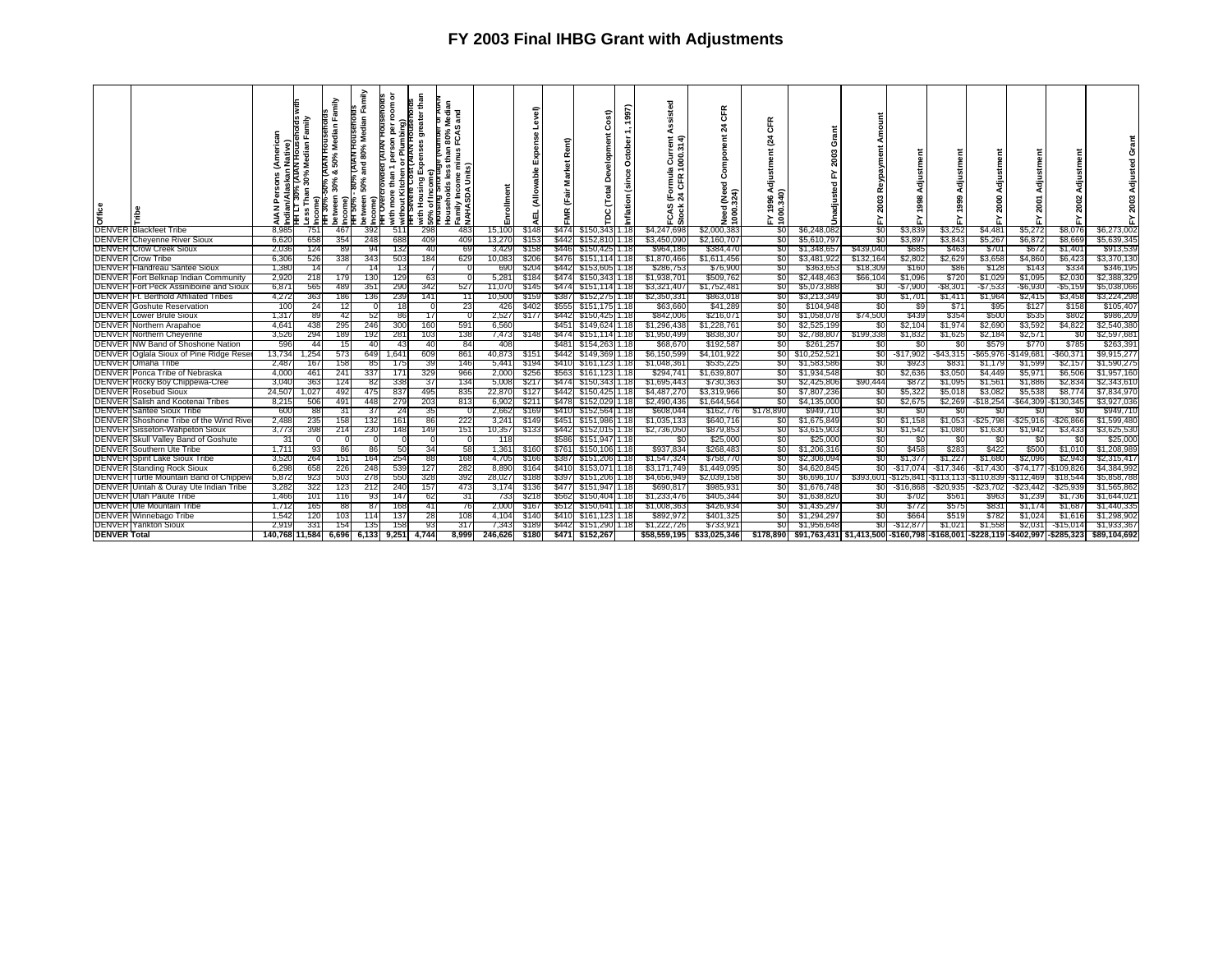| Dffice              |                                                                         | 은<br>Native)<br>ndian<br>z | Median<br>ఙ<br>ా<br>듦<br>จ<br>$\omega$ | ਵੇ<br>จ   | amily<br>ang<br>etween<br>ame<br>50% | ō<br>Ε<br>ã<br>ith | than<br>without Kitchen or Plumbing)<br>1H Severe Cost (AIAN Housenolds<br>greate<br>Expenses<br>sing<br>ţ | and<br>9<br>ပူ<br>အ<br>Ü<br>ढ<br>Family Inc<br>NAHASD <i>I</i><br>đ<br>50% | ᄇ<br>Enrollme   | ទ              | Rent)<br>Σ<br>늚 | ost)<br>ρ                        | <b>S97)</b><br>음<br>ัต<br>Έ | ठ<br>ਵ ਵ<br>言忘<br>OOC.<br>÷<br>Ē œ<br>દ જ્<br>FCAS<br>Stock | $\alpha$<br>ზ<br>$\boldsymbol{z}$<br>Need<br>1000. | Æ<br>ō<br>$\overline{a}$<br>98 A<br>340)<br>FY 190.<br>1900. | ō<br>ຕ<br>່ຊຶ່                                                                             |                        | diust<br>ං       | 릉<br>8<br>Ö      |                       | 2001             | Adjustment<br>2002 | ន<br>놊                   |
|---------------------|-------------------------------------------------------------------------|----------------------------|----------------------------------------|-----------|--------------------------------------|--------------------|------------------------------------------------------------------------------------------------------------|----------------------------------------------------------------------------|-----------------|----------------|-----------------|----------------------------------|-----------------------------|-------------------------------------------------------------|----------------------------------------------------|--------------------------------------------------------------|--------------------------------------------------------------------------------------------|------------------------|------------------|------------------|-----------------------|------------------|--------------------|--------------------------|
|                     | <b>DENVER Blackfeet Tribe</b>                                           | 8.985                      | 751                                    | 467       | 392                                  | 511                |                                                                                                            | 298<br>483                                                                 | 15,100          | \$148          |                 | \$474 \$150,343                  | 1.18                        | \$4,247,698                                                 | \$2,000,383                                        | SO I                                                         | \$6,248,082                                                                                | \$0                    | \$3,839          | \$3,252          | \$4,48'               | \$5,272          | \$8,076            | \$6,273,002              |
|                     | <b>DENVER Cheyenne River Sioux</b>                                      | 6,620<br>2.036             | 658<br>124                             | 354       | 248<br>94                            | 688                | 132                                                                                                        | 409<br>409<br>40<br>-69                                                    | 13,270          | \$153          | \$446           | \$442 \$152,810 1.18             |                             | \$3,450,090                                                 | \$2,160,707                                        | -50<br>SO.                                                   | \$5,610,797                                                                                | -50                    | \$3,89           | \$3,843<br>\$463 | \$5,26<br>\$701       | \$6,872<br>\$672 | \$8,669            | \$5,639,345              |
|                     | <b>DENVER Crow Creek Sioux</b><br><b>DENVER Crow Tribe</b>              | 6,306                      | 526                                    | 89<br>338 | 343                                  |                    | 503                                                                                                        | 629<br>184                                                                 | 3,429<br>10,083 | \$158<br>\$206 | \$476           | \$150,425 1.18<br>\$151,114 1.18 |                             | \$964,186<br>\$1,870,466                                    | \$384,470<br>\$1,611,456                           | SO.                                                          | \$1,348,657<br>\$3,481,922                                                                 | \$439,040<br>\$132,164 | \$685<br>\$2,802 | \$2,629          | \$3,658               | \$4,860          | \$1,401<br>\$6,423 | \$913,539<br>\$3,370,130 |
|                     | DENVER Flandreau Santee Sioux                                           | 1,380                      |                                        |           |                                      |                    |                                                                                                            |                                                                            | 690             | \$204          | \$442           | \$153,605 1.18                   |                             | \$286,753                                                   | \$76,900                                           | 30                                                           | \$363,65                                                                                   | \$18,309               | \$160            | \$86             | \$128                 | \$143            | \$334              | \$346,195                |
|                     | <b>DENVER</b> Fort Belknap Indian Community                             | 2,920                      | 218                                    | 179       | 130                                  |                    | 129                                                                                                        | 63                                                                         | 5,281           | \$184          | \$474           | \$150,343 1.18                   |                             | \$1,938,701                                                 | \$509,762                                          | \$0                                                          | \$2,448,463                                                                                | \$66,104               | \$1,096          | \$720            | \$1,029               | \$1,095          | \$2,030            | \$2,388,329              |
|                     | DENVER Fort Peck Assiniboine and Sioux                                  | 6,87                       | 565                                    | 489       | 351                                  |                    | 290                                                                                                        | 342<br>527                                                                 | 11,070          | \$145          | \$474           | \$151,114 1.18                   |                             | \$3,321,407                                                 | \$1,752,48                                         | SO I                                                         | \$5,073,888                                                                                | SO.                    | $-$7,900$        | $-$ \$8,301      | $-$7,533$             | $-$6,930$        | $-$5,159$          | \$5,038,066              |
|                     | DENVER IFt. Berthold Affiliated Tribes                                  | 4,272                      | 363                                    | 186       | 136                                  |                    | 239                                                                                                        | 141                                                                        | 10,500          | \$159          | \$387           | \$152,275 1.18                   |                             | \$2,350,33                                                  | \$863,018                                          | 30                                                           | \$3,213,349                                                                                | 50                     | \$1,701          | \$1,411          | \$1,964               | \$2,415          | \$3,458            | \$3,224,298              |
|                     | <b>DENVER</b> Goshute Reservation                                       | 100                        | 24                                     | 12        |                                      |                    | 18                                                                                                         | -23                                                                        | 426             | \$402          | \$555           | \$151,175 1.18                   |                             | \$63,660                                                    | \$41,28                                            | \$0                                                          | \$104,948                                                                                  | SO.                    | \$9              | \$71             | \$95                  | \$127            | \$158              | \$105,407                |
|                     | <b>DENVER Lower Brule Sioux</b>                                         | 1,317                      | 89                                     | 42        | 52                                   |                    | 86                                                                                                         | 17                                                                         | 2,527           | \$177          | \$442           | \$150,425 1.18                   |                             | \$842,006                                                   | \$216,07                                           | SO.                                                          | \$1,058,078                                                                                | \$74,500               | \$439            | \$354            | \$500                 | \$535            | \$802              | \$986,209                |
|                     | <b>DENVER</b> Northern Arapahoe                                         | 4,64                       | 438                                    | 295       | 246                                  |                    | 300                                                                                                        | 591<br>160                                                                 | 6,560           |                | \$45            | \$149,624 1.18                   |                             | \$1,296,438                                                 | \$1,228,76                                         | <b>SOT</b>                                                   | \$2,525,199                                                                                | 80                     | \$2,104          | \$1,974          | \$2,690               | \$3,592          | \$4,822            | \$2,540,380              |
|                     | <b>DENVER Northern Cheyenne</b>                                         | 3,526                      | 294                                    | 189       | 192                                  |                    | 281                                                                                                        | 138<br>103                                                                 | 7,473           | \$148          | \$474           | \$151,114 1.18                   |                             | \$1,950,499                                                 | \$838,30                                           | SO I                                                         | \$2,788,807                                                                                | \$199,338              | \$1,83           | \$1,625          | \$2,184               | \$2,57'          | -90                | \$2,597,681              |
|                     | DENVER NW Band of Shoshone Nation                                       | 596                        | 44                                     | 15        | 40                                   |                    | 43                                                                                                         | 40<br>-84                                                                  | 408             |                | \$48            | \$154,263 1.18                   |                             | \$68,670                                                    | \$192.58                                           | SO.                                                          | \$261.257                                                                                  | 80                     | S0               | \$ſ              | \$579                 | \$770            | \$785              | \$263,391                |
|                     | DENVER Oglala Sioux of Pine Ridge Rese                                  | 13,734                     | 1,254                                  | 573       | 649                                  | 1.641              |                                                                                                            | 861<br>609                                                                 | 40,873          | \$15'          | <b>\$442</b>    | \$149,369                        |                             | \$6,150,599                                                 | \$4,101,92                                         | SO.                                                          | \$10,252,521                                                                               | SO.                    | -\$17,902        | -\$43,315        | $-$ \$65,976          | $-$ \$149,68     | -\$60,371          | \$9,915,277              |
|                     | <b>DENVER</b> Omaha Tribe                                               | 2.487                      | 167                                    | 158       | 85                                   |                    | 175                                                                                                        | 39<br>146                                                                  | 5,441           | \$194          | \$410           | \$161.123 1.18                   |                             | \$1,048.36                                                  | \$535.22                                           | SO I                                                         | \$1,583,586                                                                                | SO.                    | \$923            | \$831            | \$1,179               | \$1,599          | \$2,157            | \$1,590,275              |
|                     | DENVER Ponca Tribe of Nebraska                                          | 4,000                      | 461                                    | 241       | 337                                  | 171                |                                                                                                            | 329<br>966                                                                 | 2,000           | \$256          | \$563           | \$161,123 1.18                   |                             | \$294,74                                                    | \$1,639,80                                         | <b>SOT</b>                                                   | \$1,934,548                                                                                | SO.                    | \$2,636          | \$3,050          | \$4,449               | \$5,97           | \$6,506            | \$1,957,160              |
|                     | DENVER Rocky Boy Chippewa-Cree                                          | 3,040                      | 363                                    | 124       | 82                                   | 338                |                                                                                                            | 37<br>134                                                                  | 5,008           | \$21           | \$474           | \$150,343 1.18                   |                             | \$1,695,443                                                 | \$730,36                                           | SO I                                                         | \$2,425,806                                                                                | \$90,444               | \$872            | \$1,095          | \$1,56                | \$1,886          | \$2,834            | \$2,343,610              |
|                     | <b>DENVER Rosebud Sioux</b>                                             | 24,507                     | 1,027                                  | 492       | 475                                  | 837                |                                                                                                            | 495<br>835                                                                 | 22,870          | \$127          | \$442           | \$150,42511.18                   |                             | \$4,487,27                                                  | \$3,319,966                                        | 80                                                           | \$7,807,236                                                                                | 80                     | \$5,322          | \$5,018          | \$3,082               | \$5,538          | \$8,774            | \$7,834,970              |
|                     | DENVER Salish and Kootenai Tribes                                       | 8,215                      | 506                                    | 491       | 448                                  |                    | 279                                                                                                        | 813<br>203                                                                 | 6,902           | \$21           |                 | \$478 \$152,029 1.18             |                             | \$2,490,436                                                 | \$1,644,564                                        | SO.                                                          | \$4,135,000                                                                                | \$0                    | \$2,675          | \$2,269          | $-$ \$18,254          | -\$64,309        | -\$130,345         | \$3,927,036              |
|                     | <b>DENVER Santee Sioux Tribe</b>                                        | 600                        | 88                                     | 31        | 37                                   |                    | 24                                                                                                         | 35                                                                         | 2,662           | \$169          | \$410           | \$152,564 1.18                   |                             | \$608,044                                                   | \$162,776                                          | \$178,890                                                    | \$949,710                                                                                  | \$0                    | \$0              | SC.              |                       | -50              | S0                 | \$949,710                |
|                     | DENVER Shoshone Tribe of the Wind Rive                                  | 2,488                      | 235                                    | 158       | 132                                  |                    | 161                                                                                                        | 86<br>222                                                                  | 3,241           | \$149          | \$451           | \$151,986                        | 1.18                        | \$1,035,133                                                 | \$640,716                                          | 30                                                           | \$1,675,849                                                                                | \$0                    | \$1,158          | \$1,053          | $-$ \$25,798          | $-525,916$       | $-$ \$26,866       | \$1,599,480              |
|                     | <b>DENVER Sisseton-Wahpeton Sioux</b>                                   | 3,773                      | 398                                    | 214       | 230                                  |                    | 148                                                                                                        | 149<br>151                                                                 | 10,357          | \$133          | \$442           | \$152,015 1.18                   |                             | \$2,736,050                                                 | \$879,85                                           | \$0                                                          | \$3,615,903                                                                                | \$0                    | \$1,542          | \$1,080          | \$1,630               | \$1,942          | \$3,433            | \$3,625,530              |
|                     | DENVER Skull Valley Band of Goshute<br><b>DENVER</b> Southern Ute Tribe | -31<br>1,711               | 93                                     | 86        | 86                                   |                    | 50                                                                                                         | 34<br>-58                                                                  | 118<br>1,361    | \$160          | \$586<br>\$761  | \$151,947 1.18<br>\$150,10611.18 |                             | \$0<br>\$937,834                                            | \$25,00<br>\$268,48                                | \$0<br><b>SOT</b>                                            | \$25,000<br>\$1,206,31                                                                     | \$0<br>80              | \$0<br>\$458     | \$0<br>\$283     | -90<br>\$422          | -SO<br>\$500     | \$0<br>\$1,010     | \$25,000<br>\$1,208,989  |
|                     | <b>DENVER Spirit Lake Sioux Tribe</b>                                   | 3,520                      | 264                                    | 151       | 164                                  |                    | 254                                                                                                        | 168<br>88                                                                  | 4,705           | \$166          | \$387           | \$151,206                        |                             | \$1,547,324                                                 | \$758,770                                          | SO.                                                          | \$2,306,094                                                                                | <sup>SO</sup>          | \$1,377          | \$1,227          | \$1,680               | \$2,096          | \$2,943            | \$2,315,417              |
|                     | <b>DENVER Standing Rock Sioux</b>                                       | 6,298                      | 658                                    | 226       | 248                                  | 539                |                                                                                                            | 282<br>127                                                                 | 8,890           | \$164          | \$410           | \$153,071 1.18                   |                             | \$3,171,749                                                 | \$1,449,09                                         | \$0                                                          | \$4,620,845                                                                                | SO.                    | -\$17,074        | $-$17,346$       | $-$17,430$            | $-$ \$74,177     | -\$109,826         | \$4,384,992              |
|                     | DENVER Turtle Mountain Band of Chippev                                  | 5,872                      | 923                                    | 503       | 278                                  |                    | 550                                                                                                        | 392<br>328                                                                 | 28,027          | \$188          | \$397           | \$151,206 1.18                   |                             | \$4,656,949                                                 | \$2,039,15                                         | 20                                                           | \$6,696,107                                                                                | \$393,601              | $-$ \$125,841    |                  | -\$113,113 -\$110,839 | -\$112,469       | \$18,544           | \$5,858,788              |
|                     | DENVER Uintah & Ouray Ute Indian Tribe                                  | 3,282                      | 322                                    | 123       | 212                                  | 240                |                                                                                                            | 157<br>473                                                                 | 3,174           | \$136          |                 | \$477 \$151,947 1.18             |                             | \$690,81                                                    | \$985,931                                          | \$0                                                          | \$1,676,748                                                                                | SO.                    | $-$ \$16,868     | -\$20,935        | $-$ \$23,702          | -\$23,442        | $-$ \$25,939       | \$1,565,862              |
|                     | <b>DENVER</b> Utah Paiute Tribe                                         | 1,466                      | 101                                    |           | 93                                   |                    | 147                                                                                                        | 62<br>-31                                                                  | 733             | \$218          | \$562           | \$150,404 1.18                   |                             | \$1,233,476                                                 | \$405,34                                           | SO I                                                         | \$1,638,820                                                                                | SO.                    | \$702            | \$561            | \$963                 | \$1,239          | \$1,736            | \$1,644,021              |
|                     | DENVER Ute Mountain Tribe                                               | 1,712                      | 165                                    | 88        | 87                                   |                    | 168                                                                                                        | 41<br>-76                                                                  | 2,000           | \$16           | \$512           | \$150,641 1.18                   |                             | \$1,008,363                                                 | \$426,93                                           | \$0                                                          | \$1,435,297                                                                                | 80                     | \$772            | \$575            | \$83                  | \$1,174          | \$1,687            | \$1,440,335              |
|                     | <b>DENVER Winnebago Tribe</b>                                           | 1,542                      | 120                                    | 103       |                                      |                    | 137                                                                                                        | 108<br>28                                                                  | 4,104           | \$140          | \$410           | \$161,123                        |                             | \$892,972                                                   | \$401,32                                           | SO I                                                         | \$1,294,297                                                                                | SO.                    | \$664            | \$519            | \$782                 | \$1,02           | \$1,616            | \$1,298,902              |
|                     | <b>DENVER Yankton Sioux</b>                                             | 2,919                      | 331                                    | 154       | 135                                  |                    | 158                                                                                                        | 317<br>93                                                                  | 7,343           | \$189          | \$442           | \$151,290                        | 1.18                        | \$1,222,726                                                 | \$733,92                                           | SO I                                                         | \$1,956,648                                                                                | SO.                    | -\$12,877        | \$1,021          | \$1,558               | \$2,031          | $-$15,014$         | \$1,933,367              |
| <b>DENVER Total</b> |                                                                         |                            | 40,768 11,584  6,696  6,133            |           |                                      | 9,251              | 4.744                                                                                                      | 8.999                                                                      | 246.626         | \$180          |                 | \$471 \$152,267                  |                             | \$58,559,1951                                               | \$33,025,346                                       |                                                              | \$178,890  \$91,763,431 \$1,413,500 -\$160,798 -\$168,001 -\$228,119 -\$402,997 -\$285,323 |                        |                  |                  |                       |                  |                    | \$89,104,692             |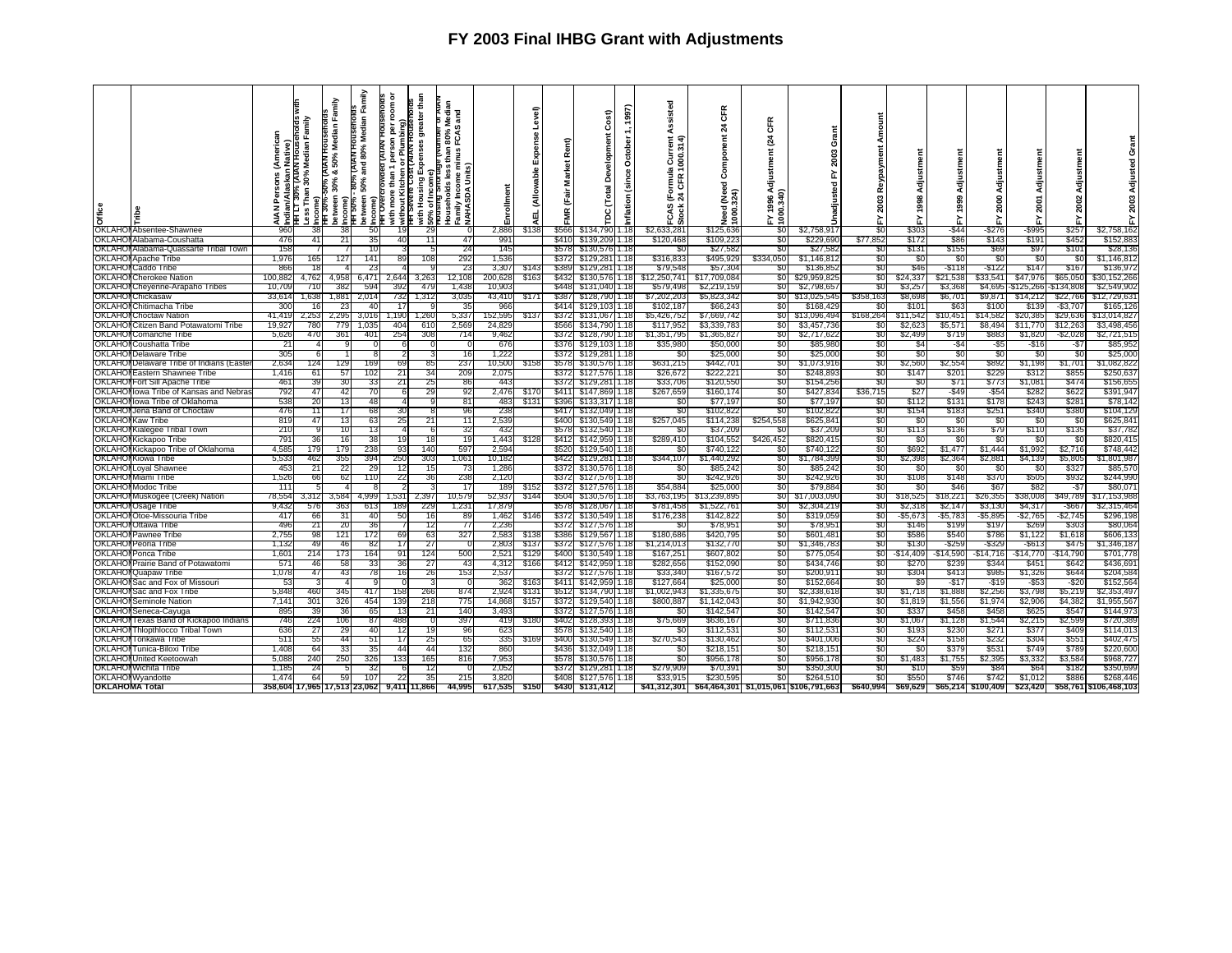|                       |                                                                |                |                                                                 | Family<br>高<br>Vedi<br>2       | amily<br>inin<br>Median<br>HOUSA                                    | ō           | than<br>ater<br>৯      | and<br>9<br>မဲ့                                                       |                 | ွေ             |                   | ost)                               | (1997)<br><b>Del</b> | sted                           | <b>CFR</b><br>$\boldsymbol{z}$<br>Ĕ | ठ<br>ह्य                           | Ĕ<br>O                                 |                |                |                  |                   |                     |                   |                        |
|-----------------------|----------------------------------------------------------------|----------------|-----------------------------------------------------------------|--------------------------------|---------------------------------------------------------------------|-------------|------------------------|-----------------------------------------------------------------------|-----------------|----------------|-------------------|------------------------------------|----------------------|--------------------------------|-------------------------------------|------------------------------------|----------------------------------------|----------------|----------------|------------------|-------------------|---------------------|-------------------|------------------------|
|                       |                                                                | z              | HOUS<br>Median<br>30%<br>Than<br>가<br>ORLITH<br>ORLITH<br>ORLIT | 50%<br>య<br>30%<br>etween<br>Ŗ | 80%<br>E<br>ng<br>ang<br>50%<br>Ĕ<br>between<br>Income)<br>HH Overc | without Kit | ŵ<br>Housing<br>≞<br>ㅎ | inus<br>ທີ່ E<br>₾<br>٩s<br>Househol<br>Family Inc<br>NAHASD <i>I</i> | Enrollme        | ú<br>₫         | è<br>ar<br>⊠<br>늚 | তূ<br>$\overline{a}$<br>ठ          | රි                   | $\sim$<br>1000<br>ە<br>ō<br>্ম | n<br>Po<br>පි<br>$(Need)$<br>$324$  | ment<br>g<br>S<br>1996 A<br>0.340) | 2003<br>≿<br>ъ                         | ≃              | Adjust<br>1998 | Adjus            |                   | ₹ã<br>2001          | Adjustmen<br>2002 | O<br>등<br>2003         |
| Office                |                                                                | <b>AIAN</b>    |                                                                 | F                              | HH 50%                                                              | €           |                        |                                                                       |                 |                | Ĕ                 | $\mathbf c$                        | nflati               | CAS<br>ck                      | Need<br>1000                        | 1000.                              |                                        | λ,             |                |                  | r.                |                     | 놊                 | 겺                      |
|                       | OKLAHOI Absentee-Shawnee                                       | 960            | 38                                                              | 38                             | 50                                                                  | 19          | -29                    | 0                                                                     | 2,886           | \$138          | \$566             | \$134,790                          | 1.18                 | ä<br>\$2,633,281               | \$125,636                           | SO.                                | \$2.758.917                            | SO.            | \$303          | -\$44            | -\$276            | -\$995              | \$257             | \$2,758,162            |
|                       | <b>OKLAHOI Alabama-Coushatta</b>                               |                | 41                                                              | 21                             | 35                                                                  |             |                        | 47                                                                    | 99 <sup>.</sup> |                |                   | \$410 \$139,209                    | 1.18                 | \$120,468                      | \$109,22                            | -90                                | \$229,690                              | \$77,852       | \$172          | \$86             | \$143             | \$19'               | \$452             | \$152,883              |
|                       | OKLAHOI Alabama-Quassarte Tribal Town                          | 158            |                                                                 |                                |                                                                     |             |                        | 24                                                                    | 145             |                | \$578             | \$130,576                          |                      | SС                             | \$27,58                             | \$0                                | \$27,58                                | SC.            | \$131          | \$155            | \$69              | \$97                | \$101             | \$28,13                |
|                       | <b>OKLAHOI Apache Tribe</b>                                    | 1.976          | 165                                                             | 127                            | 141                                                                 | 89          | 108                    | 292                                                                   | 1,536           |                | \$372             | \$129,281                          | 1.18                 | \$316,833                      | \$495,929                           | \$334,050                          | \$1,146,81                             | SO.            | 80             | -50              | -SC               | S0                  | -50               | \$1,146,81             |
|                       | <b>OKLAHOI</b> Caddo Tribe                                     | 866            |                                                                 |                                | 23                                                                  |             |                        | -23                                                                   | 3,307           | \$14.          | \$389             | \$129,281                          | 1.18                 | \$79,548                       | \$57,30                             | -90                                | \$136,85                               | `SO            | \$46           | $ $118$          | -\$122            | \$147               | \$167             | \$136,972              |
| OKLAHOI               | <b>Cherokee Nation</b>                                         | 100,882        | 4.762                                                           | 4.958                          | 6.471                                                               | 2.644       | 3,263                  | 12,108                                                                | 200,628         | \$163          | \$432             | \$130,576                          | 1.18                 | \$12,250,741                   | \$17,709,08                         | \$0                                | \$29,959,82                            | \$0            | \$24,337       | \$21,538         | \$33,541          | \$47,976            | \$65,050          | \$30,152,266           |
|                       | OKLAHOI Cheyenne-Arapaho Tribes                                | 10.709         | 710                                                             | 382                            | 594                                                                 | 392         | 479                    | 1.43                                                                  | 10.903          |                | <b>\$448</b>      | \$131,040                          | 1٤ ا                 | \$579,49                       | \$2,219,159                         | SO.                                | \$2,798.65                             | SO.            | \$3.257        | \$3,368          | \$4,695           | \$125,266           | \$134.808         | \$2,549.90             |
|                       | <b>OKLAHOI</b> Chickasaw                                       | 33,61          | 1.638                                                           | 1,881                          | 2,014                                                               | 732         | 1,312                  | 3,035                                                                 | 43,410          | \$171          | \$387             | \$128,790                          | 1.18                 | \$7,202,20                     | \$5,823,34                          | 30                                 | \$13,025,54                            | \$358,163      | \$8,69         | \$6,70           | \$9,871           | \$14,212            | \$22,766          | \$12,729,63            |
| OKLAHOI               | Chitimacha Tribe                                               | 30             |                                                                 | 23                             | 40                                                                  |             |                        | 35                                                                    | 966             |                | \$414             | \$129,103                          |                      | \$102,18                       | \$66,24                             | \$0                                | \$168,42                               |                | \$10           | \$63             | \$100             | \$13                | $-$ \$3,707       | \$165,12               |
|                       | <b>OKLAHOI</b> Choctaw Nation                                  | 41.419         | 2,253                                                           | 2,295                          | 3,016                                                               | 1,190       | 1,260                  | 5,337                                                                 | 152,595         | \$137          | \$372             | \$131,067                          | 1.18                 | \$5,426,75                     | \$7,669,74                          | <b>SO</b>                          | \$13,096,49                            | \$168,264      | \$11,542       | \$10,45          | \$14,582          | \$20,385            | \$29,636          | \$13,014,827           |
|                       | <b>OKLAHOI Citizen Band Potawatomi Tribe</b>                   | 19,92.         | 780                                                             | 779                            | 1,035                                                               | 404         | 610                    | 2,56                                                                  | 24,829          |                | \$566             | \$134,790                          | 1.18                 | \$117,95                       | \$3,339,783                         | 30                                 | \$3,457,736                            |                | \$2,62         | \$5,57           | \$8,494           | \$11,770            | \$12,263          | \$3,498,456            |
| OKLAHOI               | Comanche Tribe                                                 | 5,626          | 470                                                             | 361                            | 401                                                                 | 254         | 308                    | 714                                                                   | 9,462           |                | \$372             | \$128,790                          | 1.18                 | \$1,351,79                     | \$1,365,82                          | SO I                               | \$2,717,62                             | \$0            | \$2,499        | \$719            | \$88              | \$1,820             | $-$ \$2,028       | \$2,721,51             |
|                       | <b>OKLAHOI</b> Coushatta Tribe                                 | 21             |                                                                 |                                |                                                                     |             |                        |                                                                       | 676             |                | \$376             | \$129,103                          | 1٤ ا                 | \$35.98                        | \$50.00                             | SO.                                | \$85,980                               | SO.            | S4             | -\$4             | -\$5              | $-516$              | -\$7              | \$85.95                |
|                       | <b>OKLAHOI Delaware Tribe</b>                                  | 305            |                                                                 |                                |                                                                     |             | 3                      | 16                                                                    | 1,222           |                | \$372             | \$129,281                          | 1.18                 | \$0                            | \$25,00                             | \$0                                | \$25,000                               | \$0            | \$0            | \$0              | -\$0              | \$0                 | \$0               | \$25,000               |
| OKLAHO<br>OKLAHOI     | Delaware Tribe of Indians (Easte                               | 2,634<br>1.416 | 124<br>61                                                       | 129<br>57                      | 169<br>102                                                          | 69<br>21    | 85<br>34               | 237                                                                   | 10,500          | \$158          | \$578             | \$130,576                          | 1.18                 | \$631,215<br>\$26,672          | \$442,70<br>\$222.22                | \$0                                | \$1,073,91<br>\$248.89                 | \$0            | \$2,560        | \$2,554<br>\$201 | \$892<br>\$229    | \$1,198<br>\$312    | \$1,701<br>\$855  | \$1,082,82<br>\$250.63 |
|                       | Eastern Shawnee Tribe<br><b>OKLAHOI Fort Sill Apache Tribe</b> | 461            | 39                                                              | 30                             | 33                                                                  | 21          | 25                     | <b>209</b><br>86                                                      | 2,075<br>443    |                | \$372             | \$127,576<br>\$372 \$129,281       | 1.18<br>1.18         | \$33,706                       | \$120,550                           | SO.<br>\$0                         | \$154,256                              | \$0<br>\$0     | \$147<br>\$0   | \$71             | \$773             | \$1,08              | \$474             | \$156,65               |
| OKLAHOI               | Iowa Tribe of Kansas and Nebras                                | -792           | 47                                                              | 42                             | 70                                                                  |             | 29                     | 92                                                                    | 2,476           | \$170          |                   | \$411 \$147,869                    | 1.18                 | \$267,659                      | \$160,174                           | -80                                | \$427,83                               | \$36,715       | \$27           | -\$49            | $-554$            | \$282               | \$622             | \$391,947              |
| OKLAHOI               | Iowa Tribe of Oklahoma                                         | 538            | 20                                                              | 13                             | 48                                                                  |             |                        | 81                                                                    | 483             | \$13'          | \$396             | \$133,317                          | 1.18                 | SO.                            | \$77.19                             | \$0                                | \$77,197                               | \$0            | \$112          | \$13             | \$178             | \$24                | \$281             | \$78,142               |
|                       | OKLAHOI Jena Band of Choctaw                                   | 476            | 11                                                              | 17                             | 68                                                                  | 30          |                        | 96                                                                    | 238             |                |                   | \$417 \$132,049                    | 1.18                 | \$0                            | \$102,82                            | \$0                                | \$102,822                              | \$0            | \$154          | \$183            | \$25              | \$340               | \$380             | \$104,129              |
| OKLAHO                | Kaw Tribe                                                      | 819            | 47                                                              | 13                             | 63                                                                  | 25          | 21                     | 11                                                                    | 2,539           |                | \$400             | \$130,549                          | 1.18                 | \$257,045                      | \$114,23                            | \$254,558                          | \$625,84                               | -90            | \$0            | - \$0            | - 30              | -30                 | -30               | \$625,84               |
| OKLAHOI               | Kialegee Tribal Town                                           | 210            |                                                                 | 10                             | 13                                                                  |             | -6                     | 32                                                                    | 432             |                | \$578             | \$132,540                          | 1.18                 | SC.                            | \$37.20                             | 80                                 | \$37,209                               | SO.            | \$113          | \$136            | \$79              | \$110               | \$135             | \$37,782               |
|                       | OKLAHOI Kickapoo Tribe                                         | 791            | 36                                                              | 16                             | 38                                                                  | 19          | 18                     | 19                                                                    | 1,443           | \$128          |                   | \$412 \$142,959                    | 1.18                 | \$289,410                      | \$104,55                            | \$426,452                          | \$820,415                              | \$0            | \$0            | \$0              | -\$0              | \$0                 | \$0               | \$820,41               |
| OKLAHOI               | Kickapoo Tribe of Oklahoma                                     | 4,58           | 179                                                             | 179                            | 238                                                                 | 93          | 140                    | 597                                                                   | 2,594           |                | \$520             | \$129,540                          | 1.18                 | SC.                            | \$740,122                           | -90                                | \$740,122                              | \$0            | \$692          | \$1,477          | \$1,444           | \$1,992             | \$2,716           | \$748,442              |
| OKLAHOI               | Kiowa Tribe                                                    | 5.533          | 462                                                             | 355                            | 394                                                                 | 250         | 303                    | 1.061                                                                 | 10.182          |                | \$422             | \$129.28                           | 1.18                 | \$344,107                      | \$1,440.29                          | SO.                                | \$1.784.399                            | \$0            | \$2.398        | \$2,364          | \$2,881           | \$4,139             | \$5,805           | \$1.801.987            |
| <b>OKLAHOI</b>        | Loyal Shawnee                                                  | 453            | 21                                                              | 22                             | 29                                                                  | 12          | 15                     | -73                                                                   | 1,286           |                |                   | \$372 \$130,576                    | 1.18                 | \$0                            | \$85,24                             | \$0                                | \$85,242                               | \$0            | \$0            | \$0              | - SC              | \$0                 | \$327             | \$85,57                |
| OKLAHOI               | Miami Tribe                                                    | 1,526          | 66                                                              | 62                             | 110                                                                 | 22          | 36                     | 238                                                                   | 2,120           |                | \$372             | \$127,576                          | 1.18                 | \$0                            | \$242,926                           | -80                                | \$242,926                              | -90            | \$108          | \$148            | \$370             | \$505               | \$932             | \$244,990              |
|                       | OKLAHOI Modoc Tribe                                            | 111            |                                                                 |                                |                                                                     |             |                        | -17                                                                   | 189             | \$152          | \$372             | \$127,576                          | 1.18                 | \$54,884                       | \$25.00                             | \$0                                | \$79.88                                | SO.            | S0             | \$46             | <b>S67</b>        | \$82                | -\$7              | \$80.07                |
|                       | OKLAHOI Muskogee (Creek) Nation                                | 78,554         | 3,312                                                           | 3,584                          | 4,999                                                               | 1,531       | 2,397                  | 10,579                                                                | 52,937          | \$144          |                   | \$504 \$130,576                    | 1.18                 | \$3,763,195                    | \$13,239,89                         | \$0 <sub>1</sub>                   | \$17,003,09                            | \$0            | \$18,525       | \$18,221         | \$26,355          | \$38,008            | \$49,789          | \$17,153,98            |
| OKLAHOI               | <b>Osage Tribe</b>                                             | 9,432          | .576                                                            | 363                            | 613                                                                 | 189         | 229                    | 1,231                                                                 | 17,879          |                | \$578             | \$128,06                           | 1.18                 | \$781,45                       | \$1,522,76                          | -90                                | \$2,304,21                             | SC.            | \$2,318        | \$2,14           | \$3,13            | \$4,31              | $-$ \$66          | \$2,315,464            |
|                       | OKLAHOI Otoe-Missouria Tribe                                   | 417            | 66                                                              | 31                             | 40                                                                  | 50          | 16                     | 89                                                                    | 1.462           | \$146          | \$372             | \$130,549                          | 1.18                 | \$176.23                       | \$142.82                            | SO.                                | \$319,059                              | SO.            | $-$ \$5.67     | $-$ \$5.783      | -\$5,895          | $-$ \$2,765         | -\$2,745          | \$296.19               |
|                       | <b>OKLAHOI Ottawa Tribe</b>                                    | 496            | 21                                                              | 20                             | 36                                                                  |             | 12                     | 77                                                                    | 2,236           |                |                   | \$372 \$127,576                    | 1.18                 | \$0                            | \$78,95                             | \$0                                | \$78,951                               | \$0            | \$146          | \$199            | \$197             | \$269               | \$303             | \$80,064               |
| OKLAHOI               | Pawnee Tribe                                                   | 2,755          | 98                                                              | 121                            | 172                                                                 | 69          | -63                    | 327                                                                   | 2,583           | \$138          | \$386             | \$129,567                          | 1.18                 | \$180,686                      | \$420,79                            | -90                                | \$601,481                              | -80            | \$586          | \$540            | \$786             | \$1,122             | \$1,618           | \$606,133              |
|                       | OKLAHOI Peoria Tribe                                           | 1.132          | 49                                                              | 46                             | 82                                                                  | 17          | 27                     |                                                                       | 2.803           | \$13           |                   | \$372 \$127,576                    | 1.18                 | \$1,214.01                     | \$132,77                            | SO.                                | \$1,346,783                            | SO.            | \$130          | $-$ \$259        | $-$ \$329         | $-$ \$61            | \$475             | \$1,346,187            |
|                       | <b>OKLAHOI Ponca Tribe</b>                                     | 1,601          | 214                                                             | 173                            | 164                                                                 | 91          | 124                    | 500                                                                   | 2,52'           | \$129          | \$400             | \$130,549                          | 1.18                 | \$167,25'                      | \$607,80                            | \$0                                | \$775,054                              | \$0            | -\$14,409      | -\$14,590        | -\$14,716         | $-$ \$14,770        | -\$14,790         | \$701,778              |
| OKLAHOI               | Prairie Band of Potawatomi                                     | $57^{\circ}$   | 46                                                              | 58                             | 33                                                                  | 36          | 27<br>26               | -43                                                                   | 4,312           | \$166          | \$412             | \$142,959                          | ा १                  | \$282,65                       | \$152,09                            | -90                                | \$434,746                              | SC.            | \$270          | \$239            | \$34<br>\$98      | \$45                | \$642<br>\$644    | \$436,69<br>\$204.584  |
| OKLAHOI               | <b>OKLAHOI Quapaw Tribe</b><br>Sac and Fox of Missouri         | 1.078<br>53    | 47                                                              | 43                             | 78                                                                  | 16          |                        | 153                                                                   | 2.53<br>362     |                | \$372             | \$127,576<br>\$411 \$142,959       | 1.18                 | \$33.34<br>\$127,664           | \$167.57<br>\$25,00                 | \$0<br>\$0                         | \$200.91<br>\$152,664                  | SO.<br>\$0     | \$304<br>\$9   | \$41<br>$-517$   |                   | \$1,326             | -\$20             | \$152,564              |
| OKLAHOI               | Sac and Fox Tribe                                              | 5,848          | 460                                                             | 345                            | 417                                                                 | 158         | 266                    | 874                                                                   | 2,924           | \$163<br>\$13' |                   |                                    | 1.18<br>1.18         | \$1,002,943                    | \$1,335,67                          | \$0                                | \$2,338,61                             | \$0            | \$1,718        | \$1,888          | $-519$<br>\$2,256 | $-$ \$53<br>\$3,798 | \$5,219           | \$2,353,497            |
|                       | <b>OKLAHOI Seminole Nation</b>                                 | 7,141          | 301                                                             | 326                            | 454                                                                 | 139         | 218                    | 775                                                                   | 14.868          | \$157          |                   | \$512 \$134,790<br>\$372 \$129,540 | 1.18                 | \$800.88                       | \$1,142.04                          | -SOT                               | \$1,942,93                             | <sup>SO</sup>  | \$1,819        | \$1,556          | \$1,974           | \$2,906             | \$4,382           | \$1,955.56             |
| <b>OKLAHOI</b>        | Seneca-Cayuga                                                  | 895            | 39                                                              | 36                             | 65                                                                  | 13          | 21                     | 140                                                                   | 3,493           |                | \$372             | \$127,576                          | 1.18                 | \$0                            | \$142,54                            | \$0                                | \$142,547                              | \$0            | \$33           | \$45             | \$458             | \$62                | \$547             | \$144,97               |
| OKLAHOI               | Texas Band of Kickapoo Indians                                 | 746            | 224                                                             | 106                            | 87                                                                  | 488         | - 0                    | 397                                                                   | 419             | \$180          | \$402             | \$128,393                          | 1٤ ا                 | \$75,669                       | \$636,16                            | \$0                                | \$711,836                              | \$0            | \$1,067        | \$1,128          | \$1,544           | \$2,215             | \$2,599           | \$720,38               |
|                       | <b>OKLAHOI Thiopthlocco Tribal Town</b>                        | 636            | -27                                                             | 29                             | 40                                                                  | -12         | 19                     | -96                                                                   | -623            |                | \$578             | \$132,540                          | 1.18                 | 30                             | \$112,53                            | -90                                | \$112,53                               | -90            | \$193          | \$23             | \$27              | \$37                | \$409             | \$114,01               |
| <b>OKLAHOI</b>        | Tonkawa Tribe                                                  | 511            | 55                                                              | 44                             | 51                                                                  | 17          | 25                     | 65                                                                    | 335             | \$169          | \$400             | \$130,549                          | 1.18                 | \$270,543                      | \$130,46                            | \$0                                | \$401,006                              | \$0            | \$224          | \$158            | \$23              | \$304               | \$551             | \$402,47               |
| OKLAHOI               | Tunica-Biloxi Tribe                                            | 1.408          | 64                                                              | 33                             | 35                                                                  | 44          | 44                     | 132                                                                   | 860             |                | \$436             | \$132,049                          | 1.18                 | SO.                            | \$218,15                            | \$0                                | \$218,151                              | \$0            | \$0            | \$379            | \$53'             | \$749               | \$789             | \$220,600              |
|                       | <b>OKLAHOI United Keetoowah</b>                                | 5,088          | 240                                                             | 250                            | 326                                                                 | 133         | 165                    | 816                                                                   | 7,953           |                | \$578             | \$130,576                          | 1.18                 | 30                             | \$956,178                           | -90                                | \$956,178                              | <sup>\$0</sup> | \$1,483        | \$1,755          | \$2,395           | \$3,332             | \$3,584           | \$968,727              |
|                       | <b>OKLAHOI</b> Wichita Tribe                                   | 1,18           | 24                                                              |                                | 32                                                                  |             | 12                     |                                                                       | 2,052           |                | \$372             | \$129,281                          | 1.18                 | \$279,909                      | \$70,39                             | \$0                                | \$350,300                              | \$0            | \$10           | <b>\$59</b>      | \$8               | \$64                | \$182             | \$350,699              |
|                       | <b>OKLAHOI</b> Wyandotte                                       | 1.474          | 64                                                              | 59                             | 107                                                                 | 22          | 35                     | 215                                                                   | 3.820           |                | \$408             | \$127,576                          | 1.18                 | \$33,915                       | \$230,595                           | \$0                                | \$264,510                              | SO.            | \$55C          | \$746            | \$742             | \$1,012             | \$886             | \$268,446              |
| <b>OKLAHOMA Total</b> |                                                                | 358,604        |                                                                 | 17,965 17,513 23,062           |                                                                     |             | 9,411 11,866           | 44,995                                                                | 617,535         | \$150          |                   | \$430 \$131,412                    |                      | \$41,312,3011                  |                                     |                                    | \$64,464,301 \$1,015,061 \$106,791,663 | \$640,994      | \$69,629       | \$65,214         | \$100,409         | \$23,420            |                   | \$58,761 \$106,468,103 |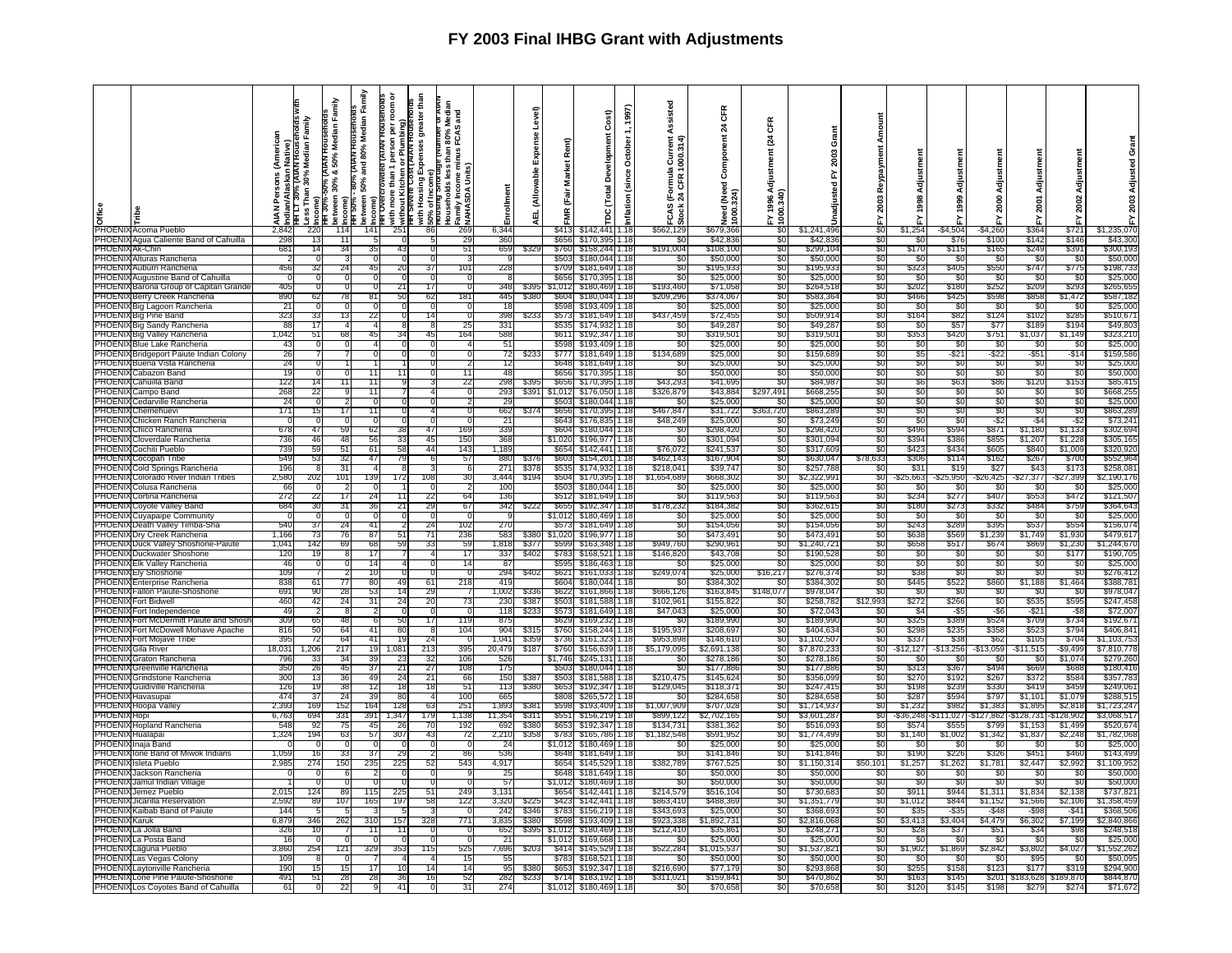| <u>e</u><br>UE PHOENIX Acoma Pueblo        | ዺ<br>℥         | (AIAN Housenoids<br>0% Median Family<br>Indian/Alaskan  <br>HH L T 30% (AIAM<br>Less Than 30% M<br>Income) | Family<br>Median<br>50%<br>ಟೆ<br>30%<br>HH 30%-!<br>ween | Family<br>Median<br><b>AIAN HOUSE</b><br>80%<br>and<br>50%<br>B<br>petween<br>ncome)<br>ă,<br>F. | Ĕ<br>$\mathbf{a}$<br>৯<br>ore than<br>Kitchen<br>with mor<br>without M<br>HH Sevel | greater that<br>9<br>ទី កូ<br>шì<br>with Housing E<br>50% of Income<br>Prousing Short | and<br>Households less ti<br>,Family Income mir<br>}NAHASDA Units) | ᇹ              | evel)<br>ű<br>able<br>ш | Rent)<br><b>Market</b><br>(Fair<br>¥ | Cost)<br>툽<br>nag<br>G<br>Devel<br>$\overline{a}$<br>Ë | 1997)<br>Tecto<br>ë<br>غ.<br>قا<br>5<br>nflati | Assisted<br>1000.314<br>으<br>ठ<br>. ম<br>CAS | <b>CFR</b><br>$\boldsymbol{z}$<br>ဒီ<br>1(Need<br>324)<br>eed<br>g | Œ<br>প্ৰ<br>men<br>Adjust<br>3,34<br>នី | ō<br>2003<br>놊<br>꿈<br>nadjus |                 |              | ई<br>1999 | Adjust<br>2000 | ន្ត្រ       | Adjustmen<br>2002 |             |
|--------------------------------------------|----------------|------------------------------------------------------------------------------------------------------------|----------------------------------------------------------|--------------------------------------------------------------------------------------------------|------------------------------------------------------------------------------------|---------------------------------------------------------------------------------------|--------------------------------------------------------------------|----------------|-------------------------|--------------------------------------|--------------------------------------------------------|------------------------------------------------|----------------------------------------------|--------------------------------------------------------------------|-----------------------------------------|-------------------------------|-----------------|--------------|-----------|----------------|-------------|-------------------|-------------|
|                                            | 2.84           | 221                                                                                                        | 114                                                      | 141                                                                                              | 251                                                                                | -86                                                                                   | 269                                                                | 6,344          |                         |                                      | \$413 \ \$142.441                                      | 1.18                                           | <u>ö</u><br>\$562.129                        | \$679.366                                                          |                                         | \$1,241,496                   | $\overline{50}$ | \$1,254      | -\$4.504  | $-$4,260$      | \$364       | \$721             | \$1,235,070 |
|                                            |                |                                                                                                            |                                                          |                                                                                                  |                                                                                    |                                                                                       |                                                                    |                |                         |                                      |                                                        |                                                |                                              |                                                                    |                                         |                               |                 |              |           |                |             |                   |             |
| PHOENIX Agua Caliente Band of Cahuilla     | 298            | 13                                                                                                         | -11                                                      |                                                                                                  |                                                                                    |                                                                                       | 29                                                                 | 360            |                         | \$656                                | \$170,39                                               | 1.18                                           | \$0                                          | \$42,836                                                           | -20                                     | \$42,83                       | -90             | -80          | \$7       | \$100          | \$14'       | \$146             | \$43,300    |
| PHOENIX Ak-Chin                            | 681            | 14                                                                                                         | 34                                                       | 35                                                                                               | 4:                                                                                 |                                                                                       | 51                                                                 | 659            | \$32                    | \$760                                | \$158,244                                              | 1.18                                           | \$191,004                                    | \$108,100                                                          | \$0                                     | \$299.104                     | S0              | \$170        | \$115     | \$165          | \$249       | \$391             | \$300,193   |
| PHOENIX Alturas Rancheria                  |                |                                                                                                            |                                                          |                                                                                                  |                                                                                    |                                                                                       |                                                                    |                |                         | \$503                                | \$180,04                                               | 1.18                                           | \$0                                          | \$50.00                                                            | \$0                                     | \$50,00                       | \$0             | - \$0        | - \$0     | -SC            | - \$0       | -SC               | \$50,00     |
| PHOENIX Auburn Rancheria                   | 456            | 31                                                                                                         | 24                                                       | 45                                                                                               | 20                                                                                 |                                                                                       | 101                                                                | 22             |                         | <b>\$709</b>                         | \$181.64                                               | 1.18                                           | 80                                           | \$195,93                                                           | -80                                     | \$195.93                      | -80             | \$32.        | \$405     | \$550          | \$74        | \$775             | \$198.73    |
| PHOEN<br>Augustine Band of Cahuilla        |                |                                                                                                            |                                                          |                                                                                                  |                                                                                    |                                                                                       |                                                                    |                |                         | \$65                                 | \$170.39                                               | 1.18                                           | SO.                                          | \$25,00                                                            | SO.                                     | \$25,00                       | SO.             | \$0          | -SC       | \$0            | ୍ୟା         | -\$0              | \$25,00     |
|                                            |                |                                                                                                            |                                                          |                                                                                                  |                                                                                    |                                                                                       |                                                                    |                |                         |                                      |                                                        |                                                |                                              |                                                                    |                                         |                               |                 |              |           |                |             |                   |             |
| PHOENI<br>Barona Group of Capitan Grand    | 405            |                                                                                                            |                                                          |                                                                                                  | 21                                                                                 | 17                                                                                    | $\Omega$                                                           | 348            | \$39                    | \$1,01                               | \$180,469                                              | 1.18                                           | \$193.460                                    | \$71,058                                                           | -SO                                     | \$264.51                      | SO.             | \$202        | \$180     | \$252          | \$209       | \$293             | \$265.65    |
| PHOENIX<br>Berry Creek Rancheria           | 890            | 62                                                                                                         | 78                                                       | 81                                                                                               | 50                                                                                 | 62                                                                                    | 181                                                                | 445            | \$38                    | <b>S60</b>                           | \$180.04                                               | 1.18                                           | \$209.296                                    | \$374.06                                                           | -90                                     | \$583,36                      | 80              | \$466        | \$42      | \$598          | \$858       | \$1,47            | \$587.18    |
| PHOENIX Big Lagoon Rancheria               | 21             |                                                                                                            |                                                          |                                                                                                  |                                                                                    |                                                                                       |                                                                    |                |                         | \$598                                | \$193.40                                               | 1.18                                           | SΩ.                                          | \$25,000                                                           | -SO                                     | \$25.00                       | .SO             | -Sr          | \$ſ       | -90            | ୍ୟା         | -80               | \$25,00     |
| PHOENIX Big Pine Band                      | 323            | 33                                                                                                         | 13                                                       | 22                                                                                               |                                                                                    | 14                                                                                    |                                                                    | 398            | \$23                    | \$57                                 | \$181.649                                              | 1.18                                           | \$437,459                                    | \$72,45                                                            | \$0                                     | \$509,91                      | SO.             | \$164        | \$82      | \$124          | \$10        | \$285             | \$510,67    |
| PHOENIX Big Sandy Rancheria                | -88            | 17                                                                                                         |                                                          |                                                                                                  |                                                                                    | -8                                                                                    | 25                                                                 | 331            |                         | \$535                                | \$174.932                                              | 1.18                                           | -80                                          | \$49,28                                                            | - 30                                    | \$49.28                       | -50             | - SC         | \$57      | - \$77         | \$189       | \$194             | \$49,80     |
| PHOENIX Big Valley Rancheria               | 1,042          | 51                                                                                                         | 68                                                       | 45                                                                                               | 34                                                                                 | 45                                                                                    | 164                                                                | 588            |                         | \$611                                | \$192,34                                               | 1.18                                           | \$0                                          | \$319,50                                                           | \$0                                     | \$319,50                      | \$0             | \$353        | \$420     | \$751          | \$1,037     | \$1,149           | \$323,21    |
|                                            | 43             |                                                                                                            |                                                          |                                                                                                  |                                                                                    |                                                                                       |                                                                    |                |                         | \$598                                | \$193,409                                              | 1.18                                           | S0                                           | \$25,00                                                            | SO.                                     | \$25,00                       | .SO             | .sr          | \$ſ.      | -SC            | ୍କ          | -80               | \$25,00     |
| PHOENIX Blue Lake Rancheria                |                |                                                                                                            |                                                          |                                                                                                  |                                                                                    |                                                                                       |                                                                    |                |                         |                                      |                                                        |                                                |                                              |                                                                    |                                         |                               |                 |              |           |                |             |                   |             |
| PHOENI.<br>Bridgeport Paiute Indian Colony | 26             |                                                                                                            |                                                          |                                                                                                  |                                                                                    |                                                                                       | 0                                                                  | 72             |                         | \$777                                | \$181,649                                              | 1.18                                           | \$134,689                                    | \$25,000                                                           | \$0                                     | \$159,68                      | \$0             | \$5          | -\$21     | -\$22          | $-$ \$5'    | $-$ \$14          | \$159,586   |
| <b>PHOFNI</b><br>Buena Vista Rancheria     | 24             |                                                                                                            |                                                          |                                                                                                  |                                                                                    |                                                                                       |                                                                    | 12             |                         | \$648                                | \$181.649                                              | 1.18                                           | \$0                                          | \$25,000                                                           | -90                                     | \$25,00                       | SO.             | \$0          | -SC       | -90            | - \$0       | -SC               | \$25,000    |
| PHOENIX Cabazon Band                       | 19             |                                                                                                            | $\Omega$                                                 | 11                                                                                               |                                                                                    |                                                                                       | 11                                                                 | 48             |                         | \$656                                | \$170,39                                               | 1.18                                           | \$0                                          | \$50,000                                                           | -SO                                     | \$50,00                       | \$0             | -\$0         | \$0       | \$0            | -\$0        | \$0               | \$50,00     |
| PHOENIX Cahuilla Band                      | 122            |                                                                                                            |                                                          | 11                                                                                               |                                                                                    |                                                                                       | 22                                                                 | 298            |                         | \$656                                | \$170,39                                               | 1.18                                           | \$43,293                                     | \$41.69                                                            | -SO                                     | \$84.98                       | .SO             | Sε           | \$63      | \$86           | \$12        | \$153             | \$85,41     |
| PHOENIX Campo Band                         | 268            | 22                                                                                                         |                                                          | 11                                                                                               |                                                                                    |                                                                                       |                                                                    | 293            | \$39                    | \$1.012                              | \$176.050                                              | 1.18                                           | \$326,879                                    | \$43,88                                                            | 5297,491                                | \$668,25                      | \$0             | 'SC          | \$0       | \$0            | -Si         | -90               | \$668,25    |
| PHOENIX Cedarville Rancheria               | -24            |                                                                                                            |                                                          | $\Omega$                                                                                         |                                                                                    |                                                                                       |                                                                    | $\overline{2}$ |                         | \$503                                | \$180.044                                              | 1.18                                           | \$0                                          | \$25,000                                                           | - \$0                                   | \$25,00                       | SO.             | \$0          | \$0       | \$0            | -96         | -\$0              | \$25,000    |
| PHOENIX Chemehuevi                         | 171            | 15                                                                                                         | 17                                                       | 11                                                                                               |                                                                                    |                                                                                       | $\Omega$                                                           | 662            | \$37                    | <b>S656</b>                          | \$170,395                                              | 1.18                                           | \$467,847                                    | \$31,722                                                           | \$363,720                               | \$863,28                      | \$0             | \$0          | \$0       | \$0            | -S0         | \$0               | \$863,28    |
|                                            |                |                                                                                                            |                                                          | n                                                                                                |                                                                                    |                                                                                       |                                                                    |                |                         |                                      |                                                        |                                                | \$48,249                                     |                                                                    |                                         |                               |                 | -SC          |           |                | -S          |                   |             |
| PHOENIX Chicken Ranch Rancheria            |                |                                                                                                            | $\Omega$                                                 |                                                                                                  |                                                                                    |                                                                                       | 0                                                                  |                |                         | \$643                                | \$176,83                                               | 1.18                                           |                                              | \$25,00                                                            | 80                                      | \$73,24                       | 80              |              | -SC       | -\$2           |             | -52               | \$73,24     |
| PHOENIX Chico Rancheria                    | 678            | 47                                                                                                         | 59                                                       | 62                                                                                               |                                                                                    | 47                                                                                    | 169                                                                | 339            |                         | \$604                                | \$180,044                                              | 1.18                                           | \$0                                          | \$298,42                                                           | S0.                                     | \$298,42                      | S0              | \$496        | \$594     | \$871          | \$1,180     | \$1,133           | \$302,69    |
| PHOENIX Cloverdale Rancheria               | 736            | 46                                                                                                         | 48                                                       | 56                                                                                               | 33                                                                                 | 45                                                                                    | 150                                                                | 368            |                         | \$1,020                              | \$196.977                                              | 1.18                                           | S0                                           | \$301,09                                                           | -SO                                     | \$301,094                     | SO.             | \$394        | \$386     | \$855          | \$1,207     | \$1.228           | \$305,165   |
| PHOENIX Cochiti Pueblo                     | 739            | 59                                                                                                         | 51                                                       | -61                                                                                              | 58                                                                                 | 44                                                                                    | 143                                                                | 1.18           |                         | \$654                                | \$142,441                                              | 1.18                                           | \$76,072                                     | \$241.53                                                           | \$0                                     | \$317.60                      | \$0             | \$423        | \$434     | \$605          | \$84        | \$1,009           | \$320.92    |
| PHOENIX Cocopah Tribe                      | 549            | 53                                                                                                         | 32                                                       | -47                                                                                              | 79                                                                                 |                                                                                       | 57                                                                 | 880            |                         | \$603                                | \$154,201                                              | 1.18                                           | \$462,143                                    | \$167,90                                                           | \$0                                     | \$630.04                      | \$78.633        | \$306        | \$114     | \$162          | \$26        | \$700             | \$552,964   |
| PHOENIX Cold Springs Rancheria             | 196            |                                                                                                            | 31                                                       |                                                                                                  |                                                                                    |                                                                                       | 6                                                                  | 271            | \$37                    | \$535                                | \$174,932                                              | 1.18                                           | \$218,041                                    | \$39,74                                                            | S0.                                     | \$257,78                      | S0              | \$31         | S19       | \$27           | \$4.        | \$173             | \$258,08    |
| PHOENIX Colorado River Indian Tribes       | 2.580          | 202                                                                                                        | 101                                                      | 139                                                                                              | 172                                                                                | 108                                                                                   | 30                                                                 | 3.444          | \$194                   | \$504                                | \$170,395                                              | 1.18                                           | \$1,654,689                                  | \$668.30                                                           | -50                                     | \$2,322.99                    | -90             | -\$25,663    | \$25,950  | \$26,425       | -\$27,377   | $-$ \$27,399      | \$2,190,176 |
| PHOENIX Colusa Rancheria                   | 66             |                                                                                                            | 2                                                        |                                                                                                  |                                                                                    | $\Omega$                                                                              | 2                                                                  | 100            |                         | \$503                                | \$180,044 1.18                                         |                                                | \$0                                          | \$25,000                                                           | \$0                                     | \$25,000                      | \$0             | SC.          | \$0       | \$0            | - \$0       | -SC               | \$25,000    |
|                                            |                |                                                                                                            | 17                                                       | 24                                                                                               |                                                                                    |                                                                                       | 64                                                                 | 136            |                         |                                      |                                                        |                                                |                                              |                                                                    | SO.                                     |                               | SO.             | \$234        |           | \$407          | \$55        | \$472             | \$121,50    |
| PHOENIX Cortina Rancheria                  | 272            | 22                                                                                                         |                                                          |                                                                                                  |                                                                                    | 22                                                                                    |                                                                    |                |                         | \$512                                | \$181,649 1.18                                         |                                                | \$0                                          | \$119,563                                                          |                                         | \$119,563                     |                 |              | \$277     |                |             |                   |             |
| PHOENIX Coyote Valley Band                 | 684            | 30                                                                                                         | 31                                                       | 36                                                                                               |                                                                                    | 29                                                                                    | 67                                                                 | 342            |                         | \$65                                 | \$192,347                                              | 1.18                                           | \$178.232                                    | \$184,38                                                           | SO.                                     | \$362,61                      | \$0             | \$180        | \$27      | \$332          | \$484       | \$759             | \$364.64    |
| PHOENIX Cuyapaipe Communit                 |                |                                                                                                            | - 0                                                      |                                                                                                  |                                                                                    |                                                                                       | $\Omega$                                                           |                |                         | \$1,012                              | \$180,469                                              | 1.18                                           | \$0                                          | \$25,000                                                           | SO.                                     | \$25,000                      | .SO             | -SC          | -SC       | - \$0          | -80         | -SC               | \$25,000    |
| PHOENIX<br>Death Valley Timba-Sha          | 540            | 37                                                                                                         | 24                                                       | 41                                                                                               |                                                                                    | 24                                                                                    | 102                                                                | <b>270</b>     |                         | \$57                                 | \$181,649                                              | 1.18                                           | \$0                                          | \$154,056                                                          | \$0                                     | \$154,05                      | SO.             | \$243        | \$289     | \$395          | \$53]       | \$554             | \$156,074   |
| PHOENIX Dry Creek Rancheria                | 1.166          |                                                                                                            | 76                                                       | -87                                                                                              |                                                                                    | -71                                                                                   | 236                                                                | 583            | \$38                    | \$1,020                              | \$196,97                                               | 1.18                                           | -SC                                          | \$473.49                                                           | -50                                     | \$473.49                      | 80              | \$638        | \$569     | \$1,239        | \$1,749     | \$1.930           | \$479,61    |
| PHOENIX Duck Valley Shoshone-Paiute        | 1,041          | 142                                                                                                        | 69                                                       | 68                                                                                               | 59                                                                                 | 33                                                                                    | 59                                                                 | 1.818          | \$377                   | \$599                                | \$163,348 1.18                                         |                                                | \$949,760                                    | \$290,96                                                           | \$0                                     | \$1,240,72                    | \$0             | \$658        | \$517     | \$674          | \$869       | \$1,230           | \$1,244,67  |
| PHOENIX Duckwater Shoshone                 | 120            | 1 C                                                                                                        | 8                                                        | 17                                                                                               |                                                                                    |                                                                                       | 17                                                                 | 337            | \$402                   | \$783                                | \$168.52                                               | 1.18                                           | \$146,820                                    | \$43,708                                                           | SO.                                     | \$190.52                      | S0              | - \$0        | -SC       | \$0            | - \$0       | \$177             | \$190,705   |
| PHOENIX Elk Valley Rancheria               | 46             |                                                                                                            |                                                          | 14                                                                                               |                                                                                    |                                                                                       | 14 <sub>1</sub>                                                    | -87            |                         | \$595                                | \$186,463                                              | 1.18                                           | -SC                                          | \$25,00                                                            | -50                                     | \$25,00                       | 80              | \$0          | SC.       | -90            | -50         | -30               | \$25,00     |
| <b>PHOENIX Ely Shoshone</b>                | 109            |                                                                                                            |                                                          | 10                                                                                               |                                                                                    |                                                                                       |                                                                    | 294            | \$40                    | \$621                                | \$161,03                                               | 1.18                                           | \$249,074                                    | \$25,00                                                            | \$16,217                                | \$276,37                      | \$0             | \$38         | \$0       | \$0            | -Si         | -\$C              | \$276,412   |
|                                            |                |                                                                                                            | 77                                                       |                                                                                                  | 49                                                                                 |                                                                                       |                                                                    |                |                         |                                      |                                                        |                                                |                                              | \$384,302                                                          |                                         |                               |                 | <b>\$445</b> |           |                |             |                   | \$388,78    |
| <b>PHOENIX Enterprise Rancheria</b>        | 838            | 61                                                                                                         |                                                          | 80                                                                                               |                                                                                    | 61                                                                                    | 218                                                                | 419            |                         | \$604                                | \$180,044 1.18                                         |                                                | \$0                                          |                                                                    | \$0                                     | \$384,30                      | \$0             |              | \$522     | \$860          | \$1,188     | \$1,464           |             |
| PHOENIX<br>Fallon Paiute-Shoshone          | 691            | 90                                                                                                         | 28                                                       | 53                                                                                               | 14                                                                                 | 29                                                                                    |                                                                    | 1.002          | \$33                    | \$622                                | \$161,866                                              | 1.18                                           | \$666,126                                    | \$163,84                                                           | \$148,077                               | \$978,04                      | S0              | -SC          | -SC       | \$0            | - SO        | -SC               | \$978,047   |
| PHOENI)<br>Fort Bidwell                    | 460            | 42                                                                                                         | 24                                                       | 31                                                                                               | 24                                                                                 | 20                                                                                    | 73                                                                 | -230           | <b>\$38</b>             | \$503                                | \$181,588                                              | 1.18                                           | \$102.961                                    | \$155.82                                                           | -90                                     | \$258.78                      | \$12,993        | \$272        | \$266     | \$0            | \$535       | \$595             | \$247.458   |
| <b>PHOENI</b><br>Fort Independence         | 4 <sup>c</sup> |                                                                                                            |                                                          |                                                                                                  |                                                                                    |                                                                                       |                                                                    | 118            | \$23                    | \$573                                | \$181,64                                               | 1.18                                           | \$47,043                                     | \$25,00                                                            | \$0                                     | \$72,04                       | SO.             | S.           | -\$5      | -\$6           | $-$ \$2     | -Sa               | \$72,007    |
| PHOENIX Fort McDermitt Paiute and Shos     | 309            | 65                                                                                                         | 48                                                       | -61                                                                                              | 50                                                                                 | 17                                                                                    | 119                                                                | 875            |                         | \$629                                | \$169.23                                               | 1.18                                           | \$0                                          | \$189,990                                                          | \$0                                     | \$189,99                      | \$0             | \$325        | \$389     | \$524          | \$709       | \$734             | \$192,67    |
| PHOENIX Fort McDowell Mohave Apache        | 816            | 50                                                                                                         | 64                                                       | 41                                                                                               | 80                                                                                 |                                                                                       | 104                                                                | 904            | \$31                    | \$760                                | \$158,244                                              | 1.18                                           | \$195.937                                    | \$208.69                                                           | -50                                     | \$404.63                      | \$0             | \$298        | \$235     | \$358          | \$52        | \$794             | \$406.84    |
| <b>PHOENIX Fort Moiave Tribe</b>           | 395            | 72                                                                                                         | 64                                                       | 41                                                                                               | <b>19</b>                                                                          | 24                                                                                    | $\Omega$                                                           | 1.041          | \$35                    | \$736                                | \$161.323                                              | 1.18                                           | \$953,898                                    | \$148.61                                                           | S <sub>0</sub>                          | \$1,102.50                    | S0              | \$337        | \$38      | \$62           | \$105       | \$704             | \$1.103.753 |
| PHOENIX Gila River                         | 18,031         |                                                                                                            | 217                                                      | 19                                                                                               | 1,081                                                                              | 213                                                                                   | 395                                                                | 20,479         | \$18                    | \$760                                | \$156,63                                               | 1.18                                           | \$5,179,095                                  | \$2,691,13                                                         | \$0                                     | \$7,870,23                    | \$0             | \$12,12      | \$13,256  | \$13,059       | -\$11,51    | -\$9,499          | \$7,810,77  |
| <b>PHOENIX Graton Rancheria</b>            | 79             |                                                                                                            |                                                          | 39                                                                                               |                                                                                    | 32                                                                                    | 106                                                                | 52             |                         | \$1,74                               | \$245.13                                               | 1.18                                           |                                              | \$278.18                                                           | 80                                      | \$278.18                      | SO.             |              | S)        | 80             |             | \$1.07            | \$279.26    |
| PHOEN                                      |                | 26                                                                                                         |                                                          |                                                                                                  |                                                                                    |                                                                                       |                                                                    |                |                         |                                      |                                                        | 1.18                                           |                                              |                                                                    |                                         |                               | SO.             |              |           |                |             |                   |             |
| ¶Greenville Rancheria                      | 350            |                                                                                                            | 45                                                       | 37                                                                                               |                                                                                    | 27                                                                                    | 108                                                                | 175            |                         | \$50                                 | \$180,044                                              |                                                | S0                                           | \$177,88                                                           | \$0                                     | \$177,88                      |                 | \$31.        | \$367     | \$494          | \$669       | \$688<br>\$58     | \$180,416   |
| PHOENIX<br>Grindstone Rancheria            | 300            |                                                                                                            | 36                                                       | 49                                                                                               | 24                                                                                 | 21                                                                                    | 66                                                                 | 150            | \$38                    | \$503                                | \$181.588                                              | 1.18                                           | \$210,475                                    | \$145.62                                                           | \$0                                     | \$356.09                      | S0              | \$270        | \$192     | \$267          | \$372       |                   | \$357.783   |
| <b>PHOENI</b><br>Guidiville Rancheria      | 126            |                                                                                                            | 38                                                       | 12                                                                                               |                                                                                    |                                                                                       | -51                                                                | 113            | \$38                    | \$65                                 | \$192,34                                               | .18                                            | \$129,04                                     | \$118,37                                                           | -90                                     | \$247,41                      | 30              | \$19         | \$23      | \$33           | \$41        | \$45              | \$249,06    |
| PHOENIX Havasupai                          | 474            | 3.                                                                                                         | 24                                                       | 39                                                                                               | 80                                                                                 |                                                                                       | 100                                                                | 66             |                         | \$808                                | \$265.57                                               | 1.18                                           |                                              | \$284.65                                                           | S0                                      | \$284.65                      | S0              | \$287        | \$59      | \$797          | \$1.10      | \$1.07            | \$288.51    |
| PHOENIX Hoopa Valley                       | 2,393          | 169                                                                                                        | 152                                                      | 164                                                                                              | 128                                                                                | 63                                                                                    | 251                                                                | 1,893          | \$38                    | \$598                                | \$193,409                                              | 1.18                                           | \$1,007,909                                  | \$707,02                                                           | \$0                                     | \$1,714,93                    | S0              | \$1,232      | \$982     | \$1,383        | \$1,895     | \$2,818           | \$1,723,24  |
| <b>PHOENIX</b><br>Honi                     | 6,763          | 694                                                                                                        | 331                                                      | 391                                                                                              | 1.347                                                                              | 179                                                                                   | 1,138                                                              | 11.354         | <b>\$31</b>             | \$55                                 | \$156.21                                               | 1.18                                           | \$899.122                                    | \$2.702.16                                                         | -80                                     | \$3.601.28                    | 80              | $-536.24$    | 11.02     | 127.862        | \$128.73    | 128,90            | \$3.068.51  |
| PHOENI<br>Hopland Rancheria                | 548            | 92                                                                                                         | 75                                                       | 45                                                                                               | 26                                                                                 | 70                                                                                    | 192                                                                | 692            | \$38                    | \$65                                 | \$192.34                                               | 1.18                                           | \$134,73                                     | \$381,36                                                           | SO.                                     | \$516,09                      | \$0             | \$57         | \$55      | \$799          | \$1.15      | \$1,499           | \$520,67    |
| <b>PHOENIX Hualapai</b>                    | 1,324          | 194                                                                                                        | 63                                                       | 57                                                                                               | 307                                                                                | 43                                                                                    |                                                                    | 2,210          | \$35                    | \$78                                 | \$165,786                                              | 1.18                                           | \$1,182,548                                  | \$591.95                                                           | S0.                                     | \$1,774,49                    | S0              | \$1,140      | \$1,00    | \$1,34         | \$1,83      | \$2,248           | \$1,782,06  |
| PHOENI<br>Inaia Band                       |                |                                                                                                            |                                                          |                                                                                                  |                                                                                    |                                                                                       |                                                                    | $\overline{2}$ |                         | \$1.01                               | \$180,46                                               | 1.18                                           | -SC                                          | \$25,00                                                            | -90                                     | \$25,00                       | -90             |              |           | -930           | ক           | - 33              | \$25,00     |
| PHOEN                                      |                |                                                                                                            |                                                          |                                                                                                  |                                                                                    |                                                                                       |                                                                    |                |                         | <b>S64</b>                           |                                                        | 1.18                                           |                                              | \$141.84                                                           |                                         | \$141.84                      |                 | \$190        |           | \$326          |             | \$460             | \$143.49    |
| Ione Band of Miwok Indians                 | 1.059          |                                                                                                            | 33                                                       | 37                                                                                               | 29                                                                                 |                                                                                       | 86                                                                 | 536            |                         |                                      | \$181.64                                               |                                                | -SO                                          |                                                                    | -SO                                     |                               | S0              |              | \$22      |                | \$45        |                   |             |
| PHOENI.<br>sleta Pueblo                    | 2,98           | 27 <sub>4</sub>                                                                                            | 150                                                      | 235                                                                                              | 225                                                                                | 52                                                                                    | 543                                                                | 4,917          |                         | \$654                                | \$145.52                                               | 1.18                                           | \$382,789                                    | \$767.52                                                           | SO.                                     | \$1.150.3'                    | \$50,101        | \$1,257      | \$1,262   | \$1,78         | \$2,44      | \$2,992           | \$1,109,95  |
| <b>PHOENIX Jackson Rancheria</b>           |                |                                                                                                            | -6                                                       |                                                                                                  |                                                                                    |                                                                                       |                                                                    | -25            |                         | \$648                                | \$181.64                                               | 1.18                                           | -SC                                          | \$50.00                                                            | -50                                     | \$50.00                       | SG C            | -51          |           | - 350          | -81         | -50               | \$50.00     |
| PHOENIX Jamul Indian Village               |                |                                                                                                            | 0                                                        |                                                                                                  |                                                                                    |                                                                                       |                                                                    | -57            |                         | \$1.01                               | \$180.46                                               | 1.18                                           | SO.                                          | \$50,00                                                            | SO.                                     | \$50,00                       | SO.             | SC           | \$        | \$0            |             | SC                | \$50,00     |
| PHOENIX Jemez Pueblo                       | 2.01           | 124                                                                                                        | 89                                                       | 115                                                                                              | 225                                                                                | 51                                                                                    | 249                                                                | 3,131          |                         | \$654                                | \$142.44                                               | 1.18                                           | \$214,579                                    | \$516,104                                                          | \$0                                     | \$730,68                      | SO.             | \$911        | \$944     | \$1,311        | \$1,834     | \$2,138           | \$737,82    |
| <b>PHOENI</b><br>Jicarilla Reservatio      | 2,592          | 89                                                                                                         | 107                                                      | 165                                                                                              | 197                                                                                | -58                                                                                   | 122                                                                | 3,320          |                         | \$42                                 | \$142.44                                               | 1.18                                           | \$863.41                                     | \$488.36                                                           | \$0                                     | \$1,351,77                    | 80              | \$1,01.      | \$84      | \$1,152        | \$1,56      | \$2,10            | 51.358.45   |
| PHOENIX Kaibab Band of Paiute              | 144            |                                                                                                            |                                                          |                                                                                                  |                                                                                    |                                                                                       |                                                                    | 242            | \$34                    | \$783                                | \$156,21                                               | 1.18                                           | \$343,693                                    | \$25,000                                                           | SO.                                     | \$368,69                      | SO.             | \$3.         | -\$3      | $-548$         | $-$ \$98    | $-$ \$41          | \$368,50    |
| PHOENIX<br><b>Karuk</b>                    | 6,879          | 346                                                                                                        | 262                                                      | 310                                                                                              | 157                                                                                | 328                                                                                   | 771                                                                | 3.835          | \$38                    | <b>\$59</b>                          | \$193,409                                              | 1.18                                           | \$923,338                                    | \$1,892,73                                                         | SO.                                     | \$2,816,06                    | SO.             | \$3,413      | \$3.40    | \$4,479        | \$6,302     | \$7,199           | 52,840,86   |
| PHOENIX<br>La Jolla Band                   | 326            |                                                                                                            |                                                          |                                                                                                  | -11                                                                                |                                                                                       |                                                                    | 652            | S39.                    | \$1,012                              | \$180,469                                              | 1.18                                           | \$212,410                                    | \$35,86                                                            | -SO                                     | \$248,27                      |                 | \$28         | \$37      | $$5^{\circ}$   | \$34        | S98               | \$248.518   |
|                                            |                |                                                                                                            |                                                          | 11                                                                                               |                                                                                    |                                                                                       | n                                                                  |                |                         |                                      |                                                        |                                                |                                              |                                                                    |                                         |                               | SO.             |              |           |                |             |                   |             |
| PHOENIX<br>La Posta Band                   |                |                                                                                                            |                                                          |                                                                                                  |                                                                                    |                                                                                       | 0                                                                  | $\overline{2}$ |                         | \$1,012                              | \$169,66                                               | 1.18                                           | S0                                           | \$25,00                                                            | \$0                                     | \$25,00                       | \$0             | SC.          | \$ſ       | \$0            | - \$0       | -SC               | \$25,00     |
| PHOENIX<br>Laguna Pueblo                   | 3.860          |                                                                                                            |                                                          | 329                                                                                              |                                                                                    | 115                                                                                   | 525                                                                | 7,696          |                         | \$41                                 | \$145.52                                               | 1.18                                           | \$522,284                                    | 015,53                                                             | -90                                     | \$1.537.82                    | SO              | \$1,902      | \$1,869   | 52,842         | \$3,80      | \$4,027           | .552.26     |
| PHOENIX Las Vegas Colony                   | 109            |                                                                                                            |                                                          |                                                                                                  |                                                                                    |                                                                                       | 15                                                                 | 55             |                         | \$78                                 | \$168,521                                              | 1.18                                           | \$0                                          | \$50,000                                                           | \$0                                     | \$50,00                       | SO.             | SC.          | -SC       | \$0            | <b>\$95</b> | -SC               | \$50,09     |
| PHOENIX Laytonville Rancheria              | 190            |                                                                                                            | 15                                                       | 17                                                                                               | 10                                                                                 | 14                                                                                    | 14                                                                 | -95            | \$38                    | \$653                                | \$192.34                                               | 1.18                                           | \$216.690                                    | \$77.17                                                            | - 30                                    | \$293.86                      | -80             | \$25         | \$158     | \$123          | \$177       | \$319             | \$294.900   |
| PHOENIX Lone Pine Paiute-Shoshone          | 491            | 51                                                                                                         | 28                                                       | 28                                                                                               | 36                                                                                 |                                                                                       | 52                                                                 | 282            | \$23.                   |                                      | \$714 \$183,192                                        | 1.18                                           | \$311,021                                    | \$159,84                                                           | \$0                                     | \$470,86                      | \$0             | \$163        | \$145     | \$201          | \$183,628   | ያ189,870          | \$844,870   |
|                                            | 61             |                                                                                                            | 22                                                       |                                                                                                  | 4 <sup>1</sup>                                                                     |                                                                                       | 31                                                                 | 274            |                         |                                      |                                                        |                                                | \$0                                          | \$70,65                                                            | \$0                                     | \$70,65                       | SO.             |              | \$145     | \$198          | \$27        |                   | \$71,672    |
| PHOENIX Los Coyotes Band of Cahuilla       |                |                                                                                                            |                                                          |                                                                                                  |                                                                                    |                                                                                       |                                                                    |                |                         |                                      | \$1,012 \$180,469 1.18                                 |                                                |                                              |                                                                    |                                         |                               |                 | \$120        |           |                |             | \$274             |             |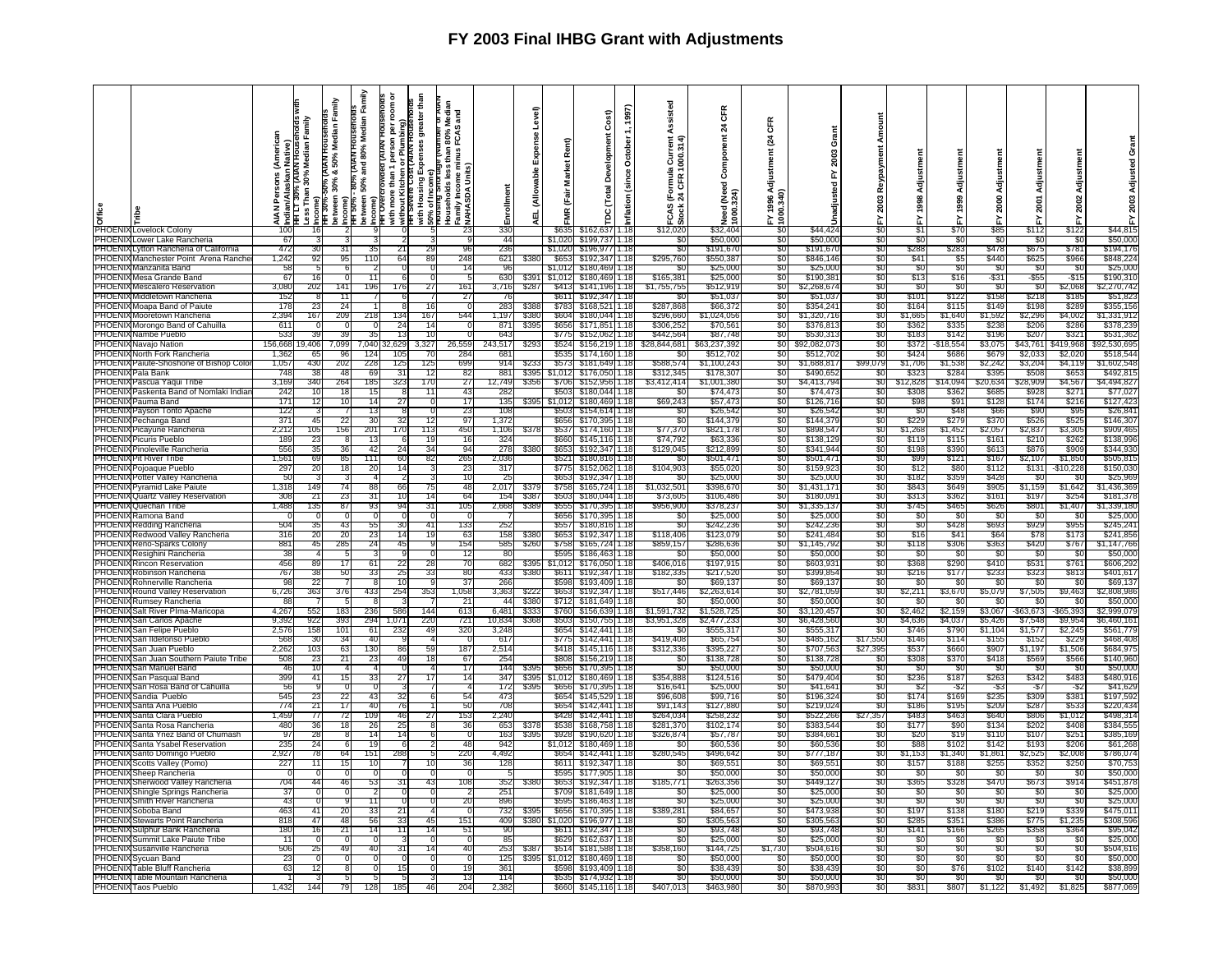|                 | <b>B</b><br><del>C</del><br>PHOENIX Lovelock Colony | ዺ<br>℥         | ∮Indian/Alaskan Native)<br>1πH L ι 30% (ΑΙΑΝ Housenoids w<br> Less Than 30% Median Family<br>; Income) | Family<br>Median<br>50%<br><b>50%1AB</b><br>۰ŏ<br>30%<br>Income)<br>FIFI 30%-२<br>between | Family<br>Median<br><b>AIAN HOUSE</b><br>80%<br>and<br>50%<br>в<br>petween<br>ncome)<br>Income)<br>HH 30%- | <b>AIA</b><br>$\mathbf{a}$<br>৯<br>ore than 1<br>Kitchen<br>with mor<br>without M<br>HH Sevel | greater that<br>ing)<br>шì<br>with Housing E<br>50% of Income<br>Pousing Short | and<br>2<br>ទី កូ<br>Households less ti<br>Family Income mir<br>XNAHASDA Units) | ᇹ               | evel)<br>ű<br>able<br>₹<br>ᇳ | Rent)<br><b>Market</b><br>(Fair<br>g | Cost)<br>툽<br>lopin<br>Devel<br>(Total | 1997)<br>Tector<br>ë<br>غ.<br>قا<br>5<br>nflati | Assisted<br>1000.314<br>으<br>ठ<br>. ম<br>CAS | <b>CFR</b><br>$\boldsymbol{z}$<br>ဒီ<br>1(Need<br>324)<br>eed<br>$\overline{\mathbf{8}}$ | Œ<br>$\frac{1}{2}$<br>men<br>Adjust<br>3,34<br>g | ō<br>2003<br>놊<br>꿈<br>nadjus |                 | 1998             | Adjustm<br>1999 | Adjustmen<br>2000 | ន្ត្      | Adjustmen<br>2002 |                     |
|-----------------|-----------------------------------------------------|----------------|--------------------------------------------------------------------------------------------------------|-------------------------------------------------------------------------------------------|------------------------------------------------------------------------------------------------------------|-----------------------------------------------------------------------------------------------|--------------------------------------------------------------------------------|---------------------------------------------------------------------------------|-----------------|------------------------------|--------------------------------------|----------------------------------------|-------------------------------------------------|----------------------------------------------|------------------------------------------------------------------------------------------|--------------------------------------------------|-------------------------------|-----------------|------------------|-----------------|-------------------|-----------|-------------------|---------------------|
|                 |                                                     |                |                                                                                                        |                                                                                           |                                                                                                            |                                                                                               |                                                                                |                                                                                 |                 |                              |                                      |                                        |                                                 | <u> v</u>                                    |                                                                                          |                                                  |                               |                 | ۷<br>اگ          |                 |                   | s112      | $rac{2}{122}$     |                     |
|                 |                                                     |                |                                                                                                        |                                                                                           |                                                                                                            |                                                                                               |                                                                                |                                                                                 | 330             |                              |                                      | \$162.63                               | 1.18                                            | \$12,020                                     | \$32.40                                                                                  |                                                  | \$44.42                       | $\overline{50}$ |                  | \$70            | \$85              |           |                   | \$44,815            |
|                 | PHOENIX Lower Lake Rancheria                        | 67             |                                                                                                        |                                                                                           |                                                                                                            |                                                                                               |                                                                                |                                                                                 | 44              |                              | \$1,020                              | \$199,737                              | 1.18                                            | \$C                                          | \$50,000                                                                                 | -20                                              | \$50,000                      | -90             | \$0              | -\$0            | \$0               | - 33      | - \$1             | \$50,000            |
| PHOENI          | Lytton Rancheria of California                      | 472            | 30                                                                                                     | 31                                                                                        | 35                                                                                                         | 21                                                                                            | 29                                                                             | 96                                                                              | 236             |                              | \$1,020                              | \$196.97                               | 1.18                                            | S0                                           | \$191.67                                                                                 | \$0                                              | \$191.67                      | S0              | \$288            | \$283           | \$478             | \$67      | \$781             | \$194,176           |
| PHOENI          | Manchester Point Arena Ranch                        | 1,242          | 92                                                                                                     | 95                                                                                        | 110                                                                                                        | 64                                                                                            | 89                                                                             | 248                                                                             | 621             | \$380                        | S65                                  | \$192.34                               | 1.18                                            | \$295,760                                    | \$550,387                                                                                | \$0                                              | \$846,14                      | \$0             | \$41             | \$5             | \$440             | \$625     | \$966             | \$848,22            |
|                 | PHOENIX Manzanita Band                              | 58             |                                                                                                        | -6                                                                                        |                                                                                                            |                                                                                               |                                                                                | 14                                                                              | -96             |                              | \$1.012                              | \$180,469                              | 1.18                                            | -50                                          | \$25.00                                                                                  | -80                                              | \$25,00                       | -80             | -80              | SC.             | -80               | - Si      | - SC              | \$25,000            |
| PHOEN           | Mesa Grande Band                                    | 67             |                                                                                                        |                                                                                           | 11                                                                                                         |                                                                                               |                                                                                |                                                                                 | 630             |                              | \$1.01                               | \$180,46                               | 1.18                                            | \$165,381                                    | \$25,00                                                                                  | SO.                                              | \$190,38                      | S0              | \$13             | \$16            | -\$31             | -\$55     | $-$ \$15          | \$190,31            |
| PHOENI          | Mescalero Reservation                               | 3.080          |                                                                                                        |                                                                                           | 196                                                                                                        | 176                                                                                           |                                                                                |                                                                                 |                 |                              |                                      |                                        |                                                 |                                              |                                                                                          | -SO                                              |                               |                 | \$0              | -SC             | -90               | - \$0     | \$2,068           |                     |
|                 |                                                     |                | 202                                                                                                    | 141                                                                                       |                                                                                                            |                                                                                               | 27                                                                             | 161                                                                             | 3,716           | \$287                        | \$413                                | \$141,196                              | 1.18                                            | \$1,755,755                                  | \$512,91                                                                                 |                                                  | \$2,268,67                    | SO.             |                  |                 |                   |           |                   | \$2,270,742         |
| PHOEN           | Middletown Rancheria                                |                |                                                                                                        |                                                                                           |                                                                                                            |                                                                                               |                                                                                | 27                                                                              |                 |                              | \$61                                 | \$192.34                               | 1.18                                            |                                              | \$51.03                                                                                  | 80                                               | \$51.03                       | 80              | S10 <sup>.</sup> | \$122           | \$158             | \$21      | \$18              | \$51.82             |
|                 | PHOENIX Moapa Band of Paiute                        | 178            |                                                                                                        | 24                                                                                        |                                                                                                            |                                                                                               |                                                                                |                                                                                 | 28:             | \$38                         | \$783                                | \$168.52                               | 1.18                                            | \$287.868                                    | \$66.37                                                                                  | .SO                                              | \$354.24                      | .SO             | \$164            | \$11            | \$149             | \$19      | \$289             | \$355,156           |
| <b>PHOENI</b>   | Mooretown Rancheria                                 | 2,394          | 167                                                                                                    | 209                                                                                       | 218                                                                                                        | 134                                                                                           | 167                                                                            | 544                                                                             | 1,197           | \$380                        | \$604                                | \$180.044                              | 1.18                                            | \$296,660                                    | \$1,024,056                                                                              | SO.                                              | \$1,320,716                   | S0              | \$1,665          | \$1,640         | \$1,592           | \$2,296   | \$4,002           | \$1,331,91          |
|                 | PHOENIX Morongo Band of Cahuilla                    | 611            |                                                                                                        | - 0                                                                                       | - 0                                                                                                        | -24                                                                                           | 14                                                                             |                                                                                 | -871            | \$39                         | \$656                                | \$171.851                              | 1.18                                            | \$306,252                                    | \$70,56                                                                                  | -80                                              | \$376.81                      | -80             | - \$36           | - \$33          | \$238             | \$206     | \$286             | \$378.23            |
| PHOENIX         | Nambe Pueblo                                        | 533            |                                                                                                        | 39                                                                                        | 35                                                                                                         | 13                                                                                            | 10                                                                             | $\Omega$                                                                        | 643             |                              | \$775                                | \$152.06                               | 1.18                                            | \$442,564                                    | \$87,74                                                                                  | \$0                                              | \$530,31                      | \$0             | \$183            | \$14            | \$196             | \$20      | \$321             | \$531,36            |
|                 | PHOENIX Navajo Nation                               | 156,668        | 9 40 P                                                                                                 | .099                                                                                      | .040                                                                                                       |                                                                                               | 327                                                                            | 3,559                                                                           | 43,51           |                              | \$524                                | \$156,21                               | 1.18                                            | \$28.844.681                                 | 33.237.39                                                                                | .SO                                              | \$92,082,07                   | SΩ.             | \$37             | 18,55٠          | \$3,07            | 43,76°;   | 19.968            | <sup>2.530.69</sup> |
| <b>PHOENI</b>   | North Fork Rancheria                                | 1,362          | 65                                                                                                     | 96                                                                                        | 124                                                                                                        | 105                                                                                           | 70                                                                             | 284                                                                             | 68'             |                              | \$535                                | \$174.160                              | 1.18                                            | SC.                                          | \$512,702                                                                                | SO.                                              | \$512,70                      | \$0             | \$42             | \$68            | \$679             | \$2,03    | \$2,020           | \$518,544           |
| PHOFN           | Paiute-Shoshone of Bishop Colo                      | 1,057          | 430                                                                                                    | 202                                                                                       | 228                                                                                                        | 125                                                                                           | 125                                                                            | 699                                                                             | 914             | \$23                         | \$573                                | \$181.649                              | 1.18                                            | \$588.574                                    | \$1,100,24                                                                               | -SO                                              | \$1,688.81                    | \$99,079        | \$1,706          | \$1,538         | \$2,242           | \$3,204   | \$4,119           | \$1.602.548         |
|                 | PHOENIX Pala Bank                                   | 748            | 38                                                                                                     | 48                                                                                        | 69                                                                                                         | 31                                                                                            | 12                                                                             | 82                                                                              | 881             | \$39                         | \$1,012                              | \$176,050                              | 1.18                                            | \$312,345                                    | \$178,30                                                                                 | -SO                                              | \$490,65                      | S0              | \$32             | \$28            | \$395             | \$508     | \$653             | \$492,81            |
|                 |                                                     |                |                                                                                                        |                                                                                           |                                                                                                            |                                                                                               |                                                                                |                                                                                 |                 |                              |                                      |                                        |                                                 |                                              |                                                                                          |                                                  |                               |                 |                  |                 |                   |           |                   |                     |
|                 | PHOENIX Pascua Yaqui Tribe                          | 3,169          | 340                                                                                                    | 264                                                                                       | 185                                                                                                        | 323                                                                                           | 170                                                                            | 27                                                                              | 12,749          | \$35                         | \$706                                | \$152,956                              | 1.18                                            | \$3,412,414                                  | \$1,001,38                                                                               | s٥                                               | \$4,413.79                    | SO.             | \$12,82          | \$14,09         | \$20,63           | \$28,909  | \$4,567           | \$4.494.82          |
| <b>PHOENIXE</b> | Paskenta Band of Nomlaki India                      | 242            | 10                                                                                                     | 18                                                                                        | 15                                                                                                         |                                                                                               | 11                                                                             | 43                                                                              | 28.             |                              | \$503                                | \$180,044 1.18                         |                                                 | SC.                                          | \$74,47                                                                                  | 80                                               | \$74,47                       | 80              | \$30             | \$36            | \$68              | \$92      | \$271             | \$77,02             |
|                 | PHOENIX Pauma Band                                  | 171            | 12                                                                                                     | 10                                                                                        | 14                                                                                                         | 27                                                                                            | $\Omega$                                                                       | 17                                                                              | 135             | \$39                         | \$1,012                              | \$180,469                              | 1.18                                            | \$69,243                                     | \$57,473                                                                                 | \$0                                              | \$126,716                     | 30              | \$98             | \$91            | \$128             | \$174     | \$216             | \$127,423           |
| PHOENIX         | Payson Tonto Apache                                 | 122            |                                                                                                        |                                                                                           | 13                                                                                                         |                                                                                               | $\Omega$                                                                       | 23                                                                              | 108             |                              | \$503                                | \$154,614                              | 1.18                                            | SC.                                          | \$26,542                                                                                 | \$0                                              | \$26,542                      | \$0             | -SC              | \$48            | \$66              | \$90      | \$95              | \$26,84             |
|                 | PHOENIX Pechanga Band                               | -371           | 45                                                                                                     | 22                                                                                        | 30                                                                                                         | 32                                                                                            | 12                                                                             | 97                                                                              | 1,372           |                              | \$656                                | \$170,395                              | 1.18                                            | 80                                           | \$144,37                                                                                 | -80                                              | \$144,37                      | 80              | \$229            | \$279           | \$370             | \$52      | \$525             | \$146,30            |
|                 | PHOENIX Picayune Rancheria                          | 2,212          | 105                                                                                                    | 156                                                                                       | 201                                                                                                        | 170                                                                                           | 113                                                                            | 450                                                                             | 1,106           |                              | \$537                                | \$174.160                              | 1.18                                            | \$77,370                                     | \$821,17                                                                                 | S0.                                              | \$898.54                      | S0              | \$1,268          | \$1.45          | \$2,057           | \$2,837   | \$3,305           | \$909,46            |
|                 | <b>PHOENIX Picuris Pueblo</b>                       | <b>189</b>     | 23                                                                                                     | -8                                                                                        | 13                                                                                                         |                                                                                               | 19                                                                             | 16                                                                              | 324             |                              | \$660                                | \$145.11                               | 1.18                                            | \$74,792                                     | \$63,33                                                                                  | -SO                                              | \$138.12                      | SO.             | \$119            | \$115           | \$161             | \$210     | \$262             | \$138.996           |
| <b>PHOENIX</b>  | Pinoleville Rancheria                               | 556            | 35                                                                                                     | 36                                                                                        | 42                                                                                                         | 24                                                                                            | 34                                                                             | 94                                                                              | 278             | \$38                         | \$653                                | \$192,34                               | 1.18                                            | \$129,045                                    | \$212,89                                                                                 | \$0                                              | \$341.94                      | \$0             | \$198            | \$390           | \$613             | \$876     | 2003              | \$344,930           |
|                 | <b>PHOENIX Pit River Tribe</b>                      | $1.56^{\circ}$ | 69                                                                                                     | 85                                                                                        | 111                                                                                                        | 60                                                                                            | 82                                                                             | 265                                                                             | 2,036           |                              | \$521                                | \$180,81                               | 1.18                                            | S0                                           | \$501,47                                                                                 | \$0                                              | \$501,47                      | SO.             | \$99             | \$121           | \$167             | \$2,107   | \$1,850           | \$505,815           |
|                 | PHOENIX Pojoaque Pueblo                             | 297            | 20                                                                                                     | 18                                                                                        | 20                                                                                                         | 14                                                                                            |                                                                                | 23                                                                              | 317             |                              | S77                                  | \$152,062                              | 1.18                                            | \$104,903                                    | \$55,02                                                                                  | \$0                                              | \$159,92                      | S0              | \$12             | \$80            | \$112             | \$13'     | \$10,221          | \$150,03            |
|                 | PHOENIX Potter Valley Rancheria                     | -50            |                                                                                                        |                                                                                           |                                                                                                            |                                                                                               |                                                                                | 10                                                                              | -25             |                              | \$653                                |                                        |                                                 | -SC                                          |                                                                                          | - 30                                             | \$25.00                       | -90             | \$182            | \$359           | \$428             | - 80      | - 360             |                     |
|                 |                                                     |                |                                                                                                        |                                                                                           |                                                                                                            |                                                                                               |                                                                                |                                                                                 |                 |                              |                                      | \$192,347                              | 1.18                                            |                                              | \$25,00                                                                                  |                                                  |                               |                 |                  |                 |                   |           |                   | \$25,969            |
|                 | PHOENIX Pyramid Lake Paiute                         | 1,318          | 149                                                                                                    | 74                                                                                        | 88                                                                                                         | 66                                                                                            | 75                                                                             | 48                                                                              | 2,017           | \$37                         | \$758                                | \$165,724 1.18                         |                                                 | \$1,032,501                                  | \$398,670                                                                                | \$0                                              | \$1,431,171                   | \$0             | \$843            | \$649           | \$905             | \$1,159   | \$1,642           | \$1,436,369         |
|                 | PHOENIX Quartz Valley Reservation                   | 308            | 21                                                                                                     | 23                                                                                        | 31                                                                                                         | 10                                                                                            | 14                                                                             | 64                                                                              | 154             | \$38                         | \$503                                | \$180,044                              | 1.18                                            | \$73,605                                     | \$106,486                                                                                | SO.                                              | \$180.09                      | SO.             | \$313            | \$362           | \$16'             | \$197     | \$254             | \$181,378           |
| PHOENI          | Quechan Tribe                                       | 1,488          | 135                                                                                                    | 87                                                                                        | 93                                                                                                         | 94                                                                                            |                                                                                | 105                                                                             | 2,668           | \$38                         | \$555                                | \$170,395                              | 1.18                                            | \$956,900                                    | \$378,23                                                                                 | SO.                                              | \$1,335,13                    | \$0             | \$745            | \$465           | \$626             | \$80      | \$1,407           | \$1.339.180         |
| PHOENIX         | Ramona Band                                         |                |                                                                                                        |                                                                                           |                                                                                                            |                                                                                               |                                                                                |                                                                                 |                 |                              | \$656                                | \$170,395                              | 1.18                                            | \$0                                          | \$25,000                                                                                 | SO.                                              | \$25,000                      | .SO             | \$0              | -SC             | - \$0             | - \$0     | -SC               | \$25,000            |
| PHOENI)         | Redding Rancheria                                   | 504            | 35                                                                                                     | 43                                                                                        | 55                                                                                                         | 30                                                                                            | 41                                                                             | 133                                                                             | 252             |                              | \$557                                | \$180,81                               | 1.18                                            | \$0                                          | \$242,23                                                                                 | \$0                                              | \$242,23                      | \$0             | \$0              | \$428           | \$693             | \$929     | \$955             | \$245,241           |
|                 | PHOENIX Redwood Valley Rancheria                    | 316            | 20                                                                                                     | 20                                                                                        | 23                                                                                                         | 14                                                                                            | 19                                                                             | 63                                                                              | 158             | \$38                         | \$65                                 | \$192,34                               | 1.18                                            | \$118,406                                    | \$123,07                                                                                 | -50                                              | \$241,48                      | 80              | \$16             | \$4             | \$64              | \$78      | \$173             | \$241,856           |
|                 | PHOENIX Reno-Sparks Colony                          | 881            | 45                                                                                                     | 285                                                                                       | 24                                                                                                         | 45                                                                                            | <b>q</b>                                                                       | 154                                                                             | 585             | \$26                         | \$758                                | \$165,724 1.18                         |                                                 | \$859,157                                    | \$286,636                                                                                | \$0                                              | \$1,145,79                    | \$0             | \$118            | \$306           | \$363             | \$420     | \$767             | \$1,147,766         |
|                 | PHOENIX Resighini Rancheria                         | 38             |                                                                                                        | 5                                                                                         |                                                                                                            |                                                                                               | $\cap$                                                                         | 12                                                                              | -80             |                              | \$595                                | \$186,463                              | 1.18                                            | \$C                                          | \$50,000                                                                                 | SO.                                              | \$50.00                       | S0              | -SC              | -SC             | - \$0             | - \$0     | -SC               | \$50.00             |
| PHOENI          | Rincon Reservation                                  | 456            | 89                                                                                                     | 17                                                                                        | -61                                                                                                        | 22                                                                                            | 28                                                                             | 70                                                                              | 682             | \$39                         | \$1,012                              | \$176,050                              | 1.18                                            | \$406,016                                    | \$197,91                                                                                 | 80                                               | \$603,93                      | 80              | \$368            | \$290           | \$410             | \$53      | \$761             | \$606,292           |
|                 | PHOENIX Robinson Rancheria                          | 767            | 31                                                                                                     | 50                                                                                        | 33                                                                                                         | 25                                                                                            | 33                                                                             | 80                                                                              | 433             | \$38                         | \$611                                | \$192,347                              | 1.18                                            | \$182,335                                    | \$217,52                                                                                 | \$0                                              | \$399,85                      | \$0             | \$216            | \$177           | \$233             | \$32      | \$813             | \$401,61            |
|                 | PHOENIX Rohnerville Rancheria                       | qε             | 22                                                                                                     |                                                                                           | -81                                                                                                        | 10                                                                                            | <b>q</b>                                                                       | 37                                                                              | 266             |                              | \$598                                | \$193,409                              | 1.18                                            | \$0                                          | \$69,13                                                                                  | \$0                                              | \$69,13                       | \$0             | \$0              | \$0             | \$0               | - SG      | \$0               | \$69,137            |
| PHOENI          | Round Valley Reservation                            | 6,726          | 363                                                                                                    | 376                                                                                       | 433                                                                                                        | 254                                                                                           | 353                                                                            | 1,058                                                                           | 3,363           | \$22                         | \$65                                 | \$192.34                               | 1.18                                            | \$517,446                                    | \$2,263,61                                                                               | \$0                                              | \$2,781,05                    | S0              | \$2,211          | \$3,670         | \$5,079           | \$7,505   | \$9,463           | \$2,808,986         |
| PHOENI.         | Rumsey Rancheria                                    | 88             |                                                                                                        | -5                                                                                        | -8                                                                                                         |                                                                                               |                                                                                | -21                                                                             | -44             | \$38                         | \$712                                | \$181,649                              | 1.18                                            | \$0                                          | \$50,00                                                                                  | \$0                                              | \$50.00                       | S0              | -SC              | -\$0            | -90               | ୍ୟା       | -\$0              | \$50,000            |
| <b>PHOENI</b>   | Salt River PIma-Maricopa                            | 4,267          | 55.                                                                                                    | 183                                                                                       | 236                                                                                                        | 586                                                                                           | 144                                                                            | 613                                                                             | 6,481           | \$33.                        | \$760                                | \$156,63                               | 1.18                                            | \$1,591,732                                  | \$1,528,72                                                                               | \$0                                              | \$3,120,45                    | S0              | \$2,462          | \$2,159         | \$3,067           | -\$63,673 | \$65,393          | 2,999,07            |
| <b>PHOENIX</b>  | San Carlos Apache                                   | 9,392          | 922                                                                                                    | 393                                                                                       | 294                                                                                                        | 1,071                                                                                         | 220                                                                            | 721                                                                             | 10,834          | \$36                         | \$503                                | \$150,755                              | 1.18                                            | \$3,951,328                                  | \$2,477,23                                                                               | \$0                                              | \$6,428,56                    | \$0             | \$4,636          | \$4,037         | \$5,426           | \$7,548   | \$9,954           | \$6,460,16          |
|                 | PHOENIX San Felipe Pueblo                           | 2,576          | 158                                                                                                    | 101                                                                                       | 61                                                                                                         | 232                                                                                           | 49                                                                             | 320                                                                             | 3,248           |                              | \$654                                | \$142.441                              | 1.18                                            | -50                                          | \$555,31                                                                                 | -50                                              | \$555.31                      | 80              | \$746            | \$790           | \$1,104           | \$1,57    | \$2,245           | \$561,77            |
| PHOENIX         | San Ildefonso Pueblo                                | 568            | 30                                                                                                     | 34                                                                                        | 40                                                                                                         |                                                                                               |                                                                                | - 0                                                                             | 617             |                              | \$775                                | \$142.441                              | 1.18                                            | \$419,408                                    | \$65.754                                                                                 | \$0                                              | \$485.162                     | \$17,550        | \$146            | \$114           | \$155             | \$15'     | \$229             | \$468.40            |
| PHOENI          | San Juan Pueblo                                     | 2,262          | 10:                                                                                                    | 63                                                                                        | 130                                                                                                        | 86                                                                                            | 59                                                                             | 187                                                                             | 2,514           |                              | \$418                                | \$145,11                               | 1.18                                            | \$312,336                                    | \$395,22                                                                                 | \$0                                              | \$707,56                      | \$27,395        | \$53             | \$660           | \$907             | \$1,19    | \$1,506           | \$684,97            |
| PHOEN           | San Juan Southerr<br>aiute Tribe                    | 508            | 2                                                                                                      | 21                                                                                        | 23                                                                                                         |                                                                                               |                                                                                | 67                                                                              | 25 <sub>4</sub> |                              | \$808                                | \$156.21                               | 1.18                                            |                                              | \$138,72                                                                                 | 80                                               | \$138,72                      | SC.             | \$308            | \$370           | \$418             | \$56      | \$56              | \$140,96            |
| PHOEN           |                                                     | 46             | $10^{-1}$                                                                                              |                                                                                           |                                                                                                            |                                                                                               |                                                                                |                                                                                 |                 | \$39                         |                                      |                                        |                                                 |                                              |                                                                                          |                                                  |                               |                 |                  |                 |                   |           |                   |                     |
|                 | San Manuel Band                                     |                |                                                                                                        |                                                                                           |                                                                                                            |                                                                                               |                                                                                | 17                                                                              | 144             |                              | \$656                                | \$170,39                               | 1.18                                            | S0                                           | \$50,00                                                                                  | \$0                                              | \$50,00                       | SO.             | -30              | -SC             | -\$0              | - Si      | - SC              | \$50,00             |
| PHOENI          | San Pasqual Band                                    | 399            | 41                                                                                                     | 15                                                                                        | 33                                                                                                         | 27                                                                                            | 17                                                                             | 14                                                                              | 347             | \$39                         | \$1.012                              | \$180.46                               | 1.18                                            | \$354.888                                    | \$124.51                                                                                 | \$0                                              | \$479.40                      | \$0             | \$236            | \$187           | \$263             | \$342     | \$483             | \$480.91            |
| PHOENI          | San Rosa Band of Cahuilla                           | 56             |                                                                                                        |                                                                                           |                                                                                                            |                                                                                               |                                                                                |                                                                                 | 172             | \$39                         | \$65                                 | \$170,39                               | ∏.18                                            | \$16,641                                     | \$25,00                                                                                  | -90                                              | \$41,64                       | -20             |                  |                 | -\$3              | -\$       | -\$.              | \$41,62             |
| PHOENIX         | Sandia Pueblo                                       | 545            |                                                                                                        | 22                                                                                        | 43                                                                                                         |                                                                                               |                                                                                | 54                                                                              | 47              |                              | \$65                                 | \$145.52                               | 1.18                                            | \$96,608                                     | \$99.71                                                                                  | \$0                                              | \$196.32                      | SO.             | \$174            | \$169           | \$235             | \$309     | \$381             | \$197.59            |
|                 | PHOENIX Santa Ana Pueblo                            | 774            | 21                                                                                                     | 17                                                                                        | 40                                                                                                         | 76                                                                                            |                                                                                | 50                                                                              | 708             |                              | \$654                                | \$142,441                              | 1.18                                            | \$91,143                                     | \$127,880                                                                                | \$0                                              | \$219,02                      | \$0             | \$186            | \$195           | \$209             | \$287     | \$533             | \$220,43            |
| PHOENI.         | Santa Clara Pueblo                                  | 1.459          | 77                                                                                                     | 72                                                                                        | 109                                                                                                        | 46                                                                                            | 27                                                                             | 153                                                                             | 2,240           |                              | \$42                                 | \$142.44                               | 1.18                                            | \$264,03                                     | \$258.23                                                                                 | -50                                              | \$522,26                      | \$27.357        | \$483            | \$46.           | \$640             | \$806     | \$1,012           | \$498,31            |
| PHOEN           | Santa Rosa Rancheria                                | <b>480</b>     | 36                                                                                                     | 18                                                                                        | 26                                                                                                         | 25                                                                                            |                                                                                | 36                                                                              | 653             | \$37                         | \$53                                 | \$168,75                               | 1.18                                            | \$281,37                                     | \$102,174                                                                                | \$0                                              | \$383,54                      | \$0             | \$177            | \$90            | \$134             | \$20      | \$40              | \$384,55            |
| PHOEN           | Santa Ynez Band of Chumash                          | 97             | 28                                                                                                     |                                                                                           | 14                                                                                                         | 10                                                                                            |                                                                                |                                                                                 | 163             | \$39                         | \$928                                | \$190,620                              | 1.18                                            | \$326,87                                     | \$57,78                                                                                  | \$0                                              | \$384.66                      | \$0             | \$20             | \$19            | \$110             | \$107     | \$251             | \$385,16            |
| PHOEN           | Santa Ysabel Reservation                            | 235            | 24                                                                                                     | 6                                                                                         | 19                                                                                                         |                                                                                               |                                                                                | 48                                                                              | 942             |                              | \$1.01                               | \$180,46                               | . 18                                            | -SC                                          | \$60,53                                                                                  | \$0                                              | \$60,53                       | 80              | \$88             | \$102           | \$142             | \$19.     | \$206             | \$61,26             |
| PHOEN           | Santo Domingo Pueblo                                | 2,927          | 78                                                                                                     | 64                                                                                        | 151                                                                                                        | 288                                                                                           |                                                                                | 220                                                                             | 4.49            |                              | \$65                                 | \$142.44                               | 1.18                                            | \$280,545                                    | \$496.64                                                                                 | -90                                              | \$777,18                      | SO.             | \$1,153          | \$1,340         | \$1.86            | \$2,52    | \$2,008           | \$786,07            |
|                 |                                                     |                |                                                                                                        |                                                                                           |                                                                                                            |                                                                                               |                                                                                |                                                                                 |                 |                              |                                      |                                        |                                                 |                                              |                                                                                          |                                                  |                               |                 |                  |                 |                   |           |                   |                     |
| PHOENI          | Scotts Vallev (Pomo)                                | 227            | 11                                                                                                     | 15                                                                                        | 10                                                                                                         |                                                                                               | 10                                                                             | 36                                                                              | 128             |                              | \$61                                 | \$192.34                               | 1.18                                            | \$0                                          | \$69,55                                                                                  | \$0                                              | \$69,55                       | \$0             | \$157            | \$18            | \$25              | \$352     | \$250             | \$70.75             |
|                 | PHOENIX Sheep Rancheria                             |                |                                                                                                        |                                                                                           |                                                                                                            |                                                                                               |                                                                                |                                                                                 |                 |                              | S595                                 | \$177.90                               | 1.18                                            | -80                                          | \$50,000                                                                                 | -50                                              | \$50.00                       | -80             | - SC             | - \$0           | -80               | - SI      | - 30              | \$50,00             |
| <b>PHOENI</b>   | Sherwood Valley Rancheria                           | 704            | 44                                                                                                     | 46                                                                                        | 53                                                                                                         | 31                                                                                            | 43                                                                             | 108                                                                             | 352             |                              | \$65                                 | \$192.34                               | 1.18                                            | \$185,771                                    | \$263,35                                                                                 | SO.                                              | \$449,12                      | SO.             | \$365            | \$328           | \$470             | \$673     | \$914             | \$451,87            |
|                 | PHOENIX Shingle Springs Rancheria                   | 37             |                                                                                                        | $\Omega$                                                                                  |                                                                                                            |                                                                                               | $\Omega$                                                                       |                                                                                 | 251             |                              | \$709                                | \$181.649                              | 1.18                                            | SO.                                          | \$25,000                                                                                 | -SO                                              | \$25,00                       | SO.             | \$0              | -SC             | - \$0             | -30       | -SC               | \$25,00             |
| PHOENIX         | Smith River Rancheria                               | 43             |                                                                                                        |                                                                                           | 11                                                                                                         |                                                                                               |                                                                                | 20                                                                              | 896             |                              | \$59                                 | \$186.46                               | 1.18                                            | 80                                           | \$25,00                                                                                  | -50                                              | \$25,00                       | 80              | -SC              | -SC             | -30               | -31       | -30               | \$25,00             |
|                 | PHOENIX Soboba Band                                 | 463            | 41                                                                                                     | 20                                                                                        | 33                                                                                                         |                                                                                               |                                                                                | $\Omega$                                                                        | 732             | \$39                         | \$656                                | \$170.39                               | 1.18                                            | \$389,281                                    | \$84,65                                                                                  | SO.                                              | \$473,93                      | SO.             | \$197            | \$138           | \$180             | \$21      | \$339             | \$475,01            |
| PHOEN           | Stewarts Point Rancheria                            | 818            | 47                                                                                                     | 48                                                                                        | 56                                                                                                         |                                                                                               | 45                                                                             | 151                                                                             | 409             | \$38                         | \$1,020                              | \$196.977                              | 1.18                                            | \$0                                          | \$305,56                                                                                 | SO.                                              | \$305,56                      | SO.             | \$285            | \$351           | \$386             | \$775     | \$1,235           | \$308,59            |
| <b>PHOENI</b>   | Sulphur Bank Rancheria                              | 180            | 16                                                                                                     | 21                                                                                        | 14                                                                                                         | 11                                                                                            | 14                                                                             | 51                                                                              | -90             |                              | \$611                                | \$192,347                              | 1.18                                            | \$0                                          | \$93,748                                                                                 | -SO                                              | \$93.74                       | SO.             | \$141            | \$166           | \$265             | \$358     | \$364             | \$95,042            |
| PHOENIX         | Summit Lake Paiute Tribe                            | 11             |                                                                                                        |                                                                                           |                                                                                                            |                                                                                               |                                                                                | 0                                                                               | 85              |                              | \$629                                | \$162,63                               | 1.18                                            | \$0                                          | \$25,00                                                                                  | \$0                                              | \$25,00                       | \$0             | 30               | 3C              | \$0               | -96       | -\$0              | \$25,00             |
| PHOENIX         | Susanville Rancheria                                | 506            |                                                                                                        | 49                                                                                        | 40                                                                                                         |                                                                                               |                                                                                | 40                                                                              | 25.             |                              | \$514                                | \$181.58                               | 1.18                                            | 160                                          | \$144,72                                                                                 | \$1,730                                          | \$504.61                      | SΩ.             | \$C              | \$C             | \$0               | -80       | \$ſ               | \$504.61            |
|                 | PHOENIX Sycuan Band                                 | 23             |                                                                                                        | 0                                                                                         |                                                                                                            |                                                                                               |                                                                                | 0                                                                               | 125             | \$39                         | \$1.012                              | \$180,469                              | 1.18                                            | S0                                           | \$50,000                                                                                 | \$0                                              | \$50,00                       | S0              | \$0              | \$0             | \$0               | -30       | \$0               | \$50,00             |
|                 | PHOENIX Table Bluff Rancheria                       |                |                                                                                                        |                                                                                           |                                                                                                            |                                                                                               |                                                                                |                                                                                 |                 |                              |                                      |                                        |                                                 |                                              | \$38.43                                                                                  |                                                  | \$38.43                       |                 |                  |                 |                   | \$140     |                   |                     |
|                 |                                                     | 63             | 12                                                                                                     | -81                                                                                       |                                                                                                            |                                                                                               |                                                                                | 19                                                                              | 361             |                              | \$598                                | \$193.409                              | 1.18                                            | 80                                           |                                                                                          | - 30                                             |                               | 80              | -90              | \$76            | \$102             |           | \$142             | \$38,899            |
|                 | PHOENIX Table Mountain Rancheria                    |                |                                                                                                        |                                                                                           |                                                                                                            |                                                                                               |                                                                                | 13                                                                              | 114             |                              | \$535                                | \$174,932                              | 1.18                                            | \$0                                          | \$50,000                                                                                 | \$0                                              | \$50,00                       | \$0             | -\$0             | \$0             | \$0               | -96       | -\$C              | \$50,000            |
|                 | PHOENIX Taos Pueblo                                 | 1,432          | 144                                                                                                    | 79                                                                                        | 128                                                                                                        | 185                                                                                           |                                                                                | 204                                                                             | 2,38            |                              |                                      | \$660 \$145,116 1.18                   |                                                 | \$407,013                                    | \$463,980                                                                                | SO.                                              | \$870,993                     | SO.             | \$831            | \$807           | \$1,122           | \$1.492   | \$1,825           | \$877,069           |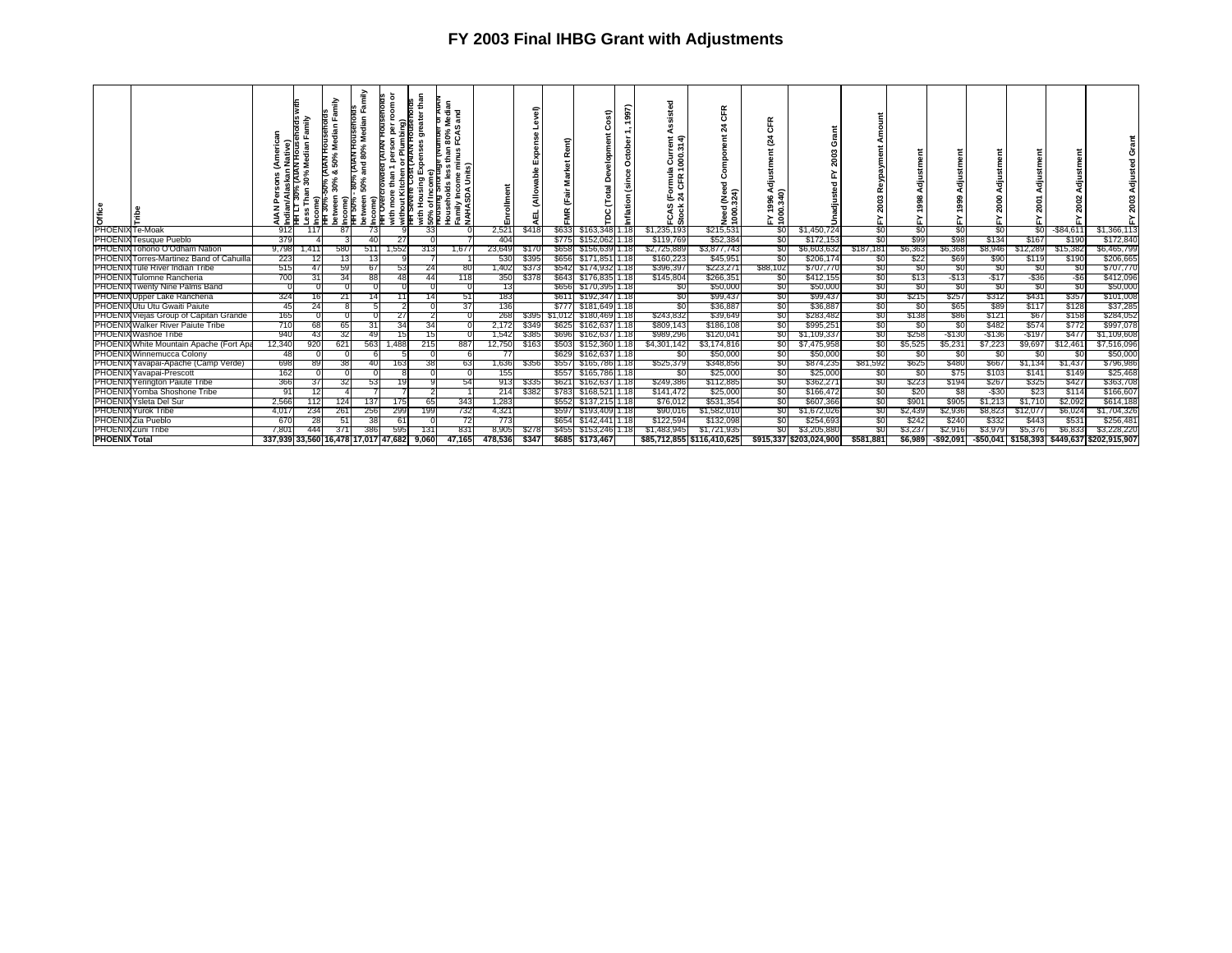| $\begin{array}{c}\n\frac{8}{5} & \frac{8}{5} \\ \hline\n\end{array}$ PHOENIX $\overline{t}$ = Moak | Ń<br>ndiar<br>FF LT | Median<br>30%<br>ව | amily<br>ន<br>ಹ<br>จ | amily<br>Households<br>dian<br>ź<br>8<br>and<br>50%<br>oetween<br>Income)<br>HH Over<br>Income<br>HH 30% | ā<br>moo<br>Plumbing)<br>IAN HOUSE<br>without Kitchen or I<br>TH Severe Cost (AI<br>with | than<br>enora<br>greate<br>Expense<br>aith<br>50% | Median<br>ត្ត<br>ပူ<br>0<br>ã<br>minusl<br>ts)<br>€<br>Family Income<br>NAHASDA Unit<br>₾<br>eholds<br>ā<br>űΖ | ollment | -            |              | F                      | 997) | $rac{1}{3}$<br>$rac{4}{3}$<br>ភិ ខ្ល<br>≖ ≖<br>Ē œ<br>દ જ્<br>rCAS<br>Stock | $\propto$<br>щ<br>$\circ$<br>Ń<br>1000 | ō<br>$\overline{a}$<br>8 हैं<br>진흥 | e<br>G<br>w<br>200<br>릉<br>ŝ |           | ᆞ<br>ō<br>> | 릉<br>ஜ<br>Ō.<br>≻ |           |           | 름<br>ន       |                                             |
|----------------------------------------------------------------------------------------------------|---------------------|--------------------|----------------------|----------------------------------------------------------------------------------------------------------|------------------------------------------------------------------------------------------|---------------------------------------------------|----------------------------------------------------------------------------------------------------------------|---------|--------------|--------------|------------------------|------|-----------------------------------------------------------------------------|----------------------------------------|------------------------------------|------------------------------|-----------|-------------|-------------------|-----------|-----------|--------------|---------------------------------------------|
|                                                                                                    | 912                 | 117                | 87                   | 73                                                                                                       |                                                                                          | 33                                                |                                                                                                                | 2,521   | \$418        |              | \$633 \$163,348 1.18   |      | \$1,235,193                                                                 | \$215,531                              | \$0                                | \$1,450,724                  | \$0       | \$0         | \$0               | \$0       | S0        | $-$ \$84,611 | \$1,366,113                                 |
| PHOENIX Tesuque Pueblo                                                                             | 379                 |                    |                      | 40                                                                                                       | 27                                                                                       |                                                   |                                                                                                                | 404     |              |              | \$775 \$152,062 1.18   |      | \$119,769                                                                   | \$52,384                               | -901                               | \$172,153                    | \$0       | \$99        | \$98              | \$134     | \$167     | \$190        | \$172,840                                   |
| PHOENIX Tohono O'Odham Nation                                                                      | 9,798               | 1,411              | 580                  | 511                                                                                                      | 1,552                                                                                    | 313                                               | 1,677                                                                                                          | 23,649  | \$170        |              | \$658 \$156,639 1.18   |      | \$2,725,889                                                                 | \$3,877,743                            | \$0                                | \$6,603,632                  | \$187,181 | \$6,363     | \$6,368           | \$8,946   | \$12,289  | \$15,382     | \$6,465,799                                 |
| PHOENIX Torres-Martinez Band of Cahuilla                                                           | 223                 |                    |                      |                                                                                                          |                                                                                          |                                                   |                                                                                                                | 530     | \$395        | \$656        | \$171,851 1.18         |      | \$160,223                                                                   | \$45,951                               | -SO                                | \$206,174                    | -50       | \$22        | \$69              | \$90      | \$119     | \$190        | \$206,665                                   |
| PHOENIX Tule River Indian Tribe                                                                    | 515                 | 47                 | 59                   | 67                                                                                                       | 53                                                                                       | 24                                                | -80                                                                                                            | 1,402   | \$373        |              | \$542 \$174,932 1.18   |      | \$396,397                                                                   | \$223,27                               | \$88,102                           | \$707,770                    | -80       | -90         | \$0               | \$0       | -50       | - 30         | \$707,770                                   |
| PHOENIX Tulomne Rancheria                                                                          | 700                 | 31                 | 34                   | 88                                                                                                       | 48                                                                                       | 44                                                | 118                                                                                                            | 350     | \$378        |              | \$643 \$176,835 1.18   |      | \$145,804                                                                   | \$266,35                               | -SO                                | \$412,155                    | \$0       | \$13        | $-513$            | -\$17     | -\$36     | -\$6         | \$412,096                                   |
| <b>PHOENIX Twenty Nine Palms Band</b>                                                              |                     |                    |                      |                                                                                                          |                                                                                          |                                                   |                                                                                                                | 13      |              |              | \$656 \$170,395 1.18   |      | \$0                                                                         | \$50,000                               | \$0                                | \$50,000                     | SO.       | SO.         | \$0               | \$0       | \$0       | SO.          | \$50,000                                    |
| PHOENIX Upper Lake Rancheria                                                                       | 324                 | 16                 | 21                   | 14                                                                                                       |                                                                                          | 14                                                | -51                                                                                                            | 183     |              | \$611        | \$192,347 1.18         |      | -50                                                                         | \$99,437                               | -80                                | \$99,437                     | -90       | \$215       | \$257             | \$312     | \$431     | \$357        | \$101,008                                   |
| PHOENIX Utu Utu Gwaiti Paiute                                                                      | 45                  | 24                 |                      |                                                                                                          |                                                                                          |                                                   | 37                                                                                                             | 136     |              |              | \$777 \$181,649 1.18   |      | \$0                                                                         | \$36,887                               | \$0                                | \$36,887                     | SO.       | SO.         | \$65              | \$89      | \$117     | \$128        | \$37,285                                    |
| PHOENIX Viejas Group of Capitan Grande                                                             | 165                 |                    |                      |                                                                                                          | 27                                                                                       |                                                   |                                                                                                                | 268     | \$395        |              | \$1,012 \$180,469 1.18 |      | \$243,832                                                                   | \$39,649                               | -90                                | \$283,482                    | \$0       | \$138       | \$86              | \$121     | \$67      | \$158        | \$284,052                                   |
| PHOENIX Walker River Paiute Tribe                                                                  | 710                 | 681                | 65                   | 31                                                                                                       | 34                                                                                       | 34                                                |                                                                                                                | 2,172   | \$349        |              | \$625 \$162,637 1.18   |      | \$809,143                                                                   | \$186,108                              | -80                                | \$995,251                    | -80       | \$0         | \$0               | \$482     | \$574     | \$772        | \$997,078                                   |
| <b>PHOENIX Washoe Tribe</b>                                                                        | 940                 | 43                 | 32                   | 49                                                                                                       | 15                                                                                       | 15                                                |                                                                                                                | 1,542   | \$385        |              | \$696 \$162,637 1.18   |      | \$989,296                                                                   | \$120,041                              | <b>SO</b>                          | \$1,109,337                  | \$0       | \$258       | $-$ \$130         | $-$ \$136 | $-$ \$197 | \$477        | \$1,109,608                                 |
| PHOENIX White Mountain Apache (Fort Apa                                                            | 12,340              | 920                | 621                  | 563                                                                                                      | 1,488                                                                                    | 215                                               | 887                                                                                                            | 12,750  | \$163        |              | \$503 \$152,360 1.18   |      | \$4,301,142                                                                 | \$3,174,816                            | SO I                               | \$7,475,958                  | \$0       | \$5,525     | \$5,231           | \$7,223   | \$9,697   | \$12,461     | \$7,516,096                                 |
| PHOENIX Winnemucca Colony                                                                          |                     |                    |                      |                                                                                                          |                                                                                          |                                                   |                                                                                                                |         |              | \$629        | \$162,637 1.18         |      | SO.                                                                         | \$50,000                               | SO.                                | \$50,000                     | SO.       | 80          | \$0               | SO.       | -SC       | S0           | \$50,000                                    |
| PHOENIX Yavapai-Apache (Camp Verde)                                                                | 698                 | 89                 | 38                   |                                                                                                          | 163                                                                                      | 38                                                | 63                                                                                                             | 1,636   | \$356        | \$557        | \$165,786 1.18         |      | \$525,379                                                                   | \$348,856                              | \$0                                | \$874,235                    | \$81,592  | \$625       | \$480             | \$667     | \$1,134   | \$1,437      | \$796,986                                   |
| PHOENIX Yavapai-Prescott                                                                           | 162                 |                    |                      |                                                                                                          |                                                                                          |                                                   |                                                                                                                | 155     |              | <b>\$557</b> | \$165,786 1.18         |      | SO.                                                                         | \$25,000                               | \$0                                | \$25,000                     | S0        | SO.         | \$75              | \$103     | \$14      | \$149        | \$25,468                                    |
| <b>PHOENIX Yerington Paiute Tribe</b>                                                              | 366                 | 37                 | 32                   | 53                                                                                                       | 19                                                                                       |                                                   | 54                                                                                                             | 913     | \$335        | \$621        | \$162,637 1.18         |      | \$249,386                                                                   | \$112,885                              | SO.                                | \$362,271                    | \$0       | \$223       | \$194             | \$267     | \$325     | \$427        | \$363,708                                   |
| PHOENIX Yomba Shoshone Tribe                                                                       | 91                  |                    |                      |                                                                                                          |                                                                                          |                                                   |                                                                                                                | 214     | \$382        | \$783        | \$168,52111.18         |      | \$141,472                                                                   | \$25,000                               | -90                                | \$166,472                    | -90       | \$20        | -58               | -\$30     | \$23      | \$114        | \$166,607                                   |
| PHOENIX Ysleta Del Sur                                                                             | 2,566               | 112                | 124                  | 37                                                                                                       | 175                                                                                      | 65                                                | 343                                                                                                            | 1,283   |              | \$552        | \$137,215 1.18         |      | \$76,012                                                                    | \$531,354                              | -90                                | \$607,366                    | \$0       | \$901       | \$905             | \$1,213   | \$1,710   | \$2,092      | \$614,188                                   |
| <b>PHOENIX Yurok Tribe</b>                                                                         | 4,017               | 234                | 261                  | 256                                                                                                      | 299                                                                                      | 199                                               | 732                                                                                                            | 4,321   |              | \$597        | \$193,409 1.18         |      | \$90,016                                                                    | \$1,582,010                            | SO.                                | \$1,672,026                  | \$0       | \$2,439     | \$2,936           | \$8,823   | \$12,07   | \$6,024      | \$1,704,326                                 |
| PHOENIX Zia Pueblo                                                                                 | -670                | 28                 | 51                   | 38                                                                                                       | 61                                                                                       |                                                   | -72                                                                                                            | 773     |              | \$654        | \$142,441 1.18         |      | \$122,594                                                                   | \$132,098                              | 80                                 | \$254,693                    | -90       | \$242       | \$240             | \$332     | \$443     | \$531        | \$256,481                                   |
| <b>PHOENIX Zuni Tribe</b>                                                                          | 7,801               | 444                | 371                  | 386                                                                                                      | 595                                                                                      | 131                                               | 831                                                                                                            | 8,905   | \$278        | \$455        | \$153,246              |      | \$1,483,945                                                                 | \$1,721,935                            | \$0                                | \$3,205,880                  | SO.       | \$3,237     | \$2,916           | \$3,979   | \$5,376   | \$6,833      | \$3,228,220                                 |
| <b>PHOENIX Total</b>                                                                               |                     |                    |                      | 337.939133.560116.478117.017147.6821                                                                     |                                                                                          | 9.060                                             | 47.165                                                                                                         | 478.536 | <b>\$347</b> |              | \$685 \$173.467        |      |                                                                             | \$85.712.855 \$116.410.625             |                                    | \$915.337 \$203.024.900      | \$581.881 | \$6.9891    | -\$92.091         |           |           |              | -\$50.041 \$158.393 \$449.637 \$202.915.907 |